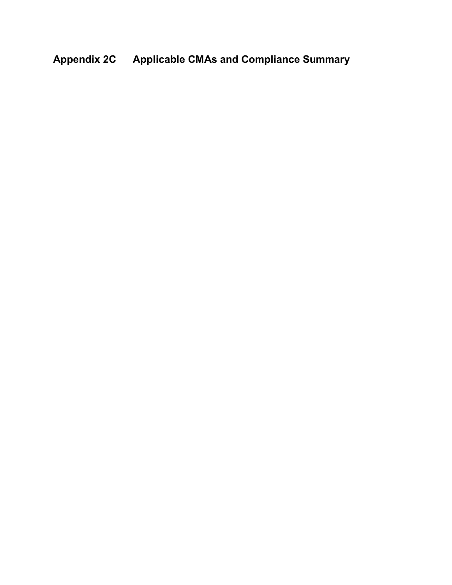# <span id="page-0-0"></span>**Appendix 2C Applicable CMAs and Compliance Summary**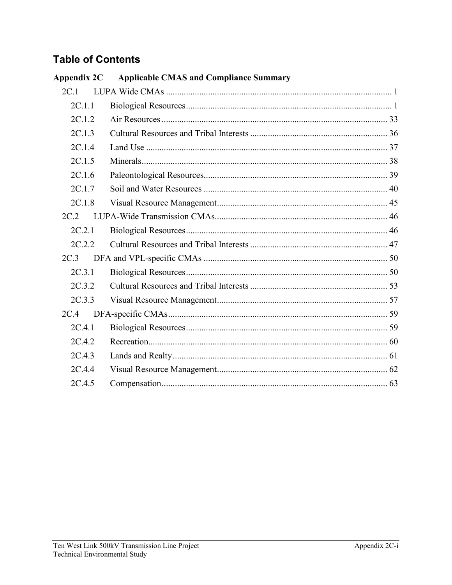## **Table of Contents**

| Appendix 2C | <b>Applicable CMAS and Compliance Summary</b> |
|-------------|-----------------------------------------------|
| 2C.1        |                                               |
| 2C.1.1      |                                               |
| 2C.1.2      |                                               |
| 2C.1.3      |                                               |
| 2C.1.4      |                                               |
| 2C.1.5      |                                               |
| 2C.1.6      |                                               |
| 2C.1.7      |                                               |
| 2C.1.8      |                                               |
| 2C.2        |                                               |
| 2C.2.1      |                                               |
| 2C.2.2      |                                               |
| 2C.3        |                                               |
| 2C.3.1      |                                               |
| 2C.3.2      |                                               |
| 2C.3.3      |                                               |
| 2C.4        |                                               |
| 2C.4.1      |                                               |
| 2C.4.2      |                                               |
| 2C.4.3      |                                               |
| 2C.4.4      |                                               |
| 2C.4.5      |                                               |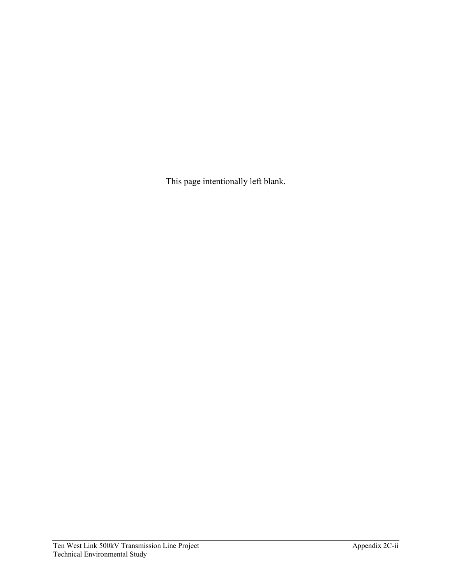This page intentionally left blank.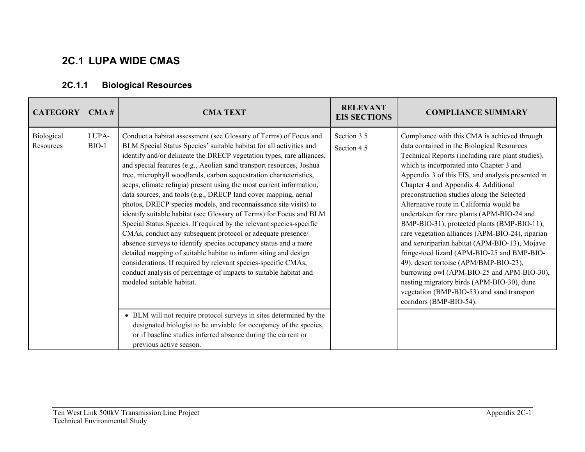## **2C.1 LUPA WIDE CMAS**

### **2C.1.1 Biological Resources**

<span id="page-3-1"></span><span id="page-3-0"></span>

| <b>CATEGORY</b>         | CMA#             | <b>CMA TEXT</b>                                                                                                                                                                                                                                                                                                                                                                                                                                                                                                                                                                                                                                                                                                                                                                                                                                                                                                                                                                                                                                                                                       | <b>RELEVANT</b><br><b>EIS SECTIONS</b> | <b>COMPLIANCE SUMMARY</b>                                                                                                                                                                                                                                                                                                                                                                                                                                                                                                                                                                                                                                                                                                                                                                                                                          |
|-------------------------|------------------|-------------------------------------------------------------------------------------------------------------------------------------------------------------------------------------------------------------------------------------------------------------------------------------------------------------------------------------------------------------------------------------------------------------------------------------------------------------------------------------------------------------------------------------------------------------------------------------------------------------------------------------------------------------------------------------------------------------------------------------------------------------------------------------------------------------------------------------------------------------------------------------------------------------------------------------------------------------------------------------------------------------------------------------------------------------------------------------------------------|----------------------------------------|----------------------------------------------------------------------------------------------------------------------------------------------------------------------------------------------------------------------------------------------------------------------------------------------------------------------------------------------------------------------------------------------------------------------------------------------------------------------------------------------------------------------------------------------------------------------------------------------------------------------------------------------------------------------------------------------------------------------------------------------------------------------------------------------------------------------------------------------------|
| Biological<br>Resources | LUPA-<br>$BIO-1$ | Conduct a habitat assessment (see Glossary of Terms) of Focus and<br>BLM Special Status Species' suitable habitat for all activities and<br>identify and/or delineate the DRECP vegetation types, rare alliances,<br>and special features (e.g., Aeolian sand transport resources, Joshua<br>tree, microphyll woodlands, carbon sequestration characteristics,<br>seeps, climate refugia) present using the most current information,<br>data sources, and tools (e.g., DRECP land cover mapping, aerial<br>photos, DRECP species models, and reconnaissance site visits) to<br>identify suitable habitat (see Glossary of Terms) for Focus and BLM<br>Special Status Species. If required by the relevant species-specific<br>CMAs, conduct any subsequent protocol or adequate presence/<br>absence surveys to identify species occupancy status and a more<br>detailed mapping of suitable habitat to inform siting and design<br>considerations. If required by relevant species-specific CMAs,<br>conduct analysis of percentage of impacts to suitable habitat and<br>modeled suitable habitat. | Section 3.5<br>Section 4.5             | Compliance with this CMA is achieved through<br>data contained in the Biological Resources<br>Technical Reports (including rare plant studies),<br>which is incorporated into Chapter 3 and<br>Appendix 3 of this EIS, and analysis presented in<br>Chapter 4 and Appendix 4. Additional<br>preconstruction studies along the Selected<br>Alternative route in California would be<br>undertaken for rare plants (APM-BIO-24 and<br>BMP-BIO-31), protected plants (BMP-BIO-11),<br>rare vegetation alliances (APM-BIO-24), riparian<br>and xeroriparian habitat (APM-BIO-13), Mojave<br>fringe-toed lizard (APM-BIO-25 and BMP-BIO-<br>49), desert tortoise (APM/BMP-BIO-23),<br>burrowing owl (APM-BIO-25 and APM-BIO-30),<br>nesting migratory birds (APM-BIO-30), dune<br>vegetation (BMP-BIO-53) and sand transport<br>corridors (BMP-BIO-54). |
|                         |                  | • BLM will not require protocol surveys in sites determined by the<br>designated biologist to be unviable for occupancy of the species,<br>or if baseline studies inferred absence during the current or<br>previous active season.                                                                                                                                                                                                                                                                                                                                                                                                                                                                                                                                                                                                                                                                                                                                                                                                                                                                   |                                        |                                                                                                                                                                                                                                                                                                                                                                                                                                                                                                                                                                                                                                                                                                                                                                                                                                                    |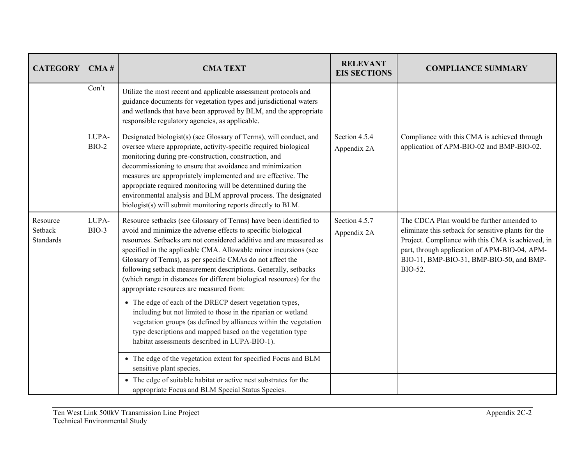| <b>CATEGORY</b>                         | CMA#             | <b>CMA TEXT</b>                                                                                                                                                                                                                                                                                                                                                                                                                                                                                                                     | <b>RELEVANT</b><br><b>EIS SECTIONS</b> | <b>COMPLIANCE SUMMARY</b>                                                                                                                                                                                                                                     |
|-----------------------------------------|------------------|-------------------------------------------------------------------------------------------------------------------------------------------------------------------------------------------------------------------------------------------------------------------------------------------------------------------------------------------------------------------------------------------------------------------------------------------------------------------------------------------------------------------------------------|----------------------------------------|---------------------------------------------------------------------------------------------------------------------------------------------------------------------------------------------------------------------------------------------------------------|
|                                         | Con't            | Utilize the most recent and applicable assessment protocols and<br>guidance documents for vegetation types and jurisdictional waters<br>and wetlands that have been approved by BLM, and the appropriate<br>responsible regulatory agencies, as applicable.                                                                                                                                                                                                                                                                         |                                        |                                                                                                                                                                                                                                                               |
|                                         | LUPA-<br>$BIO-2$ | Designated biologist(s) (see Glossary of Terms), will conduct, and<br>oversee where appropriate, activity-specific required biological<br>monitoring during pre-construction, construction, and<br>decommissioning to ensure that avoidance and minimization<br>measures are appropriately implemented and are effective. The<br>appropriate required monitoring will be determined during the<br>environmental analysis and BLM approval process. The designated<br>biologist(s) will submit monitoring reports directly to BLM.   | Section 4.5.4<br>Appendix 2A           | Compliance with this CMA is achieved through<br>application of APM-BIO-02 and BMP-BIO-02.                                                                                                                                                                     |
| Resource<br>Setback<br><b>Standards</b> | LUPA-<br>$BIO-3$ | Resource setbacks (see Glossary of Terms) have been identified to<br>avoid and minimize the adverse effects to specific biological<br>resources. Setbacks are not considered additive and are measured as<br>specified in the applicable CMA. Allowable minor incursions (see<br>Glossary of Terms), as per specific CMAs do not affect the<br>following setback measurement descriptions. Generally, setbacks<br>(which range in distances for different biological resources) for the<br>appropriate resources are measured from: | Section 4.5.7<br>Appendix 2A           | The CDCA Plan would be further amended to<br>eliminate this setback for sensitive plants for the<br>Project. Compliance with this CMA is achieved, in<br>part, through application of APM-BIO-04, APM-<br>BIO-11, BMP-BIO-31, BMP-BIO-50, and BMP-<br>BIO-52. |
|                                         |                  | • The edge of each of the DRECP desert vegetation types,<br>including but not limited to those in the riparian or wetland<br>vegetation groups (as defined by alliances within the vegetation<br>type descriptions and mapped based on the vegetation type<br>habitat assessments described in LUPA-BIO-1).<br>• The edge of the vegetation extent for specified Focus and BLM                                                                                                                                                      |                                        |                                                                                                                                                                                                                                                               |
|                                         |                  | sensitive plant species.<br>• The edge of suitable habitat or active nest substrates for the<br>appropriate Focus and BLM Special Status Species.                                                                                                                                                                                                                                                                                                                                                                                   |                                        |                                                                                                                                                                                                                                                               |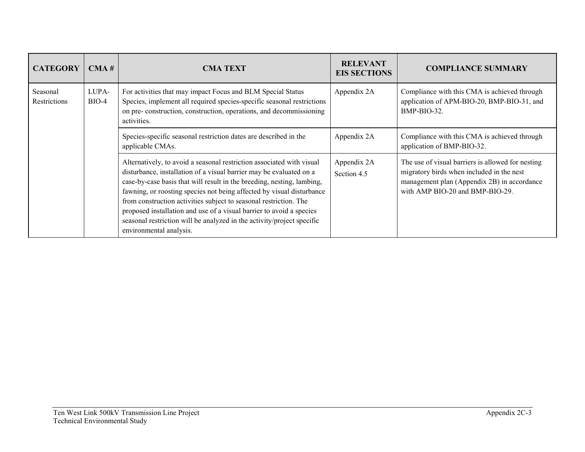| <b>CATEGORY</b>          | CMA#             | <b>CMA TEXT</b>                                                                                                                                                                                                                                                                                                                                                                                                                                                                                                                                   | <b>RELEVANT</b><br><b>EIS SECTIONS</b> | <b>COMPLIANCE SUMMARY</b>                                                                                                                                                        |
|--------------------------|------------------|---------------------------------------------------------------------------------------------------------------------------------------------------------------------------------------------------------------------------------------------------------------------------------------------------------------------------------------------------------------------------------------------------------------------------------------------------------------------------------------------------------------------------------------------------|----------------------------------------|----------------------------------------------------------------------------------------------------------------------------------------------------------------------------------|
| Seasonal<br>Restrictions | LUPA-<br>$BIO-4$ | For activities that may impact Focus and BLM Special Status<br>Species, implement all required species-specific seasonal restrictions<br>on pre- construction, construction, operations, and decommissioning<br>activities.                                                                                                                                                                                                                                                                                                                       | Appendix 2A                            | Compliance with this CMA is achieved through<br>application of APM-BIO-20, BMP-BIO-31, and<br>BMP-BIO-32.                                                                        |
|                          |                  | Species-specific seasonal restriction dates are described in the<br>applicable CMAs.                                                                                                                                                                                                                                                                                                                                                                                                                                                              | Appendix 2A                            | Compliance with this CMA is achieved through<br>application of BMP-BIO-32.                                                                                                       |
|                          |                  | Alternatively, to avoid a seasonal restriction associated with visual<br>disturbance, installation of a visual barrier may be evaluated on a<br>case-by-case basis that will result in the breeding, nesting, lambing,<br>fawning, or roosting species not being affected by visual disturbance<br>from construction activities subject to seasonal restriction. The<br>proposed installation and use of a visual barrier to avoid a species<br>seasonal restriction will be analyzed in the activity/project specific<br>environmental analysis. | Appendix 2A<br>Section 4.5             | The use of visual barriers is allowed for nesting<br>migratory birds when included in the nest<br>management plan (Appendix 2B) in accordance<br>with AMP BIO-20 and BMP-BIO-29. |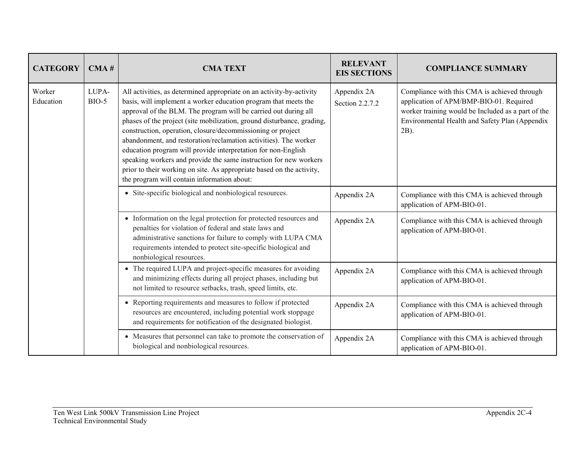| <b>CATEGORY</b>     | CMA#             | <b>CMA TEXT</b>                                                                                                                                                                                                                                                                                                                                                                                                                                                                                                                                                                                                                                                                       | <b>RELEVANT</b><br><b>EIS SECTIONS</b> | <b>COMPLIANCE SUMMARY</b>                                                                                                                                                                                  |
|---------------------|------------------|---------------------------------------------------------------------------------------------------------------------------------------------------------------------------------------------------------------------------------------------------------------------------------------------------------------------------------------------------------------------------------------------------------------------------------------------------------------------------------------------------------------------------------------------------------------------------------------------------------------------------------------------------------------------------------------|----------------------------------------|------------------------------------------------------------------------------------------------------------------------------------------------------------------------------------------------------------|
| Worker<br>Education | LUPA-<br>$BIO-5$ | All activities, as determined appropriate on an activity-by-activity<br>basis, will implement a worker education program that meets the<br>approval of the BLM. The program will be carried out during all<br>phases of the project (site mobilization, ground disturbance, grading,<br>construction, operation, closure/decommissioning or project<br>abandonment, and restoration/reclamation activities). The worker<br>education program will provide interpretation for non-English<br>speaking workers and provide the same instruction for new workers<br>prior to their working on site. As appropriate based on the activity,<br>the program will contain information about: | Appendix 2A<br>Section 2.2.7.2         | Compliance with this CMA is achieved through<br>application of APM/BMP-BIO-01. Required<br>worker training would be Included as a part of the<br>Environmental Health and Safety Plan (Appendix<br>$2B$ ). |
|                     |                  | • Site-specific biological and nonbiological resources.                                                                                                                                                                                                                                                                                                                                                                                                                                                                                                                                                                                                                               | Appendix 2A                            | Compliance with this CMA is achieved through<br>application of APM-BIO-01.                                                                                                                                 |
|                     |                  | • Information on the legal protection for protected resources and<br>penalties for violation of federal and state laws and<br>administrative sanctions for failure to comply with LUPA CMA<br>requirements intended to protect site-specific biological and<br>nonbiological resources.                                                                                                                                                                                                                                                                                                                                                                                               | Appendix 2A                            | Compliance with this CMA is achieved through<br>application of APM-BIO-01.                                                                                                                                 |
|                     |                  | • The required LUPA and project-specific measures for avoiding<br>and minimizing effects during all project phases, including but<br>not limited to resource setbacks, trash, speed limits, etc.                                                                                                                                                                                                                                                                                                                                                                                                                                                                                      | Appendix 2A                            | Compliance with this CMA is achieved through<br>application of APM-BIO-01.                                                                                                                                 |
|                     |                  | • Reporting requirements and measures to follow if protected<br>resources are encountered, including potential work stoppage<br>and requirements for notification of the designated biologist.                                                                                                                                                                                                                                                                                                                                                                                                                                                                                        | Appendix 2A                            | Compliance with this CMA is achieved through<br>application of APM-BIO-01.                                                                                                                                 |
|                     |                  | • Measures that personnel can take to promote the conservation of<br>biological and nonbiological resources.                                                                                                                                                                                                                                                                                                                                                                                                                                                                                                                                                                          | Appendix 2A                            | Compliance with this CMA is achieved through<br>application of APM-BIO-01.                                                                                                                                 |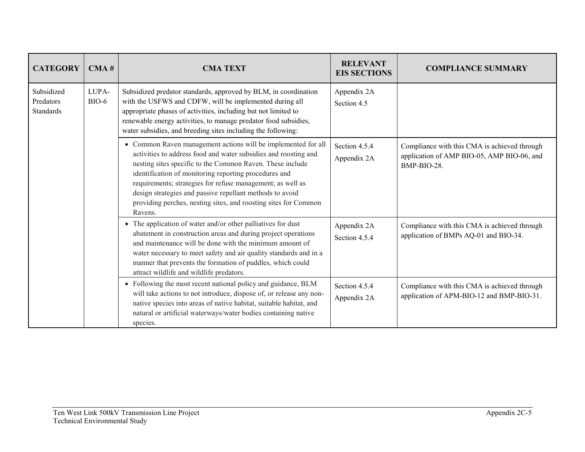| <b>CATEGORY</b>                      | CMA#             | <b>CMA TEXT</b>                                                                                                                                                                                                                                                                                                                                                                                                                                                | <b>RELEVANT</b><br><b>EIS SECTIONS</b>                                                                                                                                                                                                                                                                                                                                  | <b>COMPLIANCE SUMMARY</b>                                                                                 |                                                                                       |
|--------------------------------------|------------------|----------------------------------------------------------------------------------------------------------------------------------------------------------------------------------------------------------------------------------------------------------------------------------------------------------------------------------------------------------------------------------------------------------------------------------------------------------------|-------------------------------------------------------------------------------------------------------------------------------------------------------------------------------------------------------------------------------------------------------------------------------------------------------------------------------------------------------------------------|-----------------------------------------------------------------------------------------------------------|---------------------------------------------------------------------------------------|
| Subsidized<br>Predators<br>Standards | LUPA-<br>$BIO-6$ | Subsidized predator standards, approved by BLM, in coordination<br>with the USFWS and CDFW, will be implemented during all<br>appropriate phases of activities, including but not limited to<br>renewable energy activities, to manage predator food subsidies,<br>water subsidies, and breeding sites including the following:                                                                                                                                | Appendix 2A<br>Section 4.5                                                                                                                                                                                                                                                                                                                                              |                                                                                                           |                                                                                       |
|                                      |                  | • Common Raven management actions will be implemented for all<br>activities to address food and water subsidies and roosting and<br>nesting sites specific to the Common Raven. These include<br>identification of monitoring reporting procedures and<br>requirements; strategies for refuse management; as well as<br>design strategies and passive repellant methods to avoid<br>providing perches, nesting sites, and roosting sites for Common<br>Ravens. | Section 4.5.4<br>Appendix 2A                                                                                                                                                                                                                                                                                                                                            | Compliance with this CMA is achieved through<br>application of AMP BIO-05, AMP BIO-06, and<br>BMP-BIO-28. |                                                                                       |
|                                      |                  |                                                                                                                                                                                                                                                                                                                                                                                                                                                                | • The application of water and/or other palliatives for dust<br>abatement in construction areas and during project operations<br>and maintenance will be done with the minimum amount of<br>water necessary to meet safety and air quality standards and in a<br>manner that prevents the formation of puddles, which could<br>attract wildlife and wildlife predators. | Appendix 2A<br>Section 4.5.4                                                                              | Compliance with this CMA is achieved through<br>application of BMPs AQ-01 and BIO-34. |
|                                      |                  | • Following the most recent national policy and guidance, BLM<br>will take actions to not introduce, dispose of, or release any non-<br>native species into areas of native habitat, suitable habitat, and<br>natural or artificial waterways/water bodies containing native<br>species.                                                                                                                                                                       | Section 4.5.4<br>Appendix 2A                                                                                                                                                                                                                                                                                                                                            | Compliance with this CMA is achieved through<br>application of APM-BIO-12 and BMP-BIO-31.                 |                                                                                       |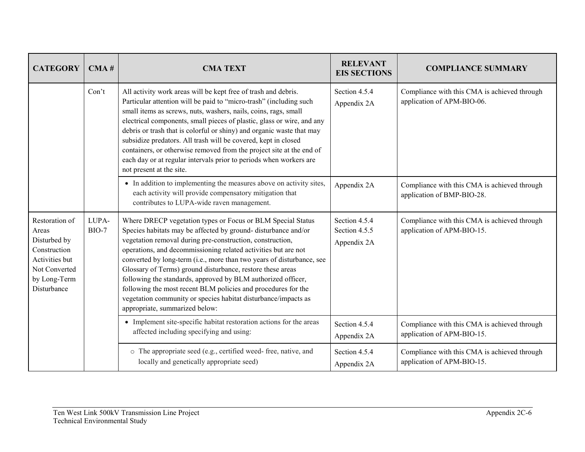| <b>CATEGORY</b>                                                                                                           | CMA#                  | <b>CMA TEXT</b>                                                                                                                                                                                                                                                                                                                                                                                                                                                                                                                                                                                                                          | <b>RELEVANT</b><br><b>EIS SECTIONS</b>        | <b>COMPLIANCE SUMMARY</b>                                                  |
|---------------------------------------------------------------------------------------------------------------------------|-----------------------|------------------------------------------------------------------------------------------------------------------------------------------------------------------------------------------------------------------------------------------------------------------------------------------------------------------------------------------------------------------------------------------------------------------------------------------------------------------------------------------------------------------------------------------------------------------------------------------------------------------------------------------|-----------------------------------------------|----------------------------------------------------------------------------|
|                                                                                                                           | Con't                 | All activity work areas will be kept free of trash and debris.<br>Particular attention will be paid to "micro-trash" (including such<br>small items as screws, nuts, washers, nails, coins, rags, small<br>electrical components, small pieces of plastic, glass or wire, and any<br>debris or trash that is colorful or shiny) and organic waste that may<br>subsidize predators. All trash will be covered, kept in closed<br>containers, or otherwise removed from the project site at the end of<br>each day or at regular intervals prior to periods when workers are<br>not present at the site.                                   | Section 4.5.4<br>Appendix 2A                  | Compliance with this CMA is achieved through<br>application of APM-BIO-06. |
|                                                                                                                           |                       | • In addition to implementing the measures above on activity sites,<br>each activity will provide compensatory mitigation that<br>contributes to LUPA-wide raven management.                                                                                                                                                                                                                                                                                                                                                                                                                                                             | Appendix 2A                                   | Compliance with this CMA is achieved through<br>application of BMP-BIO-28. |
| Restoration of<br>Areas<br>Disturbed by<br>Construction<br>Activities but<br>Not Converted<br>by Long-Term<br>Disturbance | LUPA-<br><b>BIO-7</b> | Where DRECP vegetation types or Focus or BLM Special Status<br>Species habitats may be affected by ground- disturbance and/or<br>vegetation removal during pre-construction, construction,<br>operations, and decommissioning related activities but are not<br>converted by long-term (i.e., more than two years of disturbance, see<br>Glossary of Terms) ground disturbance, restore these areas<br>following the standards, approved by BLM authorized officer,<br>following the most recent BLM policies and procedures for the<br>vegetation community or species habitat disturbance/impacts as<br>appropriate, summarized below: | Section 4.5.4<br>Section 4.5.5<br>Appendix 2A | Compliance with this CMA is achieved through<br>application of APM-BIO-15. |
|                                                                                                                           |                       | • Implement site-specific habitat restoration actions for the areas<br>affected including specifying and using:                                                                                                                                                                                                                                                                                                                                                                                                                                                                                                                          | Section 4.5.4<br>Appendix 2A                  | Compliance with this CMA is achieved through<br>application of APM-BIO-15. |
|                                                                                                                           |                       | o The appropriate seed (e.g., certified weed-free, native, and<br>locally and genetically appropriate seed)                                                                                                                                                                                                                                                                                                                                                                                                                                                                                                                              | Section 4.5.4<br>Appendix 2A                  | Compliance with this CMA is achieved through<br>application of APM-BIO-15. |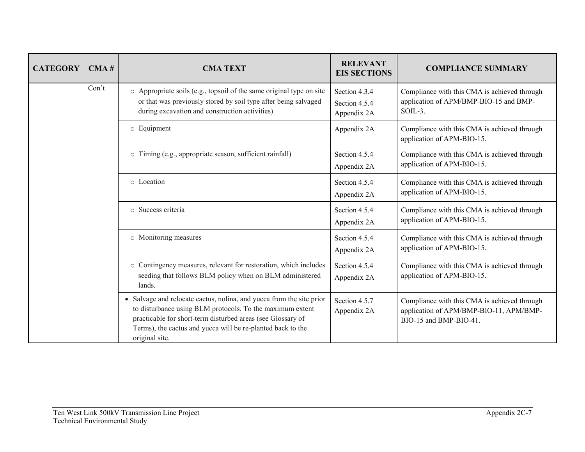| <b>CATEGORY</b> | CMA#  | <b>CMA TEXT</b>                                                                                                                                                                                                                                                                   | <b>RELEVANT</b><br><b>EIS SECTIONS</b>        | <b>COMPLIANCE SUMMARY</b>                                                                                         |
|-----------------|-------|-----------------------------------------------------------------------------------------------------------------------------------------------------------------------------------------------------------------------------------------------------------------------------------|-----------------------------------------------|-------------------------------------------------------------------------------------------------------------------|
|                 | Con't | o Appropriate soils (e.g., topsoil of the same original type on site<br>or that was previously stored by soil type after being salvaged<br>during excavation and construction activities)                                                                                         | Section 4.3.4<br>Section 4.5.4<br>Appendix 2A | Compliance with this CMA is achieved through<br>application of APM/BMP-BIO-15 and BMP-<br>SOIL-3.                 |
|                 |       | $\circ$ Equipment                                                                                                                                                                                                                                                                 | Appendix 2A                                   | Compliance with this CMA is achieved through<br>application of APM-BIO-15.                                        |
|                 |       | o Timing (e.g., appropriate season, sufficient rainfall)                                                                                                                                                                                                                          | Section 4.5.4<br>Appendix 2A                  | Compliance with this CMA is achieved through<br>application of APM-BIO-15.                                        |
|                 |       | o Location                                                                                                                                                                                                                                                                        | Section 4.5.4<br>Appendix 2A                  | Compliance with this CMA is achieved through<br>application of APM-BIO-15.                                        |
|                 |       | o Success criteria                                                                                                                                                                                                                                                                | Section 4.5.4<br>Appendix 2A                  | Compliance with this CMA is achieved through<br>application of APM-BIO-15.                                        |
|                 |       | o Monitoring measures                                                                                                                                                                                                                                                             | Section 4.5.4<br>Appendix 2A                  | Compliance with this CMA is achieved through<br>application of APM-BIO-15.                                        |
|                 |       | o Contingency measures, relevant for restoration, which includes<br>seeding that follows BLM policy when on BLM administered<br>lands.                                                                                                                                            | Section 4.5.4<br>Appendix 2A                  | Compliance with this CMA is achieved through<br>application of APM-BIO-15.                                        |
|                 |       | • Salvage and relocate cactus, nolina, and yucca from the site prior<br>to disturbance using BLM protocols. To the maximum extent<br>practicable for short-term disturbed areas (see Glossary of<br>Terms), the cactus and yucca will be re-planted back to the<br>original site. | Section 4.5.7<br>Appendix 2A                  | Compliance with this CMA is achieved through<br>application of APM/BMP-BIO-11, APM/BMP-<br>BIO-15 and BMP-BIO-41. |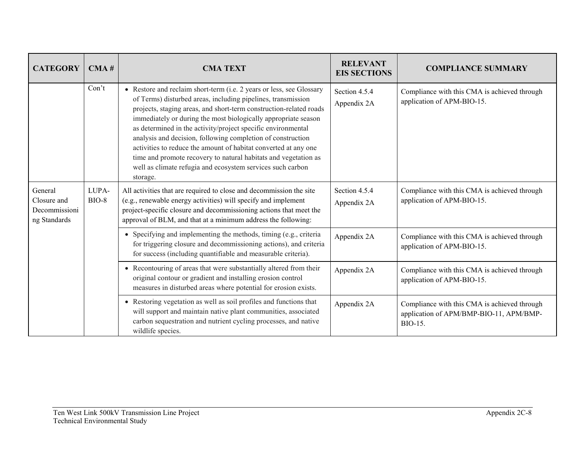| <b>CATEGORY</b>                                         | CMA#             | <b>CMA TEXT</b>                                                                                                                                                                                                                                                                                                                                                                                                                                                                                                                                                                                                             | <b>RELEVANT</b><br><b>EIS SECTIONS</b> | <b>COMPLIANCE SUMMARY</b>                                                                          |
|---------------------------------------------------------|------------------|-----------------------------------------------------------------------------------------------------------------------------------------------------------------------------------------------------------------------------------------------------------------------------------------------------------------------------------------------------------------------------------------------------------------------------------------------------------------------------------------------------------------------------------------------------------------------------------------------------------------------------|----------------------------------------|----------------------------------------------------------------------------------------------------|
|                                                         | Con't            | • Restore and reclaim short-term (i.e. 2 years or less, see Glossary<br>of Terms) disturbed areas, including pipelines, transmission<br>projects, staging areas, and short-term construction-related roads<br>immediately or during the most biologically appropriate season<br>as determined in the activity/project specific environmental<br>analysis and decision, following completion of construction<br>activities to reduce the amount of habitat converted at any one<br>time and promote recovery to natural habitats and vegetation as<br>well as climate refugia and ecosystem services such carbon<br>storage. | Section 4.5.4<br>Appendix 2A           | Compliance with this CMA is achieved through<br>application of APM-BIO-15.                         |
| General<br>Closure and<br>Decommissioni<br>ng Standards | LUPA-<br>$BIO-8$ | All activities that are required to close and decommission the site<br>(e.g., renewable energy activities) will specify and implement<br>project-specific closure and decommissioning actions that meet the<br>approval of BLM, and that at a minimum address the following:                                                                                                                                                                                                                                                                                                                                                | Section 4.5.4<br>Appendix 2A           | Compliance with this CMA is achieved through<br>application of APM-BIO-15.                         |
|                                                         |                  | • Specifying and implementing the methods, timing (e.g., criteria<br>for triggering closure and decommissioning actions), and criteria<br>for success (including quantifiable and measurable criteria).                                                                                                                                                                                                                                                                                                                                                                                                                     | Appendix 2A                            | Compliance with this CMA is achieved through<br>application of APM-BIO-15.                         |
|                                                         |                  | • Recontouring of areas that were substantially altered from their<br>original contour or gradient and installing erosion control<br>measures in disturbed areas where potential for erosion exists.                                                                                                                                                                                                                                                                                                                                                                                                                        | Appendix 2A                            | Compliance with this CMA is achieved through<br>application of APM-BIO-15.                         |
|                                                         |                  | • Restoring vegetation as well as soil profiles and functions that<br>will support and maintain native plant communities, associated<br>carbon sequestration and nutrient cycling processes, and native<br>wildlife species.                                                                                                                                                                                                                                                                                                                                                                                                | Appendix 2A                            | Compliance with this CMA is achieved through<br>application of APM/BMP-BIO-11, APM/BMP-<br>BIO-15. |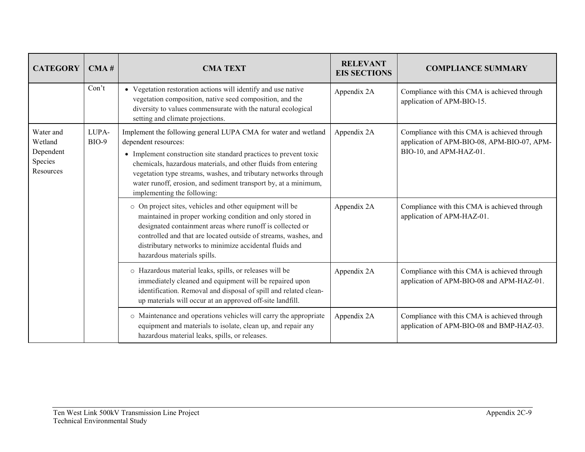| <b>CATEGORY</b>                                           | CMA#                  | <b>CMA TEXT</b>                                                                                                                                                                                                                                                                                                                                                                                    | <b>RELEVANT</b><br><b>EIS SECTIONS</b> | <b>COMPLIANCE SUMMARY</b>                                                                                              |
|-----------------------------------------------------------|-----------------------|----------------------------------------------------------------------------------------------------------------------------------------------------------------------------------------------------------------------------------------------------------------------------------------------------------------------------------------------------------------------------------------------------|----------------------------------------|------------------------------------------------------------------------------------------------------------------------|
|                                                           | Con't                 | • Vegetation restoration actions will identify and use native<br>vegetation composition, native seed composition, and the<br>diversity to values commensurate with the natural ecological<br>setting and climate projections.                                                                                                                                                                      | Appendix 2A                            | Compliance with this CMA is achieved through<br>application of APM-BIO-15.                                             |
| Water and<br>Wetland<br>Dependent<br>Species<br>Resources | LUPA-<br><b>BIO-9</b> | Implement the following general LUPA CMA for water and wetland<br>dependent resources:<br>• Implement construction site standard practices to prevent toxic<br>chemicals, hazardous materials, and other fluids from entering<br>vegetation type streams, washes, and tributary networks through<br>water runoff, erosion, and sediment transport by, at a minimum,<br>implementing the following: | Appendix 2A                            | Compliance with this CMA is achieved through<br>application of APM-BIO-08, APM-BIO-07, APM-<br>BIO-10, and APM-HAZ-01. |
|                                                           |                       | o On project sites, vehicles and other equipment will be<br>maintained in proper working condition and only stored in<br>designated containment areas where runoff is collected or<br>controlled and that are located outside of streams, washes, and<br>distributary networks to minimize accidental fluids and<br>hazardous materials spills.                                                    | Appendix 2A                            | Compliance with this CMA is achieved through<br>application of APM-HAZ-01.                                             |
|                                                           |                       | o Hazardous material leaks, spills, or releases will be<br>immediately cleaned and equipment will be repaired upon<br>identification. Removal and disposal of spill and related clean-<br>up materials will occur at an approved off-site landfill.                                                                                                                                                | Appendix 2A                            | Compliance with this CMA is achieved through<br>application of APM-BIO-08 and APM-HAZ-01.                              |
|                                                           |                       | o Maintenance and operations vehicles will carry the appropriate<br>equipment and materials to isolate, clean up, and repair any<br>hazardous material leaks, spills, or releases.                                                                                                                                                                                                                 | Appendix 2A                            | Compliance with this CMA is achieved through<br>application of APM-BIO-08 and BMP-HAZ-03.                              |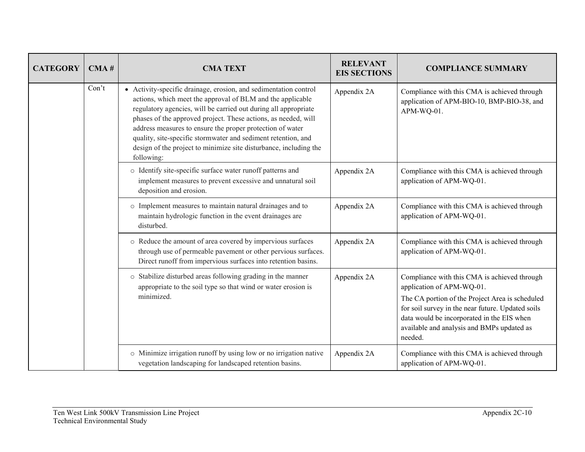| <b>CATEGORY</b> | CMA#  | <b>CMA TEXT</b>                                                                                                                                                                                                                                                                                                                                                                                                                                                                      | <b>RELEVANT</b><br><b>EIS SECTIONS</b> | <b>COMPLIANCE SUMMARY</b>                                                                                                                                                                                   |
|-----------------|-------|--------------------------------------------------------------------------------------------------------------------------------------------------------------------------------------------------------------------------------------------------------------------------------------------------------------------------------------------------------------------------------------------------------------------------------------------------------------------------------------|----------------------------------------|-------------------------------------------------------------------------------------------------------------------------------------------------------------------------------------------------------------|
|                 | Con't | • Activity-specific drainage, erosion, and sedimentation control<br>actions, which meet the approval of BLM and the applicable<br>regulatory agencies, will be carried out during all appropriate<br>phases of the approved project. These actions, as needed, will<br>address measures to ensure the proper protection of water<br>quality, site-specific stormwater and sediment retention, and<br>design of the project to minimize site disturbance, including the<br>following: | Appendix 2A                            | Compliance with this CMA is achieved through<br>application of APM-BIO-10, BMP-BIO-38, and<br>APM-WQ-01.                                                                                                    |
|                 |       | o Identify site-specific surface water runoff patterns and<br>implement measures to prevent excessive and unnatural soil<br>deposition and erosion.                                                                                                                                                                                                                                                                                                                                  | Appendix 2A                            | Compliance with this CMA is achieved through<br>application of APM-WQ-01.                                                                                                                                   |
|                 |       | o Implement measures to maintain natural drainages and to<br>maintain hydrologic function in the event drainages are<br>disturbed.                                                                                                                                                                                                                                                                                                                                                   | Appendix 2A                            | Compliance with this CMA is achieved through<br>application of APM-WQ-01.                                                                                                                                   |
|                 |       | o Reduce the amount of area covered by impervious surfaces<br>through use of permeable pavement or other pervious surfaces.<br>Direct runoff from impervious surfaces into retention basins.                                                                                                                                                                                                                                                                                         | Appendix 2A                            | Compliance with this CMA is achieved through<br>application of APM-WQ-01.                                                                                                                                   |
|                 |       | o Stabilize disturbed areas following grading in the manner<br>appropriate to the soil type so that wind or water erosion is                                                                                                                                                                                                                                                                                                                                                         | Appendix 2A                            | Compliance with this CMA is achieved through<br>application of APM-WQ-01.                                                                                                                                   |
|                 |       | minimized.                                                                                                                                                                                                                                                                                                                                                                                                                                                                           |                                        | The CA portion of the Project Area is scheduled<br>for soil survey in the near future. Updated soils<br>data would be incorporated in the EIS when<br>available and analysis and BMPs updated as<br>needed. |
|                 |       | o Minimize irrigation runoff by using low or no irrigation native<br>vegetation landscaping for landscaped retention basins.                                                                                                                                                                                                                                                                                                                                                         | Appendix 2A                            | Compliance with this CMA is achieved through<br>application of APM-WQ-01.                                                                                                                                   |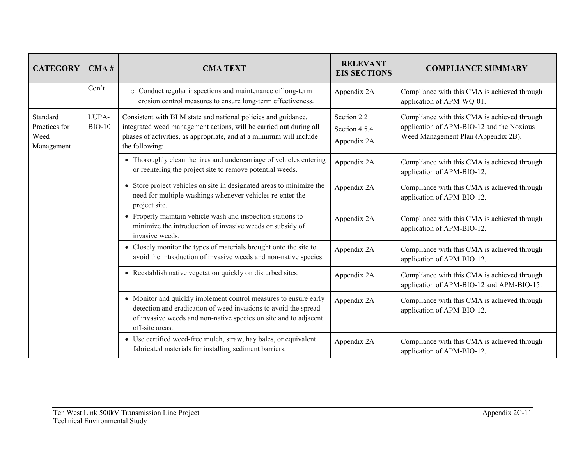| <b>CATEGORY</b>                                 | CMA#              | <b>CMA TEXT</b>                                                                                                                                                                                                              | <b>RELEVANT</b><br><b>EIS SECTIONS</b>      | <b>COMPLIANCE SUMMARY</b>                                                                                                        |
|-------------------------------------------------|-------------------|------------------------------------------------------------------------------------------------------------------------------------------------------------------------------------------------------------------------------|---------------------------------------------|----------------------------------------------------------------------------------------------------------------------------------|
|                                                 | Con't             | o Conduct regular inspections and maintenance of long-term<br>erosion control measures to ensure long-term effectiveness.                                                                                                    | Appendix 2A                                 | Compliance with this CMA is achieved through<br>application of APM-WQ-01.                                                        |
| Standard<br>Practices for<br>Weed<br>Management | LUPA-<br>$BIO-10$ | Consistent with BLM state and national policies and guidance,<br>integrated weed management actions, will be carried out during all<br>phases of activities, as appropriate, and at a minimum will include<br>the following: | Section 2.2<br>Section 4.5.4<br>Appendix 2A | Compliance with this CMA is achieved through<br>application of APM-BIO-12 and the Noxious<br>Weed Management Plan (Appendix 2B). |
|                                                 |                   | • Thoroughly clean the tires and undercarriage of vehicles entering<br>or reentering the project site to remove potential weeds.                                                                                             | Appendix 2A                                 | Compliance with this CMA is achieved through<br>application of APM-BIO-12.                                                       |
|                                                 |                   | • Store project vehicles on site in designated areas to minimize the<br>need for multiple washings whenever vehicles re-enter the<br>project site.                                                                           | Appendix 2A                                 | Compliance with this CMA is achieved through<br>application of APM-BIO-12.                                                       |
|                                                 |                   | • Properly maintain vehicle wash and inspection stations to<br>minimize the introduction of invasive weeds or subsidy of<br>invasive weeds.                                                                                  | Appendix 2A                                 | Compliance with this CMA is achieved through<br>application of APM-BIO-12.                                                       |
|                                                 |                   | • Closely monitor the types of materials brought onto the site to<br>avoid the introduction of invasive weeds and non-native species.                                                                                        | Appendix 2A                                 | Compliance with this CMA is achieved through<br>application of APM-BIO-12.                                                       |
|                                                 |                   | • Reestablish native vegetation quickly on disturbed sites.                                                                                                                                                                  | Appendix 2A                                 | Compliance with this CMA is achieved through<br>application of APM-BIO-12 and APM-BIO-15.                                        |
|                                                 |                   | • Monitor and quickly implement control measures to ensure early<br>detection and eradication of weed invasions to avoid the spread<br>of invasive weeds and non-native species on site and to adjacent<br>off-site areas.   | Appendix 2A                                 | Compliance with this CMA is achieved through<br>application of APM-BIO-12.                                                       |
|                                                 |                   | • Use certified weed-free mulch, straw, hay bales, or equivalent<br>fabricated materials for installing sediment barriers.                                                                                                   | Appendix 2A                                 | Compliance with this CMA is achieved through<br>application of APM-BIO-12.                                                       |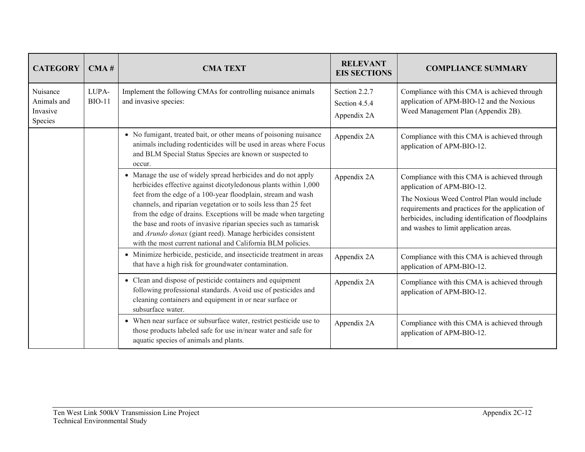| <b>CATEGORY</b>                                | CMA#              | <b>CMA TEXT</b>                                                                                                                                                                                                                                                                                                                                                                                                                                                                                                                          | <b>RELEVANT</b><br><b>EIS SECTIONS</b>        | <b>COMPLIANCE SUMMARY</b>                                                                                                                                                                                                                                                       |
|------------------------------------------------|-------------------|------------------------------------------------------------------------------------------------------------------------------------------------------------------------------------------------------------------------------------------------------------------------------------------------------------------------------------------------------------------------------------------------------------------------------------------------------------------------------------------------------------------------------------------|-----------------------------------------------|---------------------------------------------------------------------------------------------------------------------------------------------------------------------------------------------------------------------------------------------------------------------------------|
| Nuisance<br>Animals and<br>Invasive<br>Species | LUPA-<br>$BIO-11$ | Implement the following CMAs for controlling nuisance animals<br>and invasive species:                                                                                                                                                                                                                                                                                                                                                                                                                                                   | Section 2.2.7<br>Section 4.5.4<br>Appendix 2A | Compliance with this CMA is achieved through<br>application of APM-BIO-12 and the Noxious<br>Weed Management Plan (Appendix 2B).                                                                                                                                                |
|                                                |                   | • No fumigant, treated bait, or other means of poisoning nuisance<br>animals including rodenticides will be used in areas where Focus<br>and BLM Special Status Species are known or suspected to<br>occur.                                                                                                                                                                                                                                                                                                                              | Appendix 2A                                   | Compliance with this CMA is achieved through<br>application of APM-BIO-12.                                                                                                                                                                                                      |
|                                                |                   | • Manage the use of widely spread herbicides and do not apply<br>herbicides effective against dicotyledonous plants within 1,000<br>feet from the edge of a 100-year floodplain, stream and wash<br>channels, and riparian vegetation or to soils less than 25 feet<br>from the edge of drains. Exceptions will be made when targeting<br>the base and roots of invasive riparian species such as tamarisk<br>and Arundo donax (giant reed). Manage herbicides consistent<br>with the most current national and California BLM policies. | Appendix 2A                                   | Compliance with this CMA is achieved through<br>application of APM-BIO-12.<br>The Noxious Weed Control Plan would include<br>requirements and practices for the application of<br>herbicides, including identification of floodplains<br>and washes to limit application areas. |
|                                                |                   | • Minimize herbicide, pesticide, and insecticide treatment in areas<br>that have a high risk for groundwater contamination.                                                                                                                                                                                                                                                                                                                                                                                                              | Appendix 2A                                   | Compliance with this CMA is achieved through<br>application of APM-BIO-12.                                                                                                                                                                                                      |
|                                                |                   | • Clean and dispose of pesticide containers and equipment<br>following professional standards. Avoid use of pesticides and<br>cleaning containers and equipment in or near surface or<br>subsurface water.                                                                                                                                                                                                                                                                                                                               | Appendix 2A                                   | Compliance with this CMA is achieved through<br>application of APM-BIO-12.                                                                                                                                                                                                      |
|                                                |                   | • When near surface or subsurface water, restrict pesticide use to<br>those products labeled safe for use in/near water and safe for<br>aquatic species of animals and plants.                                                                                                                                                                                                                                                                                                                                                           | Appendix 2A                                   | Compliance with this CMA is achieved through<br>application of APM-BIO-12.                                                                                                                                                                                                      |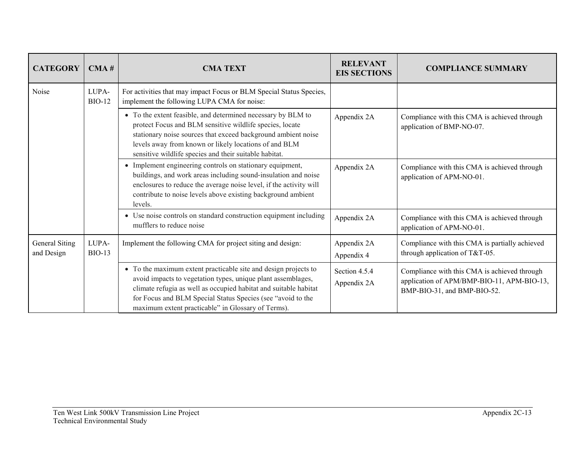| <b>CATEGORY</b>              | CMA#                   | <b>CMA TEXT</b>                                                                                                                                                                                                                                                                                                          | <b>RELEVANT</b><br><b>EIS SECTIONS</b> | <b>COMPLIANCE SUMMARY</b>                                                                                                 |
|------------------------------|------------------------|--------------------------------------------------------------------------------------------------------------------------------------------------------------------------------------------------------------------------------------------------------------------------------------------------------------------------|----------------------------------------|---------------------------------------------------------------------------------------------------------------------------|
| Noise                        | LUPA-<br><b>BIO-12</b> | For activities that may impact Focus or BLM Special Status Species,<br>implement the following LUPA CMA for noise:                                                                                                                                                                                                       |                                        |                                                                                                                           |
|                              |                        | • To the extent feasible, and determined necessary by BLM to<br>protect Focus and BLM sensitive wildlife species, locate<br>stationary noise sources that exceed background ambient noise<br>levels away from known or likely locations of and BLM<br>sensitive wildlife species and their suitable habitat.             | Appendix 2A                            | Compliance with this CMA is achieved through<br>application of BMP-NO-07.                                                 |
|                              |                        | • Implement engineering controls on stationary equipment,<br>buildings, and work areas including sound-insulation and noise<br>enclosures to reduce the average noise level, if the activity will<br>contribute to noise levels above existing background ambient<br>levels.                                             | Appendix 2A                            | Compliance with this CMA is achieved through<br>application of APM-NO-01.                                                 |
|                              |                        | • Use noise controls on standard construction equipment including<br>mufflers to reduce noise                                                                                                                                                                                                                            | Appendix 2A                            | Compliance with this CMA is achieved through<br>application of APM-NO-01.                                                 |
| General Siting<br>and Design | LUPA-<br><b>BIO-13</b> | Implement the following CMA for project siting and design:                                                                                                                                                                                                                                                               | Appendix 2A<br>Appendix 4              | Compliance with this CMA is partially achieved<br>through application of T&T-05.                                          |
|                              |                        | • To the maximum extent practicable site and design projects to<br>avoid impacts to vegetation types, unique plant assemblages,<br>climate refugia as well as occupied habitat and suitable habitat<br>for Focus and BLM Special Status Species (see "avoid to the<br>maximum extent practicable" in Glossary of Terms). | Section 4.5.4<br>Appendix 2A           | Compliance with this CMA is achieved through<br>application of APM/BMP-BIO-11, APM-BIO-13,<br>BMP-BIO-31, and BMP-BIO-52. |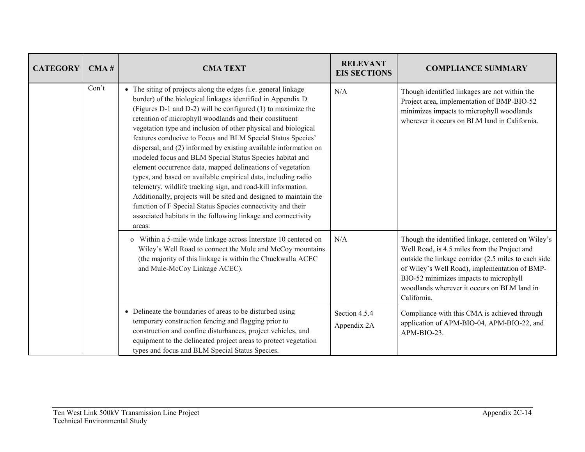| <b>CATEGORY</b> | CMA#  | <b>CMA TEXT</b>                                                                                                                                                                                                                                                                                                                                                                                                                                                                                                                                                                                                                                                                                                                                                                                                                                                                                                                          | <b>RELEVANT</b><br><b>EIS SECTIONS</b> | <b>COMPLIANCE SUMMARY</b>                                                                                                                                                                                                                                                                                           |
|-----------------|-------|------------------------------------------------------------------------------------------------------------------------------------------------------------------------------------------------------------------------------------------------------------------------------------------------------------------------------------------------------------------------------------------------------------------------------------------------------------------------------------------------------------------------------------------------------------------------------------------------------------------------------------------------------------------------------------------------------------------------------------------------------------------------------------------------------------------------------------------------------------------------------------------------------------------------------------------|----------------------------------------|---------------------------------------------------------------------------------------------------------------------------------------------------------------------------------------------------------------------------------------------------------------------------------------------------------------------|
|                 | Con't | • The siting of projects along the edges (i.e. general linkage<br>border) of the biological linkages identified in Appendix D<br>(Figures D-1 and D-2) will be configured (1) to maximize the<br>retention of microphyll woodlands and their constituent<br>vegetation type and inclusion of other physical and biological<br>features conducive to Focus and BLM Special Status Species'<br>dispersal, and (2) informed by existing available information on<br>modeled focus and BLM Special Status Species habitat and<br>element occurrence data, mapped delineations of vegetation<br>types, and based on available empirical data, including radio<br>telemetry, wildlife tracking sign, and road-kill information.<br>Additionally, projects will be sited and designed to maintain the<br>function of F Special Status Species connectivity and their<br>associated habitats in the following linkage and connectivity<br>areas: | N/A                                    | Though identified linkages are not within the<br>Project area, implementation of BMP-BIO-52<br>minimizes impacts to microphyll woodlands<br>wherever it occurs on BLM land in California.                                                                                                                           |
|                 |       | o Within a 5-mile-wide linkage across Interstate 10 centered on<br>Wiley's Well Road to connect the Mule and McCoy mountains<br>(the majority of this linkage is within the Chuckwalla ACEC<br>and Mule-McCoy Linkage ACEC).                                                                                                                                                                                                                                                                                                                                                                                                                                                                                                                                                                                                                                                                                                             | N/A                                    | Though the identified linkage, centered on Wiley's<br>Well Road, is 4.5 miles from the Project and<br>outside the linkage corridor (2.5 miles to each side<br>of Wiley's Well Road), implementation of BMP-<br>BIO-52 minimizes impacts to microphyll<br>woodlands wherever it occurs on BLM land in<br>California. |
|                 |       | • Delineate the boundaries of areas to be disturbed using<br>temporary construction fencing and flagging prior to<br>construction and confine disturbances, project vehicles, and<br>equipment to the delineated project areas to protect vegetation<br>types and focus and BLM Special Status Species.                                                                                                                                                                                                                                                                                                                                                                                                                                                                                                                                                                                                                                  | Section 4.5.4<br>Appendix 2A           | Compliance with this CMA is achieved through<br>application of APM-BIO-04, APM-BIO-22, and<br>APM-BIO-23.                                                                                                                                                                                                           |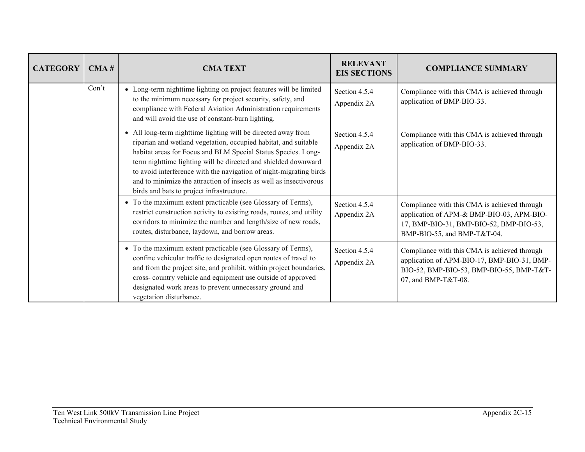| <b>CATEGORY</b> | CMA#  | <b>CMA TEXT</b>                                                                                                                                                                                                                                                                                                                                                                                                                                              | <b>RELEVANT</b><br><b>EIS SECTIONS</b> | <b>COMPLIANCE SUMMARY</b>                                                                                                                                           |
|-----------------|-------|--------------------------------------------------------------------------------------------------------------------------------------------------------------------------------------------------------------------------------------------------------------------------------------------------------------------------------------------------------------------------------------------------------------------------------------------------------------|----------------------------------------|---------------------------------------------------------------------------------------------------------------------------------------------------------------------|
|                 | Con't | • Long-term nighttime lighting on project features will be limited<br>to the minimum necessary for project security, safety, and<br>compliance with Federal Aviation Administration requirements<br>and will avoid the use of constant-burn lighting.                                                                                                                                                                                                        | Section 4.5.4<br>Appendix 2A           | Compliance with this CMA is achieved through<br>application of BMP-BIO-33.                                                                                          |
|                 |       | • All long-term nighttime lighting will be directed away from<br>riparian and wetland vegetation, occupied habitat, and suitable<br>habitat areas for Focus and BLM Special Status Species. Long-<br>term nighttime lighting will be directed and shielded downward<br>to avoid interference with the navigation of night-migrating birds<br>and to minimize the attraction of insects as well as insectivorous<br>birds and bats to project infrastructure. | Section 4.5.4<br>Appendix 2A           | Compliance with this CMA is achieved through<br>application of BMP-BIO-33.                                                                                          |
|                 |       | • To the maximum extent practicable (see Glossary of Terms),<br>restrict construction activity to existing roads, routes, and utility<br>corridors to minimize the number and length/size of new roads,<br>routes, disturbance, laydown, and borrow areas.                                                                                                                                                                                                   | Section 4.5.4<br>Appendix 2A           | Compliance with this CMA is achieved through<br>application of APM-& BMP-BIO-03, APM-BIO-<br>17, BMP-BIO-31, BMP-BIO-52, BMP-BIO-53,<br>BMP-BIO-55, and BMP-T&T-04. |
|                 |       | • To the maximum extent practicable (see Glossary of Terms),<br>confine vehicular traffic to designated open routes of travel to<br>and from the project site, and prohibit, within project boundaries,<br>cross- country vehicle and equipment use outside of approved<br>designated work areas to prevent unnecessary ground and<br>vegetation disturbance.                                                                                                | Section 4.5.4<br>Appendix 2A           | Compliance with this CMA is achieved through<br>application of APM-BIO-17, BMP-BIO-31, BMP-<br>BIO-52, BMP-BIO-53, BMP-BIO-55, BMP-T&T-<br>07, and BMP-T&T-08.      |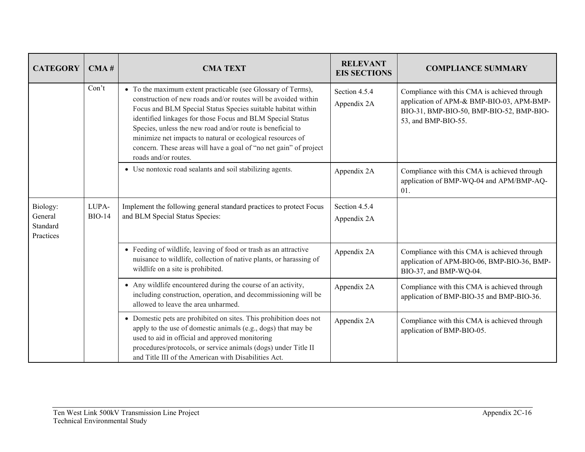| <b>CATEGORY</b>                  | CMA#          | <b>CMA TEXT</b>                                                                                                                                                                                                                                                                                                                                                                                                                                                                       | <b>RELEVANT</b><br><b>EIS SECTIONS</b> | <b>COMPLIANCE SUMMARY</b>                                                                                                                                    |
|----------------------------------|---------------|---------------------------------------------------------------------------------------------------------------------------------------------------------------------------------------------------------------------------------------------------------------------------------------------------------------------------------------------------------------------------------------------------------------------------------------------------------------------------------------|----------------------------------------|--------------------------------------------------------------------------------------------------------------------------------------------------------------|
|                                  | Con't         | • To the maximum extent practicable (see Glossary of Terms),<br>construction of new roads and/or routes will be avoided within<br>Focus and BLM Special Status Species suitable habitat within<br>identified linkages for those Focus and BLM Special Status<br>Species, unless the new road and/or route is beneficial to<br>minimize net impacts to natural or ecological resources of<br>concern. These areas will have a goal of "no net gain" of project<br>roads and/or routes. | Section 4.5.4<br>Appendix 2A           | Compliance with this CMA is achieved through<br>application of APM-& BMP-BIO-03, APM-BMP-<br>BIO-31, BMP-BIO-50, BMP-BIO-52, BMP-BIO-<br>53, and BMP-BIO-55. |
|                                  |               | • Use nontoxic road sealants and soil stabilizing agents.                                                                                                                                                                                                                                                                                                                                                                                                                             | Appendix 2A                            | Compliance with this CMA is achieved through<br>application of BMP-WQ-04 and APM/BMP-AQ-<br>01.                                                              |
| Biology:                         | LUPA-         | Implement the following general standard practices to protect Focus                                                                                                                                                                                                                                                                                                                                                                                                                   | Section 4.5.4                          |                                                                                                                                                              |
| General<br>Standard<br>Practices | <b>BIO-14</b> | and BLM Special Status Species:                                                                                                                                                                                                                                                                                                                                                                                                                                                       | Appendix 2A                            |                                                                                                                                                              |
|                                  |               | • Feeding of wildlife, leaving of food or trash as an attractive<br>nuisance to wildlife, collection of native plants, or harassing of<br>wildlife on a site is prohibited.                                                                                                                                                                                                                                                                                                           | Appendix 2A                            | Compliance with this CMA is achieved through<br>application of APM-BIO-06, BMP-BIO-36, BMP-<br>BIO-37, and BMP-WQ-04.                                        |
|                                  |               | • Any wildlife encountered during the course of an activity,<br>including construction, operation, and decommissioning will be<br>allowed to leave the area unharmed.                                                                                                                                                                                                                                                                                                                 | Appendix 2A                            | Compliance with this CMA is achieved through<br>application of BMP-BIO-35 and BMP-BIO-36.                                                                    |
|                                  |               | • Domestic pets are prohibited on sites. This prohibition does not<br>apply to the use of domestic animals (e.g., dogs) that may be<br>used to aid in official and approved monitoring<br>procedures/protocols, or service animals (dogs) under Title II<br>and Title III of the American with Disabilities Act.                                                                                                                                                                      | Appendix 2A                            | Compliance with this CMA is achieved through<br>application of BMP-BIO-05.                                                                                   |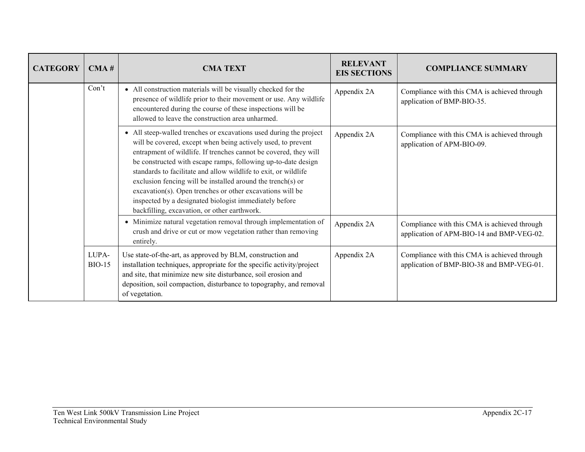| <b>CATEGORY</b> | CMA#                   | <b>CMA TEXT</b>                                                                                                                                                                                                                                                                                                                                                                                                                                                                                                                                                                  | <b>RELEVANT</b><br><b>EIS SECTIONS</b> | <b>COMPLIANCE SUMMARY</b>                                                                 |
|-----------------|------------------------|----------------------------------------------------------------------------------------------------------------------------------------------------------------------------------------------------------------------------------------------------------------------------------------------------------------------------------------------------------------------------------------------------------------------------------------------------------------------------------------------------------------------------------------------------------------------------------|----------------------------------------|-------------------------------------------------------------------------------------------|
|                 | Con't                  | • All construction materials will be visually checked for the<br>presence of wildlife prior to their movement or use. Any wildlife<br>encountered during the course of these inspections will be<br>allowed to leave the construction area unharmed.                                                                                                                                                                                                                                                                                                                             | Appendix 2A                            | Compliance with this CMA is achieved through<br>application of BMP-BIO-35.                |
|                 |                        | • All steep-walled trenches or excavations used during the project<br>will be covered, except when being actively used, to prevent<br>entrapment of wildlife. If trenches cannot be covered, they will<br>be constructed with escape ramps, following up-to-date design<br>standards to facilitate and allow wildlife to exit, or wildlife<br>exclusion fencing will be installed around the trench(s) or<br>excavation(s). Open trenches or other excavations will be<br>inspected by a designated biologist immediately before<br>backfilling, excavation, or other earthwork. | Appendix 2A                            | Compliance with this CMA is achieved through<br>application of APM-BIO-09.                |
|                 |                        | • Minimize natural vegetation removal through implementation of<br>crush and drive or cut or mow vegetation rather than removing<br>entirely.                                                                                                                                                                                                                                                                                                                                                                                                                                    | Appendix 2A                            | Compliance with this CMA is achieved through<br>application of APM-BIO-14 and BMP-VEG-02. |
|                 | LUPA-<br><b>BIO-15</b> | Use state-of-the-art, as approved by BLM, construction and<br>installation techniques, appropriate for the specific activity/project<br>and site, that minimize new site disturbance, soil erosion and<br>deposition, soil compaction, disturbance to topography, and removal<br>of vegetation.                                                                                                                                                                                                                                                                                  | Appendix 2A                            | Compliance with this CMA is achieved through<br>application of BMP-BIO-38 and BMP-VEG-01. |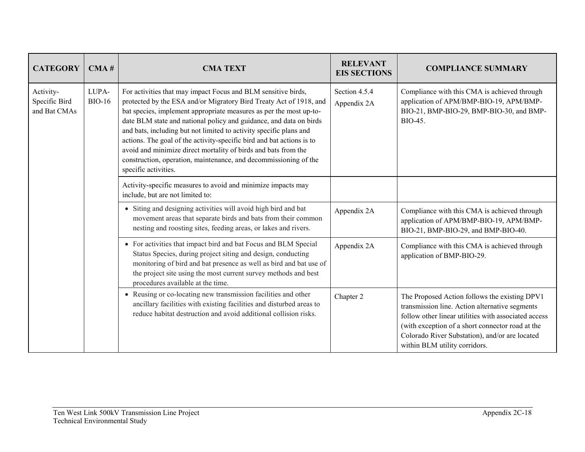| <b>CATEGORY</b>                            | CMA#                   | <b>CMA TEXT</b>                                                                                                                                                                                                                                                                                                                                                                                                                                                                                                                                                                              | <b>RELEVANT</b><br><b>EIS SECTIONS</b> | <b>COMPLIANCE SUMMARY</b>                                                                                                                                                                                                                                                                      |
|--------------------------------------------|------------------------|----------------------------------------------------------------------------------------------------------------------------------------------------------------------------------------------------------------------------------------------------------------------------------------------------------------------------------------------------------------------------------------------------------------------------------------------------------------------------------------------------------------------------------------------------------------------------------------------|----------------------------------------|------------------------------------------------------------------------------------------------------------------------------------------------------------------------------------------------------------------------------------------------------------------------------------------------|
| Activity-<br>Specific Bird<br>and Bat CMAs | LUPA-<br><b>BIO-16</b> | For activities that may impact Focus and BLM sensitive birds,<br>protected by the ESA and/or Migratory Bird Treaty Act of 1918, and<br>bat species, implement appropriate measures as per the most up-to-<br>date BLM state and national policy and guidance, and data on birds<br>and bats, including but not limited to activity specific plans and<br>actions. The goal of the activity-specific bird and bat actions is to<br>avoid and minimize direct mortality of birds and bats from the<br>construction, operation, maintenance, and decommissioning of the<br>specific activities. | Section 4.5.4<br>Appendix 2A           | Compliance with this CMA is achieved through<br>application of APM/BMP-BIO-19, APM/BMP-<br>BIO-21, BMP-BIO-29, BMP-BIO-30, and BMP-<br>BIO-45.                                                                                                                                                 |
|                                            |                        | Activity-specific measures to avoid and minimize impacts may<br>include, but are not limited to:                                                                                                                                                                                                                                                                                                                                                                                                                                                                                             |                                        |                                                                                                                                                                                                                                                                                                |
|                                            |                        | • Siting and designing activities will avoid high bird and bat<br>movement areas that separate birds and bats from their common<br>nesting and roosting sites, feeding areas, or lakes and rivers.                                                                                                                                                                                                                                                                                                                                                                                           | Appendix 2A                            | Compliance with this CMA is achieved through<br>application of APM/BMP-BIO-19, APM/BMP-<br>BIO-21, BMP-BIO-29, and BMP-BIO-40.                                                                                                                                                                 |
|                                            |                        | • For activities that impact bird and bat Focus and BLM Special<br>Status Species, during project siting and design, conducting<br>monitoring of bird and bat presence as well as bird and bat use of<br>the project site using the most current survey methods and best<br>procedures available at the time.                                                                                                                                                                                                                                                                                | Appendix 2A                            | Compliance with this CMA is achieved through<br>application of BMP-BIO-29.                                                                                                                                                                                                                     |
|                                            |                        | • Reusing or co-locating new transmission facilities and other<br>ancillary facilities with existing facilities and disturbed areas to<br>reduce habitat destruction and avoid additional collision risks.                                                                                                                                                                                                                                                                                                                                                                                   | Chapter 2                              | The Proposed Action follows the existing DPV1<br>transmission line. Action alternative segments<br>follow other linear utilities with associated access<br>(with exception of a short connector road at the<br>Colorado River Substation), and/or are located<br>within BLM utility corridors. |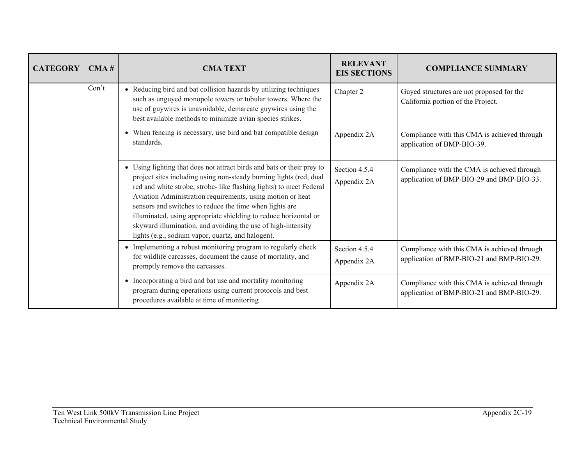| <b>CATEGORY</b> | CMA#  | <b>CMA TEXT</b>                                                                                                                                                                                                                                                                                                                                                                                                                                                                                                                       | <b>RELEVANT</b><br><b>EIS SECTIONS</b> | <b>COMPLIANCE SUMMARY</b>                                                                 |
|-----------------|-------|---------------------------------------------------------------------------------------------------------------------------------------------------------------------------------------------------------------------------------------------------------------------------------------------------------------------------------------------------------------------------------------------------------------------------------------------------------------------------------------------------------------------------------------|----------------------------------------|-------------------------------------------------------------------------------------------|
|                 | Con't | • Reducing bird and bat collision hazards by utilizing techniques<br>such as unguyed monopole towers or tubular towers. Where the<br>use of guywires is unavoidable, demarcate guywires using the<br>best available methods to minimize avian species strikes.                                                                                                                                                                                                                                                                        | Chapter 2                              | Guyed structures are not proposed for the<br>California portion of the Project.           |
|                 |       | • When fencing is necessary, use bird and bat compatible design<br>standards.                                                                                                                                                                                                                                                                                                                                                                                                                                                         | Appendix 2A                            | Compliance with this CMA is achieved through<br>application of BMP-BIO-39.                |
|                 |       | • Using lighting that does not attract birds and bats or their prey to<br>project sites including using non-steady burning lights (red, dual<br>red and white strobe, strobe- like flashing lights) to meet Federal<br>Aviation Administration requirements, using motion or heat<br>sensors and switches to reduce the time when lights are<br>illuminated, using appropriate shielding to reduce horizontal or<br>skyward illumination, and avoiding the use of high-intensity<br>lights (e.g., sodium vapor, quartz, and halogen). | Section 4.5.4<br>Appendix 2A           | Compliance with the CMA is achieved through<br>application of BMP-BIO-29 and BMP-BIO-33.  |
|                 |       | • Implementing a robust monitoring program to regularly check<br>for wildlife carcasses, document the cause of mortality, and<br>promptly remove the carcasses.                                                                                                                                                                                                                                                                                                                                                                       | Section 4.5.4<br>Appendix 2A           | Compliance with this CMA is achieved through<br>application of BMP-BIO-21 and BMP-BIO-29. |
|                 |       | • Incorporating a bird and bat use and mortality monitoring<br>program during operations using current protocols and best<br>procedures available at time of monitoring                                                                                                                                                                                                                                                                                                                                                               | Appendix 2A                            | Compliance with this CMA is achieved through<br>application of BMP-BIO-21 and BMP-BIO-29. |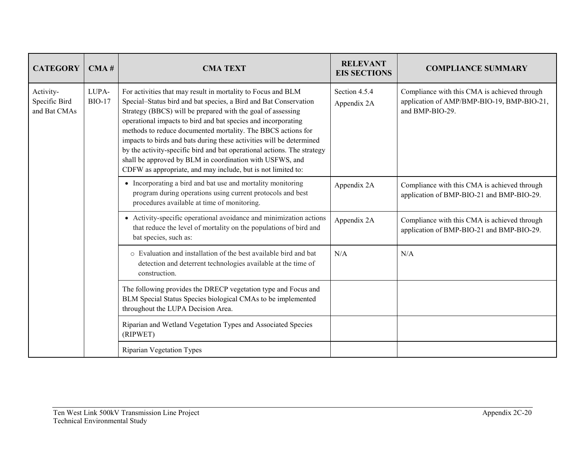| <b>CATEGORY</b>                            | CMA#              | <b>CMA TEXT</b>                                                                                                                                                                                                                                                                                                                                                                                                                                                                                                                                                                                                 | <b>RELEVANT</b><br><b>EIS SECTIONS</b> | <b>COMPLIANCE SUMMARY</b>                                                                                     |
|--------------------------------------------|-------------------|-----------------------------------------------------------------------------------------------------------------------------------------------------------------------------------------------------------------------------------------------------------------------------------------------------------------------------------------------------------------------------------------------------------------------------------------------------------------------------------------------------------------------------------------------------------------------------------------------------------------|----------------------------------------|---------------------------------------------------------------------------------------------------------------|
| Activity-<br>Specific Bird<br>and Bat CMAs | LUPA-<br>$BIO-17$ | For activities that may result in mortality to Focus and BLM<br>Special-Status bird and bat species, a Bird and Bat Conservation<br>Strategy (BBCS) will be prepared with the goal of assessing<br>operational impacts to bird and bat species and incorporating<br>methods to reduce documented mortality. The BBCS actions for<br>impacts to birds and bats during these activities will be determined<br>by the activity-specific bird and bat operational actions. The strategy<br>shall be approved by BLM in coordination with USFWS, and<br>CDFW as appropriate, and may include, but is not limited to: | Section 4.5.4<br>Appendix 2A           | Compliance with this CMA is achieved through<br>application of AMP/BMP-BIO-19, BMP-BIO-21,<br>and BMP-BIO-29. |
|                                            |                   | • Incorporating a bird and bat use and mortality monitoring<br>program during operations using current protocols and best<br>procedures available at time of monitoring.                                                                                                                                                                                                                                                                                                                                                                                                                                        | Appendix 2A                            | Compliance with this CMA is achieved through<br>application of BMP-BIO-21 and BMP-BIO-29.                     |
|                                            |                   | • Activity-specific operational avoidance and minimization actions<br>that reduce the level of mortality on the populations of bird and<br>bat species, such as:                                                                                                                                                                                                                                                                                                                                                                                                                                                | Appendix 2A                            | Compliance with this CMA is achieved through<br>application of BMP-BIO-21 and BMP-BIO-29.                     |
|                                            |                   | o Evaluation and installation of the best available bird and bat<br>detection and deterrent technologies available at the time of<br>construction.                                                                                                                                                                                                                                                                                                                                                                                                                                                              | N/A                                    | N/A                                                                                                           |
|                                            |                   | The following provides the DRECP vegetation type and Focus and<br>BLM Special Status Species biological CMAs to be implemented<br>throughout the LUPA Decision Area.                                                                                                                                                                                                                                                                                                                                                                                                                                            |                                        |                                                                                                               |
|                                            |                   | Riparian and Wetland Vegetation Types and Associated Species<br>(RIPWET)                                                                                                                                                                                                                                                                                                                                                                                                                                                                                                                                        |                                        |                                                                                                               |
|                                            |                   | <b>Riparian Vegetation Types</b>                                                                                                                                                                                                                                                                                                                                                                                                                                                                                                                                                                                |                                        |                                                                                                               |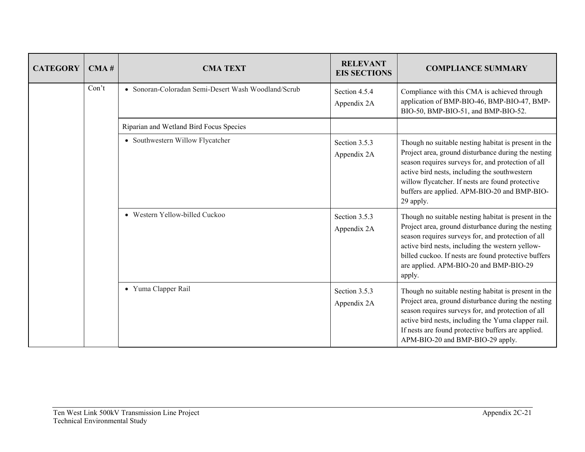| <b>CATEGORY</b> | CMA#  | <b>CMA TEXT</b>                                     | <b>RELEVANT</b><br><b>EIS SECTIONS</b> | <b>COMPLIANCE SUMMARY</b>                                                                                                                                                                                                                                                                                                           |
|-----------------|-------|-----------------------------------------------------|----------------------------------------|-------------------------------------------------------------------------------------------------------------------------------------------------------------------------------------------------------------------------------------------------------------------------------------------------------------------------------------|
|                 | Con't | • Sonoran-Coloradan Semi-Desert Wash Woodland/Scrub | Section 4.5.4<br>Appendix 2A           | Compliance with this CMA is achieved through<br>application of BMP-BIO-46, BMP-BIO-47, BMP-<br>BIO-50, BMP-BIO-51, and BMP-BIO-52.                                                                                                                                                                                                  |
|                 |       | Riparian and Wetland Bird Focus Species             |                                        |                                                                                                                                                                                                                                                                                                                                     |
|                 |       | • Southwestern Willow Flycatcher                    | Section 3.5.3<br>Appendix 2A           | Though no suitable nesting habitat is present in the<br>Project area, ground disturbance during the nesting<br>season requires surveys for, and protection of all<br>active bird nests, including the southwestern<br>willow flycatcher. If nests are found protective<br>buffers are applied. APM-BIO-20 and BMP-BIO-<br>29 apply. |
|                 |       | • Western Yellow-billed Cuckoo                      | Section 3.5.3<br>Appendix 2A           | Though no suitable nesting habitat is present in the<br>Project area, ground disturbance during the nesting<br>season requires surveys for, and protection of all<br>active bird nests, including the western yellow-<br>billed cuckoo. If nests are found protective buffers<br>are applied. APM-BIO-20 and BMP-BIO-29<br>apply.   |
|                 |       | • Yuma Clapper Rail                                 | Section 3.5.3<br>Appendix 2A           | Though no suitable nesting habitat is present in the<br>Project area, ground disturbance during the nesting<br>season requires surveys for, and protection of all<br>active bird nests, including the Yuma clapper rail.<br>If nests are found protective buffers are applied.<br>APM-BIO-20 and BMP-BIO-29 apply.                  |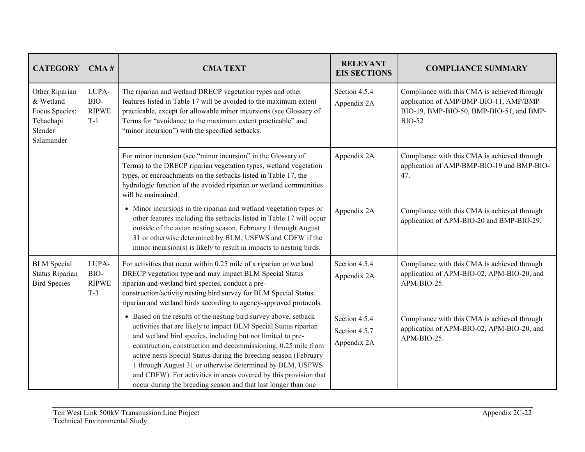| <b>CATEGORY</b>                                                                     | CMA#                                   | <b>CMA TEXT</b>                                                                                                                                                                                                                                                                                                                                                                                                                                                                                                                               | <b>RELEVANT</b><br><b>EIS SECTIONS</b>        | <b>COMPLIANCE SUMMARY</b>                                                                                                                            |
|-------------------------------------------------------------------------------------|----------------------------------------|-----------------------------------------------------------------------------------------------------------------------------------------------------------------------------------------------------------------------------------------------------------------------------------------------------------------------------------------------------------------------------------------------------------------------------------------------------------------------------------------------------------------------------------------------|-----------------------------------------------|------------------------------------------------------------------------------------------------------------------------------------------------------|
| Other Riparian<br>& Wetland<br>Focus Species:<br>Tehachapi<br>Slender<br>Salamander | LUPA-<br>BIO-<br><b>RIPWE</b><br>$T-1$ | The riparian and wetland DRECP vegetation types and other<br>features listed in Table 17 will be avoided to the maximum extent<br>practicable, except for allowable minor incursions (see Glossary of<br>Terms for "avoidance to the maximum extent practicable" and<br>"minor incursion") with the specified setbacks.                                                                                                                                                                                                                       | Section 4.5.4<br>Appendix 2A                  | Compliance with this CMA is achieved through<br>application of AMP/BMP-BIO-11, AMP/BMP-<br>BIO-19, BMP-BIO-50, BMP-BIO-51, and BMP-<br><b>BIO-52</b> |
|                                                                                     |                                        | For minor incursion (see "minor incursion" in the Glossary of<br>Terms) to the DRECP riparian vegetation types, wetland vegetation<br>types, or encroachments on the setbacks listed in Table 17, the<br>hydrologic function of the avoided riparian or wetland communities<br>will be maintained.                                                                                                                                                                                                                                            | Appendix 2A                                   | Compliance with this CMA is achieved through<br>application of AMP/BMP-BIO-19 and BMP-BIO-<br>47.                                                    |
|                                                                                     |                                        | • Minor incursions in the riparian and wetland vegetation types or<br>other features including the setbacks listed in Table 17 will occur<br>outside of the avian nesting season, February 1 through August<br>31 or otherwise determined by BLM, USFWS and CDFW if the<br>minor incursion(s) is likely to result in impacts to nesting birds.                                                                                                                                                                                                | Appendix 2A                                   | Compliance with this CMA is achieved through<br>application of APM-BIO-20 and BMP-BIO-29.                                                            |
| <b>BLM</b> Special<br>Status Riparian<br><b>Bird Species</b>                        | LUPA-<br>BIO-<br><b>RIPWE</b><br>$T-3$ | For activities that occur within 0.25 mile of a riparian or wetland<br>DRECP vegetation type and may impact BLM Special Status<br>riparian and wetland bird species, conduct a pre-<br>construction/activity nesting bird survey for BLM Special Status<br>riparian and wetland birds according to agency-approved protocols.                                                                                                                                                                                                                 | Section 4.5.4<br>Appendix 2A                  | Compliance with this CMA is achieved through<br>application of APM-BIO-02, APM-BIO-20, and<br>APM-BIO-25.                                            |
|                                                                                     |                                        | • Based on the results of the nesting bird survey above, setback<br>activities that are likely to impact BLM Special Status riparian<br>and wetland bird species, including but not limited to pre-<br>construction, construction and decommissioning, 0.25 mile from<br>active nests Special Status during the breeding season (February<br>1 through August 31 or otherwise determined by BLM, USFWS<br>and CDFW). For activities in areas covered by this provision that<br>occur during the breeding season and that last longer than one | Section 4.5.4<br>Section 4.5.7<br>Appendix 2A | Compliance with this CMA is achieved through<br>application of APM-BIO-02, APM-BIO-20, and<br>APM-BIO-25.                                            |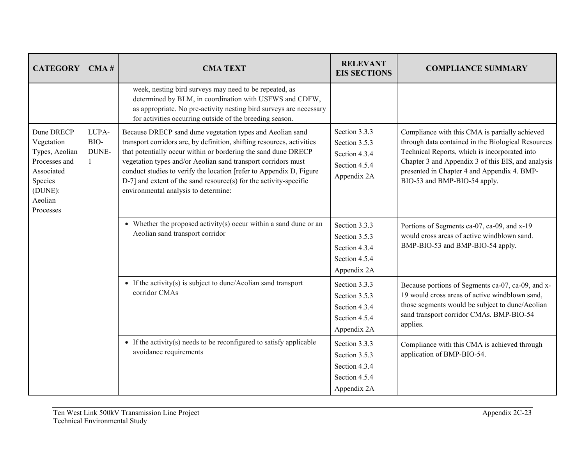| <b>CATEGORY</b>                                                                                                         | CMA#                                   | <b>CMA TEXT</b>                                                                                                                                                                                                                                                                                                                                                                                                                                               | <b>RELEVANT</b><br><b>EIS SECTIONS</b>                                          | <b>COMPLIANCE SUMMARY</b>                                                                                                                                                                                                                                                                  |
|-------------------------------------------------------------------------------------------------------------------------|----------------------------------------|---------------------------------------------------------------------------------------------------------------------------------------------------------------------------------------------------------------------------------------------------------------------------------------------------------------------------------------------------------------------------------------------------------------------------------------------------------------|---------------------------------------------------------------------------------|--------------------------------------------------------------------------------------------------------------------------------------------------------------------------------------------------------------------------------------------------------------------------------------------|
|                                                                                                                         |                                        | week, nesting bird surveys may need to be repeated, as<br>determined by BLM, in coordination with USFWS and CDFW,<br>as appropriate. No pre-activity nesting bird surveys are necessary<br>for activities occurring outside of the breeding season.                                                                                                                                                                                                           |                                                                                 |                                                                                                                                                                                                                                                                                            |
| Dune DRECP<br>Vegetation<br>Types, Aeolian<br>Processes and<br>Associated<br>Species<br>(DUNE):<br>Aeolian<br>Processes | LUPA-<br>BIO-<br>DUNE-<br>$\mathbf{1}$ | Because DRECP sand dune vegetation types and Aeolian sand<br>transport corridors are, by definition, shifting resources, activities<br>that potentially occur within or bordering the sand dune DRECP<br>vegetation types and/or Aeolian sand transport corridors must<br>conduct studies to verify the location [refer to Appendix D, Figure<br>$D-7$ ] and extent of the sand resource(s) for the activity-specific<br>environmental analysis to determine: | Section 3.3.3<br>Section 3.5.3<br>Section 4.3.4<br>Section 4.5.4<br>Appendix 2A | Compliance with this CMA is partially achieved<br>through data contained in the Biological Resources<br>Technical Reports, which is incorporated into<br>Chapter 3 and Appendix 3 of this EIS, and analysis<br>presented in Chapter 4 and Appendix 4. BMP-<br>BIO-53 and BMP-BIO-54 apply. |
|                                                                                                                         |                                        | • Whether the proposed activity(s) occur within a sand dune or an<br>Aeolian sand transport corridor                                                                                                                                                                                                                                                                                                                                                          | Section 3.3.3<br>Section 3.5.3<br>Section 4.3.4<br>Section 4.5.4<br>Appendix 2A | Portions of Segments ca-07, ca-09, and x-19<br>would cross areas of active windblown sand.<br>BMP-BIO-53 and BMP-BIO-54 apply.                                                                                                                                                             |
|                                                                                                                         |                                        | • If the activity(s) is subject to dune/Aeolian sand transport<br>corridor CMAs                                                                                                                                                                                                                                                                                                                                                                               | Section 3.3.3<br>Section 3.5.3<br>Section 4.3.4<br>Section 4.5.4<br>Appendix 2A | Because portions of Segments ca-07, ca-09, and x-<br>19 would cross areas of active windblown sand,<br>those segments would be subject to dune/Aeolian<br>sand transport corridor CMAs. BMP-BIO-54<br>applies.                                                                             |
|                                                                                                                         |                                        | • If the activity(s) needs to be reconfigured to satisfy applicable<br>avoidance requirements                                                                                                                                                                                                                                                                                                                                                                 | Section 3.3.3<br>Section 3.5.3<br>Section 4.3.4<br>Section 4.5.4<br>Appendix 2A | Compliance with this CMA is achieved through<br>application of BMP-BIO-54.                                                                                                                                                                                                                 |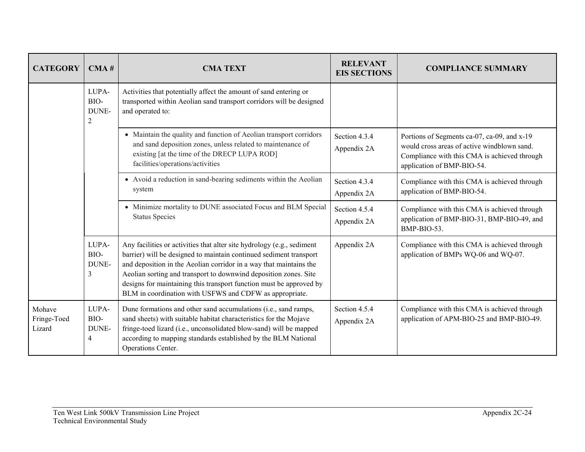| <b>CATEGORY</b>                 | CMA#                                     | <b>CMA TEXT</b>                                                                                                                                                                                                                                                                                                                                                                                                          | <b>RELEVANT</b><br><b>EIS SECTIONS</b> | <b>COMPLIANCE SUMMARY</b>                                                                                                                                                |
|---------------------------------|------------------------------------------|--------------------------------------------------------------------------------------------------------------------------------------------------------------------------------------------------------------------------------------------------------------------------------------------------------------------------------------------------------------------------------------------------------------------------|----------------------------------------|--------------------------------------------------------------------------------------------------------------------------------------------------------------------------|
|                                 | LUPA-<br>BIO-<br>DUNE-<br>2              | Activities that potentially affect the amount of sand entering or<br>transported within Aeolian sand transport corridors will be designed<br>and operated to:                                                                                                                                                                                                                                                            |                                        |                                                                                                                                                                          |
|                                 |                                          | • Maintain the quality and function of Aeolian transport corridors<br>and sand deposition zones, unless related to maintenance of<br>existing [at the time of the DRECP LUPA ROD]<br>facilities/operations/activities                                                                                                                                                                                                    | Section 4.3.4<br>Appendix 2A           | Portions of Segments ca-07, ca-09, and x-19<br>would cross areas of active windblown sand.<br>Compliance with this CMA is achieved through<br>application of BMP-BIO-54. |
|                                 |                                          | • Avoid a reduction in sand-bearing sediments within the Aeolian<br>system                                                                                                                                                                                                                                                                                                                                               | Section 4.3.4<br>Appendix 2A           | Compliance with this CMA is achieved through<br>application of BMP-BIO-54.                                                                                               |
|                                 |                                          | • Minimize mortality to DUNE associated Focus and BLM Special<br><b>Status Species</b>                                                                                                                                                                                                                                                                                                                                   | Section 4.5.4<br>Appendix 2A           | Compliance with this CMA is achieved through<br>application of BMP-BIO-31, BMP-BIO-49, and<br>BMP-BIO-53.                                                                |
|                                 | LUPA-<br>BIO-<br>DUNE-<br>3              | Any facilities or activities that alter site hydrology (e.g., sediment<br>barrier) will be designed to maintain continued sediment transport<br>and deposition in the Aeolian corridor in a way that maintains the<br>Aeolian sorting and transport to downwind deposition zones. Site<br>designs for maintaining this transport function must be approved by<br>BLM in coordination with USFWS and CDFW as appropriate. | Appendix 2A                            | Compliance with this CMA is achieved through<br>application of BMPs WQ-06 and WQ-07.                                                                                     |
| Mohave<br>Fringe-Toed<br>Lizard | LUPA-<br>BIO-<br>DUNE-<br>$\overline{4}$ | Dune formations and other sand accumulations (i.e., sand ramps,<br>sand sheets) with suitable habitat characteristics for the Mojave<br>fringe-toed lizard (i.e., unconsolidated blow-sand) will be mapped<br>according to mapping standards established by the BLM National<br>Operations Center.                                                                                                                       | Section 4.5.4<br>Appendix 2A           | Compliance with this CMA is achieved through<br>application of APM-BIO-25 and BMP-BIO-49.                                                                                |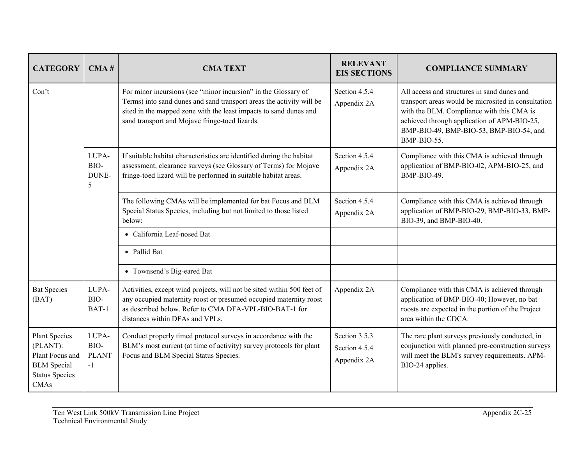| <b>CATEGORY</b>                                                                                            | CMA#                                  | <b>CMA TEXT</b>                                                                                                                                                                                                                                               | <b>RELEVANT</b><br><b>EIS SECTIONS</b>        | <b>COMPLIANCE SUMMARY</b>                                                                                                                                                                                                                                |
|------------------------------------------------------------------------------------------------------------|---------------------------------------|---------------------------------------------------------------------------------------------------------------------------------------------------------------------------------------------------------------------------------------------------------------|-----------------------------------------------|----------------------------------------------------------------------------------------------------------------------------------------------------------------------------------------------------------------------------------------------------------|
| Con't                                                                                                      |                                       | For minor incursions (see "minor incursion" in the Glossary of<br>Terms) into sand dunes and sand transport areas the activity will be<br>sited in the mapped zone with the least impacts to sand dunes and<br>sand transport and Mojave fringe-toed lizards. | Section 4.5.4<br>Appendix 2A                  | All access and structures in sand dunes and<br>transport areas would be microsited in consultation<br>with the BLM. Compliance with this CMA is<br>achieved through application of APM-BIO-25,<br>BMP-BIO-49, BMP-BIO-53, BMP-BIO-54, and<br>BMP-BIO-55. |
|                                                                                                            | LUPA-<br>BIO-<br>DUNE-<br>5           | If suitable habitat characteristics are identified during the habitat<br>assessment, clearance surveys (see Glossary of Terms) for Mojave<br>fringe-toed lizard will be performed in suitable habitat areas.                                                  | Section 4.5.4<br>Appendix 2A                  | Compliance with this CMA is achieved through<br>application of BMP-BIO-02, APM-BIO-25, and<br>BMP-BIO-49.                                                                                                                                                |
|                                                                                                            |                                       | The following CMAs will be implemented for bat Focus and BLM<br>Special Status Species, including but not limited to those listed<br>below:                                                                                                                   | Section 4.5.4<br>Appendix 2A                  | Compliance with this CMA is achieved through<br>application of BMP-BIO-29, BMP-BIO-33, BMP-<br>BIO-39, and BMP-BIO-40.                                                                                                                                   |
|                                                                                                            |                                       | • California Leaf-nosed Bat<br>• Pallid Bat<br>• Townsend's Big-eared Bat                                                                                                                                                                                     |                                               |                                                                                                                                                                                                                                                          |
| <b>Bat Species</b><br>(BAT)                                                                                | LUPA-<br>BIO-<br>BAT-1                | Activities, except wind projects, will not be sited within 500 feet of<br>any occupied maternity roost or presumed occupied maternity roost<br>as described below. Refer to CMA DFA-VPL-BIO-BAT-1 for<br>distances within DFAs and VPLs.                      | Appendix 2A                                   | Compliance with this CMA is achieved through<br>application of BMP-BIO-40; However, no bat<br>roosts are expected in the portion of the Project<br>area within the CDCA.                                                                                 |
| Plant Species<br>(PLANT):<br>Plant Focus and<br><b>BLM</b> Special<br><b>Status Species</b><br><b>CMAs</b> | LUPA-<br>BIO-<br><b>PLANT</b><br>$-1$ | Conduct properly timed protocol surveys in accordance with the<br>BLM's most current (at time of activity) survey protocols for plant<br>Focus and BLM Special Status Species.                                                                                | Section 3.5.3<br>Section 4.5.4<br>Appendix 2A | The rare plant surveys previously conducted, in<br>conjunction with planned pre-construction surveys<br>will meet the BLM's survey requirements. APM-<br>BIO-24 applies.                                                                                 |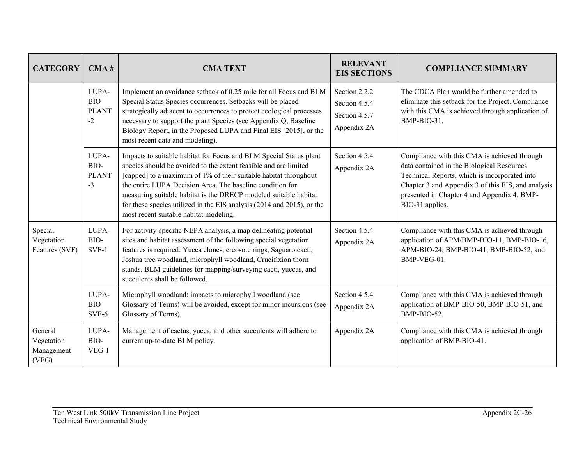| <b>CATEGORY</b>                              | CMA#                                  | <b>CMA TEXT</b>                                                                                                                                                                                                                                                                                                                                                                                                                                                 | <b>RELEVANT</b><br><b>EIS SECTIONS</b>                         | <b>COMPLIANCE SUMMARY</b>                                                                                                                                                                                                                                           |
|----------------------------------------------|---------------------------------------|-----------------------------------------------------------------------------------------------------------------------------------------------------------------------------------------------------------------------------------------------------------------------------------------------------------------------------------------------------------------------------------------------------------------------------------------------------------------|----------------------------------------------------------------|---------------------------------------------------------------------------------------------------------------------------------------------------------------------------------------------------------------------------------------------------------------------|
|                                              | LUPA-<br>BIO-<br><b>PLANT</b><br>$-2$ | Implement an avoidance setback of 0.25 mile for all Focus and BLM<br>Special Status Species occurrences. Setbacks will be placed<br>strategically adjacent to occurrences to protect ecological processes<br>necessary to support the plant Species (see Appendix Q, Baseline<br>Biology Report, in the Proposed LUPA and Final EIS [2015], or the<br>most recent data and modeling).                                                                           | Section 2.2.2<br>Section 4.5.4<br>Section 4.5.7<br>Appendix 2A | The CDCA Plan would be further amended to<br>eliminate this setback for the Project. Compliance<br>with this CMA is achieved through application of<br>BMP-BIO-31.                                                                                                  |
|                                              | LUPA-<br>BIO-<br><b>PLANT</b><br>$-3$ | Impacts to suitable habitat for Focus and BLM Special Status plant<br>species should be avoided to the extent feasible and are limited<br>[capped] to a maximum of 1% of their suitable habitat throughout<br>the entire LUPA Decision Area. The baseline condition for<br>measuring suitable habitat is the DRECP modeled suitable habitat<br>for these species utilized in the EIS analysis (2014 and 2015), or the<br>most recent suitable habitat modeling. | Section 4.5.4<br>Appendix 2A                                   | Compliance with this CMA is achieved through<br>data contained in the Biological Resources<br>Technical Reports, which is incorporated into<br>Chapter 3 and Appendix 3 of this EIS, and analysis<br>presented in Chapter 4 and Appendix 4. BMP-<br>BIO-31 applies. |
| Special<br>Vegetation<br>Features (SVF)      | LUPA-<br>BIO-<br>$SVF-1$              | For activity-specific NEPA analysis, a map delineating potential<br>sites and habitat assessment of the following special vegetation<br>features is required: Yucca clones, creosote rings, Saguaro cacti,<br>Joshua tree woodland, microphyll woodland, Crucifixion thorn<br>stands. BLM guidelines for mapping/surveying cacti, yuccas, and<br>succulents shall be followed.                                                                                  | Section 4.5.4<br>Appendix 2A                                   | Compliance with this CMA is achieved through<br>application of APM/BMP-BIO-11, BMP-BIO-16,<br>APM-BIO-24, BMP-BIO-41, BMP-BIO-52, and<br>BMP-VEG-01.                                                                                                                |
|                                              | LUPA-<br>BIO-<br>$SVF-6$              | Microphyll woodland: impacts to microphyll woodland (see<br>Glossary of Terms) will be avoided, except for minor incursions (see<br>Glossary of Terms).                                                                                                                                                                                                                                                                                                         | Section 4.5.4<br>Appendix 2A                                   | Compliance with this CMA is achieved through<br>application of BMP-BIO-50, BMP-BIO-51, and<br>BMP-BIO-52.                                                                                                                                                           |
| General<br>Vegetation<br>Management<br>(VEG) | LUPA-<br>BIO-<br>$VEG-1$              | Management of cactus, yucca, and other succulents will adhere to<br>current up-to-date BLM policy.                                                                                                                                                                                                                                                                                                                                                              | Appendix 2A                                                    | Compliance with this CMA is achieved through<br>application of BMP-BIO-41.                                                                                                                                                                                          |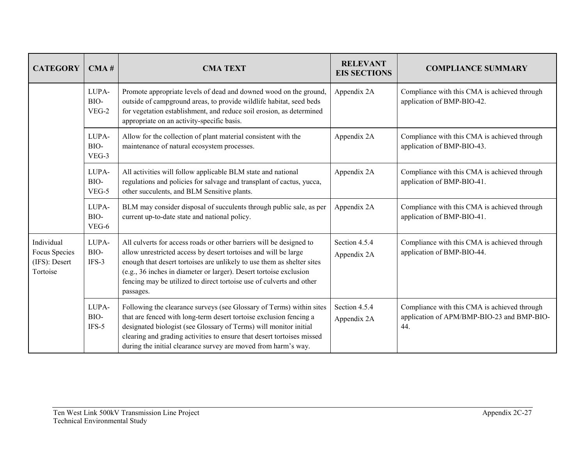| <b>CATEGORY</b>                                          | CMA#                     | <b>CMA TEXT</b>                                                                                                                                                                                                                                                                                                                                                             | <b>RELEVANT</b><br><b>EIS SECTIONS</b> | <b>COMPLIANCE SUMMARY</b>                                                                         |
|----------------------------------------------------------|--------------------------|-----------------------------------------------------------------------------------------------------------------------------------------------------------------------------------------------------------------------------------------------------------------------------------------------------------------------------------------------------------------------------|----------------------------------------|---------------------------------------------------------------------------------------------------|
|                                                          | LUPA-<br>BIO-<br>$VEG-2$ | Promote appropriate levels of dead and downed wood on the ground,<br>outside of campground areas, to provide wildlife habitat, seed beds<br>for vegetation establishment, and reduce soil erosion, as determined<br>appropriate on an activity-specific basis.                                                                                                              | Appendix 2A                            | Compliance with this CMA is achieved through<br>application of BMP-BIO-42.                        |
|                                                          | LUPA-<br>BIO-<br>$VEG-3$ | Allow for the collection of plant material consistent with the<br>maintenance of natural ecosystem processes.                                                                                                                                                                                                                                                               | Appendix 2A                            | Compliance with this CMA is achieved through<br>application of BMP-BIO-43.                        |
|                                                          | LUPA-<br>BIO-<br>$VEG-5$ | All activities will follow applicable BLM state and national<br>regulations and policies for salvage and transplant of cactus, yucca,<br>other succulents, and BLM Sensitive plants.                                                                                                                                                                                        | Appendix 2A                            | Compliance with this CMA is achieved through<br>application of BMP-BIO-41.                        |
|                                                          | LUPA-<br>BIO-<br>$VEG-6$ | BLM may consider disposal of succulents through public sale, as per<br>current up-to-date state and national policy.                                                                                                                                                                                                                                                        | Appendix 2A                            | Compliance with this CMA is achieved through<br>application of BMP-BIO-41.                        |
| Individual<br>Focus Species<br>(IFS): Desert<br>Tortoise | LUPA-<br>BIO-<br>$IFS-3$ | All culverts for access roads or other barriers will be designed to<br>allow unrestricted access by desert tortoises and will be large<br>enough that desert tortoises are unlikely to use them as shelter sites<br>(e.g., 36 inches in diameter or larger). Desert tortoise exclusion<br>fencing may be utilized to direct tortoise use of culverts and other<br>passages. | Section 4.5.4<br>Appendix 2A           | Compliance with this CMA is achieved through<br>application of BMP-BIO-44.                        |
|                                                          | LUPA-<br>BIO-<br>$IFS-5$ | Following the clearance surveys (see Glossary of Terms) within sites<br>that are fenced with long-term desert tortoise exclusion fencing a<br>designated biologist (see Glossary of Terms) will monitor initial<br>clearing and grading activities to ensure that desert tortoises missed<br>during the initial clearance survey are moved from harm's way.                 | Section 4.5.4<br>Appendix 2A           | Compliance with this CMA is achieved through<br>application of APM/BMP-BIO-23 and BMP-BIO-<br>44. |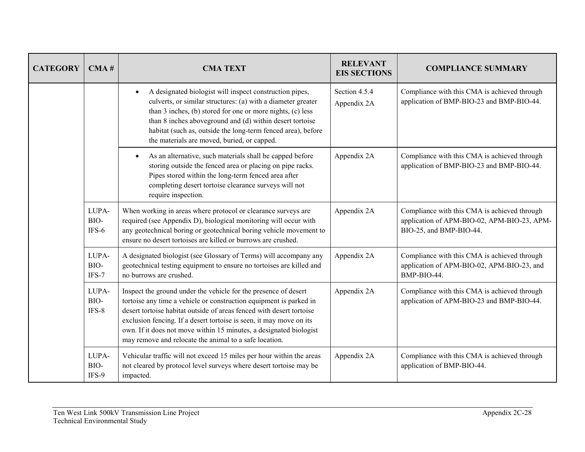| <b>CATEGORY</b> | CMA#                     | <b>CMA TEXT</b>                                                                                                                                                                                                                                                                                                                                                                                                      | <b>RELEVANT</b><br><b>EIS SECTIONS</b> | <b>COMPLIANCE SUMMARY</b>                                                                                              |
|-----------------|--------------------------|----------------------------------------------------------------------------------------------------------------------------------------------------------------------------------------------------------------------------------------------------------------------------------------------------------------------------------------------------------------------------------------------------------------------|----------------------------------------|------------------------------------------------------------------------------------------------------------------------|
|                 |                          | A designated biologist will inspect construction pipes,<br>$\bullet$<br>culverts, or similar structures: (a) with a diameter greater<br>than 3 inches, (b) stored for one or more nights, (c) less<br>than 8 inches aboveground and (d) within desert tortoise<br>habitat (such as, outside the long-term fenced area), before<br>the materials are moved, buried, or capped.                                        | Section 4.5.4<br>Appendix 2A           | Compliance with this CMA is achieved through<br>application of BMP-BIO-23 and BMP-BIO-44.                              |
|                 |                          | As an alternative, such materials shall be capped before<br>$\bullet$<br>storing outside the fenced area or placing on pipe racks.<br>Pipes stored within the long-term fenced area after<br>completing desert tortoise clearance surveys will not<br>require inspection.                                                                                                                                            | Appendix 2A                            | Compliance with this CMA is achieved through<br>application of BMP-BIO-23 and BMP-BIO-44.                              |
|                 | LUPA-<br>BIO-<br>$IFS-6$ | When working in areas where protocol or clearance surveys are<br>required (see Appendix D), biological monitoring will occur with<br>any geotechnical boring or geotechnical boring vehicle movement to<br>ensure no desert tortoises are killed or burrows are crushed.                                                                                                                                             | Appendix 2A                            | Compliance with this CMA is achieved through<br>application of APM-BIO-02, APM-BIO-23, APM-<br>BIO-25, and BMP-BIO-44. |
|                 | LUPA-<br>BIO-<br>$IFS-7$ | A designated biologist (see Glossary of Terms) will accompany any<br>geotechnical testing equipment to ensure no tortoises are killed and<br>no burrows are crushed.                                                                                                                                                                                                                                                 | Appendix 2A                            | Compliance with this CMA is achieved through<br>application of APM-BIO-02, APM-BIO-23, and<br>BMP-BIO-44.              |
|                 | LUPA-<br>BIO-<br>$IFS-8$ | Inspect the ground under the vehicle for the presence of desert<br>tortoise any time a vehicle or construction equipment is parked in<br>desert tortoise habitat outside of areas fenced with desert tortoise<br>exclusion fencing. If a desert tortoise is seen, it may move on its<br>own. If it does not move within 15 minutes, a designated biologist<br>may remove and relocate the animal to a safe location. | Appendix 2A                            | Compliance with this CMA is achieved through<br>application of APM-BIO-23 and BMP-BIO-44.                              |
|                 | LUPA-<br>BIO-<br>IFS-9   | Vehicular traffic will not exceed 15 miles per hour within the areas<br>not cleared by protocol level surveys where desert tortoise may be<br>impacted.                                                                                                                                                                                                                                                              | Appendix 2A                            | Compliance with this CMA is achieved through<br>application of BMP-BIO-44.                                             |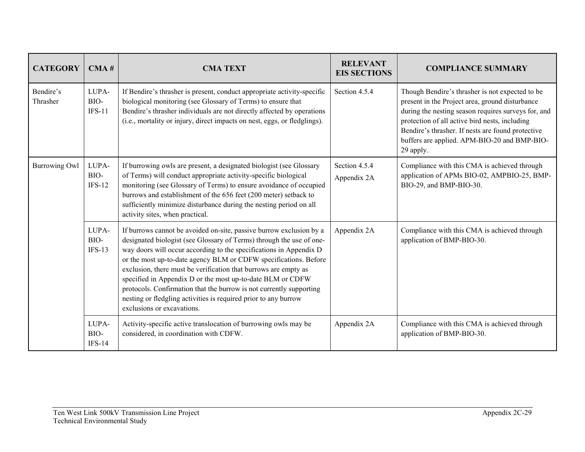| <b>CATEGORY</b>       | CMA#                      | <b>CMA TEXT</b>                                                                                                                                                                                                                                                                                                                                                                                                                                                                                                                                                                                | <b>RELEVANT</b><br><b>EIS SECTIONS</b> | <b>COMPLIANCE SUMMARY</b>                                                                                                                                                                                                                                                                                                     |
|-----------------------|---------------------------|------------------------------------------------------------------------------------------------------------------------------------------------------------------------------------------------------------------------------------------------------------------------------------------------------------------------------------------------------------------------------------------------------------------------------------------------------------------------------------------------------------------------------------------------------------------------------------------------|----------------------------------------|-------------------------------------------------------------------------------------------------------------------------------------------------------------------------------------------------------------------------------------------------------------------------------------------------------------------------------|
| Bendire's<br>Thrasher | LUPA-<br>BIO-<br>$IFS-11$ | If Bendire's thrasher is present, conduct appropriate activity-specific<br>biological monitoring (see Glossary of Terms) to ensure that<br>Bendire's thrasher individuals are not directly affected by operations<br>(i.e., mortality or injury, direct impacts on nest, eggs, or fledglings).                                                                                                                                                                                                                                                                                                 | Section 4.5.4                          | Though Bendire's thrasher is not expected to be<br>present in the Project area, ground disturbance<br>during the nesting season requires surveys for, and<br>protection of all active bird nests, including<br>Bendire's thrasher. If nests are found protective<br>buffers are applied. APM-BIO-20 and BMP-BIO-<br>29 apply. |
| <b>Burrowing Owl</b>  | LUPA-<br>BIO-<br>$IFS-12$ | If burrowing owls are present, a designated biologist (see Glossary<br>of Terms) will conduct appropriate activity-specific biological<br>monitoring (see Glossary of Terms) to ensure avoidance of occupied<br>burrows and establishment of the 656 feet (200 meter) setback to<br>sufficiently minimize disturbance during the nesting period on all<br>activity sites, when practical.                                                                                                                                                                                                      | Section 4.5.4<br>Appendix 2A           | Compliance with this CMA is achieved through<br>application of APMs BIO-02, AMPBIO-25, BMP-<br>BIO-29, and BMP-BIO-30.                                                                                                                                                                                                        |
|                       | LUPA-<br>BIO-<br>$IFS-13$ | If burrows cannot be avoided on-site, passive burrow exclusion by a<br>designated biologist (see Glossary of Terms) through the use of one-<br>way doors will occur according to the specifications in Appendix D<br>or the most up-to-date agency BLM or CDFW specifications. Before<br>exclusion, there must be verification that burrows are empty as<br>specified in Appendix D or the most up-to-date BLM or CDFW<br>protocols. Confirmation that the burrow is not currently supporting<br>nesting or fledgling activities is required prior to any burrow<br>exclusions or excavations. | Appendix 2A                            | Compliance with this CMA is achieved through<br>application of BMP-BIO-30.                                                                                                                                                                                                                                                    |
|                       | LUPA-<br>BIO-<br>$IFS-14$ | Activity-specific active translocation of burrowing owls may be<br>considered, in coordination with CDFW.                                                                                                                                                                                                                                                                                                                                                                                                                                                                                      | Appendix 2A                            | Compliance with this CMA is achieved through<br>application of BMP-BIO-30.                                                                                                                                                                                                                                                    |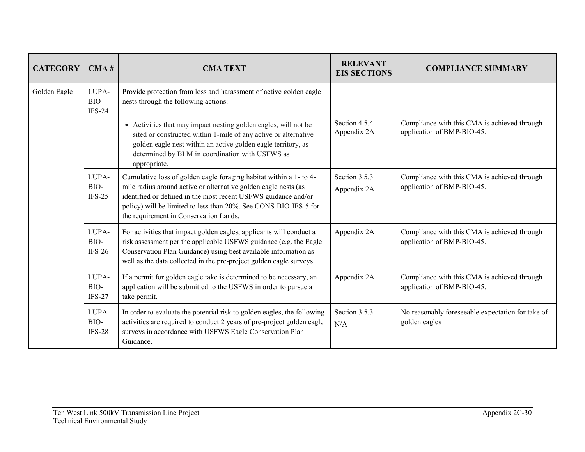| <b>CATEGORY</b> | CMA#                           | <b>CMA TEXT</b>                                                                                                                                                                                                                                                                                                       | <b>RELEVANT</b><br><b>EIS SECTIONS</b> | <b>COMPLIANCE SUMMARY</b>                                                  |
|-----------------|--------------------------------|-----------------------------------------------------------------------------------------------------------------------------------------------------------------------------------------------------------------------------------------------------------------------------------------------------------------------|----------------------------------------|----------------------------------------------------------------------------|
| Golden Eagle    | LUPA-<br>BIO-<br>$IFS-24$      | Provide protection from loss and harassment of active golden eagle<br>nests through the following actions:                                                                                                                                                                                                            |                                        |                                                                            |
|                 |                                | • Activities that may impact nesting golden eagles, will not be<br>sited or constructed within 1-mile of any active or alternative<br>golden eagle nest within an active golden eagle territory, as<br>determined by BLM in coordination with USFWS as<br>appropriate.                                                | Section 4.5.4<br>Appendix 2A           | Compliance with this CMA is achieved through<br>application of BMP-BIO-45. |
|                 | LUPA-<br>BIO-<br>$IFS-25$      | Cumulative loss of golden eagle foraging habitat within a 1- to 4-<br>mile radius around active or alternative golden eagle nests (as<br>identified or defined in the most recent USFWS guidance and/or<br>policy) will be limited to less than 20%. See CONS-BIO-IFS-5 for<br>the requirement in Conservation Lands. | Section 3.5.3<br>Appendix 2A           | Compliance with this CMA is achieved through<br>application of BMP-BIO-45. |
|                 | LUPA-<br>BIO-<br>$IFS-26$      | For activities that impact golden eagles, applicants will conduct a<br>risk assessment per the applicable USFWS guidance (e.g. the Eagle<br>Conservation Plan Guidance) using best available information as<br>well as the data collected in the pre-project golden eagle surveys.                                    | Appendix 2A                            | Compliance with this CMA is achieved through<br>application of BMP-BIO-45. |
|                 | LUPA-<br>BIO-<br>$IFS-27$      | If a permit for golden eagle take is determined to be necessary, an<br>application will be submitted to the USFWS in order to pursue a<br>take permit.                                                                                                                                                                | Appendix 2A                            | Compliance with this CMA is achieved through<br>application of BMP-BIO-45. |
|                 | LUPA-<br>BIO-<br><b>IFS-28</b> | In order to evaluate the potential risk to golden eagles, the following<br>activities are required to conduct 2 years of pre-project golden eagle<br>surveys in accordance with USFWS Eagle Conservation Plan<br>Guidance.                                                                                            | Section 3.5.3<br>N/A                   | No reasonably foreseeable expectation for take of<br>golden eagles         |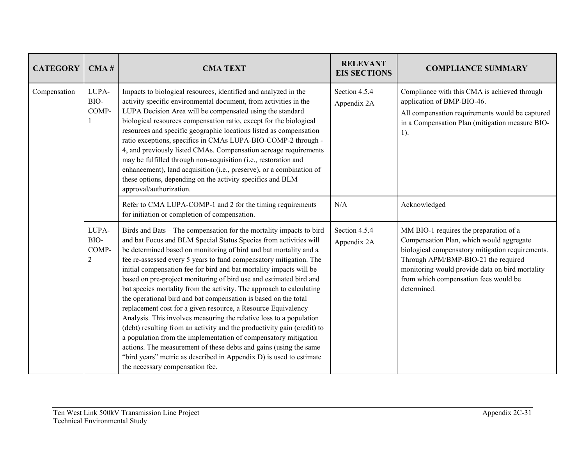| <b>CATEGORY</b> | CMA#                                     | <b>CMA TEXT</b>                                                                                                                                                                                                                                                                                                                                                                                                                                                                                                                                                                                                                                                                                                                                                                                                                                                                                                                                                                                                                                  | <b>RELEVANT</b><br><b>EIS SECTIONS</b> | <b>COMPLIANCE SUMMARY</b>                                                                                                                                                                                                                                                                |
|-----------------|------------------------------------------|--------------------------------------------------------------------------------------------------------------------------------------------------------------------------------------------------------------------------------------------------------------------------------------------------------------------------------------------------------------------------------------------------------------------------------------------------------------------------------------------------------------------------------------------------------------------------------------------------------------------------------------------------------------------------------------------------------------------------------------------------------------------------------------------------------------------------------------------------------------------------------------------------------------------------------------------------------------------------------------------------------------------------------------------------|----------------------------------------|------------------------------------------------------------------------------------------------------------------------------------------------------------------------------------------------------------------------------------------------------------------------------------------|
| Compensation    | LUPA-<br>BIO-<br>COMP-                   | Impacts to biological resources, identified and analyzed in the<br>activity specific environmental document, from activities in the<br>LUPA Decision Area will be compensated using the standard<br>biological resources compensation ratio, except for the biological<br>resources and specific geographic locations listed as compensation<br>ratio exceptions, specifics in CMAs LUPA-BIO-COMP-2 through -<br>4, and previously listed CMAs. Compensation acreage requirements<br>may be fulfilled through non-acquisition (i.e., restoration and<br>enhancement), land acquisition (i.e., preserve), or a combination of<br>these options, depending on the activity specifics and BLM<br>approval/authorization.                                                                                                                                                                                                                                                                                                                            | Section 4.5.4<br>Appendix 2A           | Compliance with this CMA is achieved through<br>application of BMP-BIO-46.<br>All compensation requirements would be captured<br>in a Compensation Plan (mitigation measure BIO-<br>$1$ ).                                                                                               |
|                 |                                          | Refer to CMA LUPA-COMP-1 and 2 for the timing requirements<br>for initiation or completion of compensation.                                                                                                                                                                                                                                                                                                                                                                                                                                                                                                                                                                                                                                                                                                                                                                                                                                                                                                                                      | N/A                                    | Acknowledged                                                                                                                                                                                                                                                                             |
|                 | LUPA-<br>BIO-<br>COMP-<br>$\overline{2}$ | Birds and Bats – The compensation for the mortality impacts to bird<br>and bat Focus and BLM Special Status Species from activities will<br>be determined based on monitoring of bird and bat mortality and a<br>fee re-assessed every 5 years to fund compensatory mitigation. The<br>initial compensation fee for bird and bat mortality impacts will be<br>based on pre-project monitoring of bird use and estimated bird and<br>bat species mortality from the activity. The approach to calculating<br>the operational bird and bat compensation is based on the total<br>replacement cost for a given resource, a Resource Equivalency<br>Analysis. This involves measuring the relative loss to a population<br>(debt) resulting from an activity and the productivity gain (credit) to<br>a population from the implementation of compensatory mitigation<br>actions. The measurement of these debts and gains (using the same<br>"bird years" metric as described in Appendix D) is used to estimate<br>the necessary compensation fee. | Section 4.5.4<br>Appendix 2A           | MM BIO-1 requires the preparation of a<br>Compensation Plan, which would aggregate<br>biological compensatory mitigation requirements.<br>Through APM/BMP-BIO-21 the required<br>monitoring would provide data on bird mortality<br>from which compensation fees would be<br>determined. |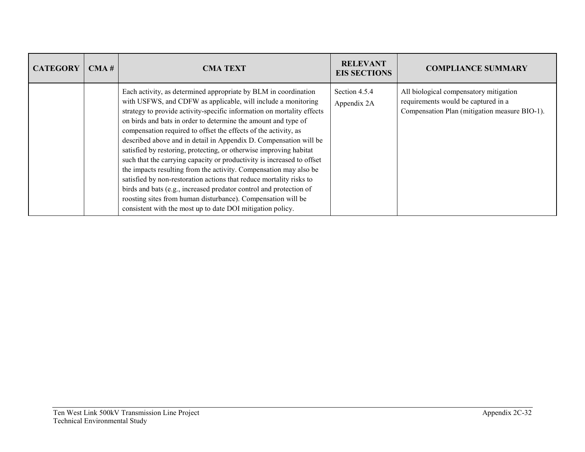| <b>CATEGORY</b> | CMA# | <b>CMA TEXT</b>                                                                                                                                                                                                                                                                                                                                                                                                                                                                                                                                                                                                                                                                                                                                                                                                                                                                                                      | <b>RELEVANT</b><br><b>EIS SECTIONS</b> | <b>COMPLIANCE SUMMARY</b>                                                                                                      |
|-----------------|------|----------------------------------------------------------------------------------------------------------------------------------------------------------------------------------------------------------------------------------------------------------------------------------------------------------------------------------------------------------------------------------------------------------------------------------------------------------------------------------------------------------------------------------------------------------------------------------------------------------------------------------------------------------------------------------------------------------------------------------------------------------------------------------------------------------------------------------------------------------------------------------------------------------------------|----------------------------------------|--------------------------------------------------------------------------------------------------------------------------------|
|                 |      | Each activity, as determined appropriate by BLM in coordination<br>with USFWS, and CDFW as applicable, will include a monitoring<br>strategy to provide activity-specific information on mortality effects<br>on birds and bats in order to determine the amount and type of<br>compensation required to offset the effects of the activity, as<br>described above and in detail in Appendix D. Compensation will be<br>satisfied by restoring, protecting, or otherwise improving habitat<br>such that the carrying capacity or productivity is increased to offset<br>the impacts resulting from the activity. Compensation may also be<br>satisfied by non-restoration actions that reduce mortality risks to<br>birds and bats (e.g., increased predator control and protection of<br>roosting sites from human disturbance). Compensation will be<br>consistent with the most up to date DOI mitigation policy. | Section 4.5.4<br>Appendix 2A           | All biological compensatory mitigation<br>requirements would be captured in a<br>Compensation Plan (mitigation measure BIO-1). |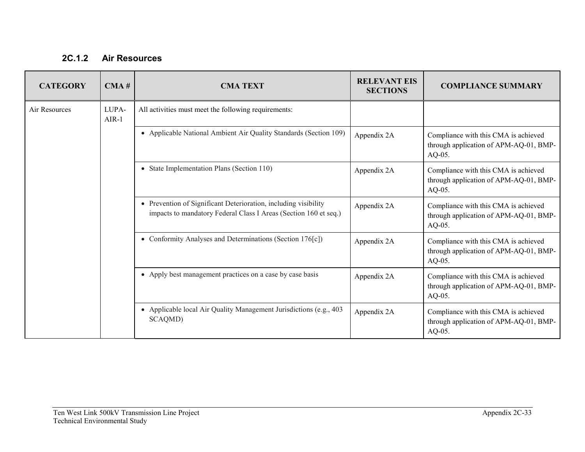### **2C.1.2 Air Resources**

<span id="page-35-0"></span>

| <b>CATEGORY</b> | CMA#             | <b>CMA TEXT</b>                                                                                                                     | <b>RELEVANT EIS</b><br><b>SECTIONS</b> | <b>COMPLIANCE SUMMARY</b>                                                                |
|-----------------|------------------|-------------------------------------------------------------------------------------------------------------------------------------|----------------------------------------|------------------------------------------------------------------------------------------|
| Air Resources   | LUPA-<br>$AIR-1$ | All activities must meet the following requirements:                                                                                |                                        |                                                                                          |
|                 |                  | • Applicable National Ambient Air Quality Standards (Section 109)                                                                   | Appendix 2A                            | Compliance with this CMA is achieved<br>through application of APM-AQ-01, BMP-<br>AQ-05. |
|                 |                  | • State Implementation Plans (Section 110)                                                                                          | Appendix 2A                            | Compliance with this CMA is achieved<br>through application of APM-AQ-01, BMP-<br>AQ-05. |
|                 |                  | • Prevention of Significant Deterioration, including visibility<br>impacts to mandatory Federal Class I Areas (Section 160 et seq.) | Appendix 2A                            | Compliance with this CMA is achieved<br>through application of APM-AQ-01, BMP-<br>AQ-05. |
|                 |                  | • Conformity Analyses and Determinations (Section 176[c])                                                                           | Appendix 2A                            | Compliance with this CMA is achieved<br>through application of APM-AQ-01, BMP-<br>AQ-05. |
|                 |                  | • Apply best management practices on a case by case basis                                                                           | Appendix 2A                            | Compliance with this CMA is achieved<br>through application of APM-AQ-01, BMP-<br>AQ-05. |
|                 |                  | • Applicable local Air Quality Management Jurisdictions (e.g., 403)<br>SCAQMD)                                                      | Appendix 2A                            | Compliance with this CMA is achieved<br>through application of APM-AQ-01, BMP-<br>AQ-05. |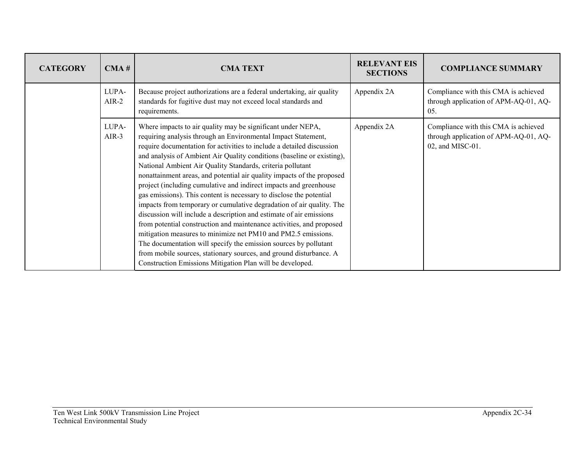| <b>CATEGORY</b> | CMA#             | <b>CMA TEXT</b>                                                                                                                                                                                                                                                                                                                                                                                                                                                                                                                                                                                                                                                                                                                                                                                                                                                                                                                                                                                                                                                    | <b>RELEVANT EIS</b><br><b>SECTIONS</b> | <b>COMPLIANCE SUMMARY</b>                                                                         |
|-----------------|------------------|--------------------------------------------------------------------------------------------------------------------------------------------------------------------------------------------------------------------------------------------------------------------------------------------------------------------------------------------------------------------------------------------------------------------------------------------------------------------------------------------------------------------------------------------------------------------------------------------------------------------------------------------------------------------------------------------------------------------------------------------------------------------------------------------------------------------------------------------------------------------------------------------------------------------------------------------------------------------------------------------------------------------------------------------------------------------|----------------------------------------|---------------------------------------------------------------------------------------------------|
|                 | LUPA-<br>$AIR-2$ | Because project authorizations are a federal undertaking, air quality<br>standards for fugitive dust may not exceed local standards and<br>requirements.                                                                                                                                                                                                                                                                                                                                                                                                                                                                                                                                                                                                                                                                                                                                                                                                                                                                                                           | Appendix 2A                            | Compliance with this CMA is achieved<br>through application of APM-AQ-01, AQ-<br>05.              |
|                 | LUPA-<br>$AIR-3$ | Where impacts to air quality may be significant under NEPA,<br>requiring analysis through an Environmental Impact Statement,<br>require documentation for activities to include a detailed discussion<br>and analysis of Ambient Air Quality conditions (baseline or existing),<br>National Ambient Air Quality Standards, criteria pollutant<br>nonattainment areas, and potential air quality impacts of the proposed<br>project (including cumulative and indirect impacts and greenhouse<br>gas emissions). This content is necessary to disclose the potential<br>impacts from temporary or cumulative degradation of air quality. The<br>discussion will include a description and estimate of air emissions<br>from potential construction and maintenance activities, and proposed<br>mitigation measures to minimize net PM10 and PM2.5 emissions.<br>The documentation will specify the emission sources by pollutant<br>from mobile sources, stationary sources, and ground disturbance. A<br>Construction Emissions Mitigation Plan will be developed. | Appendix 2A                            | Compliance with this CMA is achieved<br>through application of APM-AQ-01, AQ-<br>02, and MISC-01. |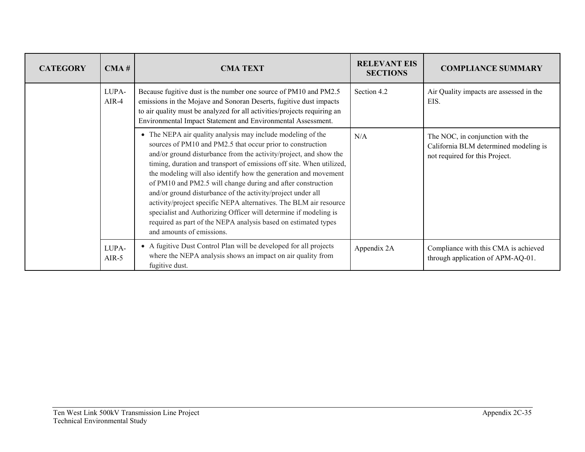| <b>CATEGORY</b> | CMA#             | <b>CMA TEXT</b>                                                                                                                                                                                                                                                                                                                                                                                                                                                                                                                                                                                                                                                                                                 | <b>RELEVANT EIS</b><br><b>SECTIONS</b> | <b>COMPLIANCE SUMMARY</b>                                                                                   |
|-----------------|------------------|-----------------------------------------------------------------------------------------------------------------------------------------------------------------------------------------------------------------------------------------------------------------------------------------------------------------------------------------------------------------------------------------------------------------------------------------------------------------------------------------------------------------------------------------------------------------------------------------------------------------------------------------------------------------------------------------------------------------|----------------------------------------|-------------------------------------------------------------------------------------------------------------|
|                 | LUPA-<br>$AIR-4$ | Because fugitive dust is the number one source of PM10 and PM2.5<br>emissions in the Mojave and Sonoran Deserts, fugitive dust impacts<br>to air quality must be analyzed for all activities/projects requiring an<br>Environmental Impact Statement and Environmental Assessment.                                                                                                                                                                                                                                                                                                                                                                                                                              | Section 4.2                            | Air Quality impacts are assessed in the<br>EIS.                                                             |
|                 |                  | • The NEPA air quality analysis may include modeling of the<br>sources of PM10 and PM2.5 that occur prior to construction<br>and/or ground disturbance from the activity/project, and show the<br>timing, duration and transport of emissions off site. When utilized,<br>the modeling will also identify how the generation and movement<br>of PM10 and PM2.5 will change during and after construction<br>and/or ground disturbance of the activity/project under all<br>activity/project specific NEPA alternatives. The BLM air resource<br>specialist and Authorizing Officer will determine if modeling is<br>required as part of the NEPA analysis based on estimated types<br>and amounts of emissions. | N/A                                    | The NOC, in conjunction with the<br>California BLM determined modeling is<br>not required for this Project. |
|                 | LUPA-<br>$AIR-5$ | • A fugitive Dust Control Plan will be developed for all projects<br>where the NEPA analysis shows an impact on air quality from<br>fugitive dust.                                                                                                                                                                                                                                                                                                                                                                                                                                                                                                                                                              | Appendix 2A                            | Compliance with this CMA is achieved<br>through application of APM-AQ-01.                                   |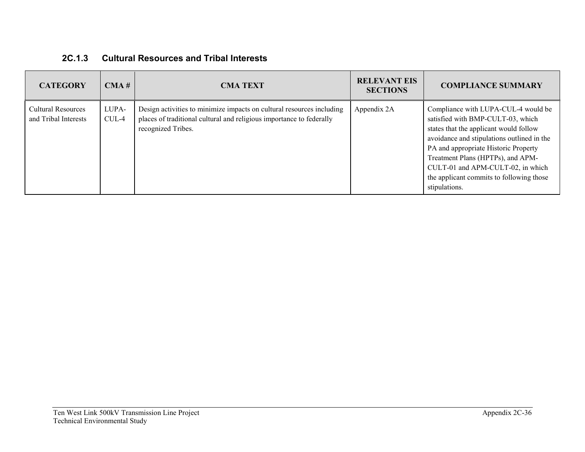| 2C.1.3 | <b>Cultural Resources and Tribal Interests</b> |
|--------|------------------------------------------------|
|--------|------------------------------------------------|

<span id="page-38-0"></span>

| <b>CATEGORY</b>                            | CMA#           | <b>CMA TEXT</b>                                                                                                                                                     | <b>RELEVANT EIS</b><br><b>SECTIONS</b> | <b>COMPLIANCE SUMMARY</b>                                                                                                                                                                                                                                                                                                                       |
|--------------------------------------------|----------------|---------------------------------------------------------------------------------------------------------------------------------------------------------------------|----------------------------------------|-------------------------------------------------------------------------------------------------------------------------------------------------------------------------------------------------------------------------------------------------------------------------------------------------------------------------------------------------|
| Cultural Resources<br>and Tribal Interests | LUPA-<br>CUL-4 | Design activities to minimize impacts on cultural resources including<br>places of traditional cultural and religious importance to federally<br>recognized Tribes. | Appendix 2A                            | Compliance with LUPA-CUL-4 would be<br>satisfied with BMP-CULT-03, which<br>states that the applicant would follow<br>avoidance and stipulations outlined in the<br>PA and appropriate Historic Property<br>Treatment Plans (HPTPs), and APM-<br>CULT-01 and APM-CULT-02, in which<br>the applicant commits to following those<br>stipulations. |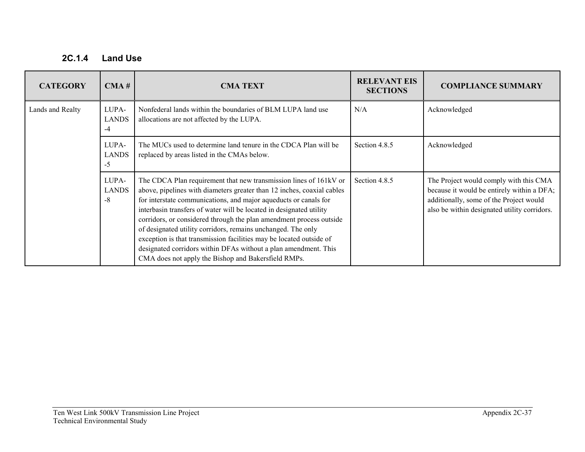### **2C.1.4 Land Use**

<span id="page-39-0"></span>

| <b>CATEGORY</b>  | CMA#                          | <b>CMA TEXT</b>                                                                                                                                                                                                                                                                                                                                                                                                                                                                                                                                                                                                                | <b>RELEVANT EIS</b><br><b>SECTIONS</b> | <b>COMPLIANCE SUMMARY</b>                                                                                                                                                       |
|------------------|-------------------------------|--------------------------------------------------------------------------------------------------------------------------------------------------------------------------------------------------------------------------------------------------------------------------------------------------------------------------------------------------------------------------------------------------------------------------------------------------------------------------------------------------------------------------------------------------------------------------------------------------------------------------------|----------------------------------------|---------------------------------------------------------------------------------------------------------------------------------------------------------------------------------|
| Lands and Realty | LUPA-<br><b>LANDS</b><br>-4   | Nonfederal lands within the boundaries of BLM LUPA land use<br>allocations are not affected by the LUPA.                                                                                                                                                                                                                                                                                                                                                                                                                                                                                                                       | N/A                                    | Acknowledged                                                                                                                                                                    |
|                  | LUPA-<br><b>LANDS</b><br>$-5$ | The MUCs used to determine land tenure in the CDCA Plan will be<br>replaced by areas listed in the CMAs below.                                                                                                                                                                                                                                                                                                                                                                                                                                                                                                                 | Section 4.8.5                          | Acknowledged                                                                                                                                                                    |
|                  | LUPA-<br><b>LANDS</b><br>$-8$ | The CDCA Plan requirement that new transmission lines of 161kV or<br>above, pipelines with diameters greater than 12 inches, coaxial cables<br>for interstate communications, and major aqueducts or canals for<br>interbasin transfers of water will be located in designated utility<br>corridors, or considered through the plan amendment process outside<br>of designated utility corridors, remains unchanged. The only<br>exception is that transmission facilities may be located outside of<br>designated corridors within DFAs without a plan amendment. This<br>CMA does not apply the Bishop and Bakersfield RMPs. | Section 4.8.5                          | The Project would comply with this CMA<br>because it would be entirely within a DFA;<br>additionally, some of the Project would<br>also be within designated utility corridors. |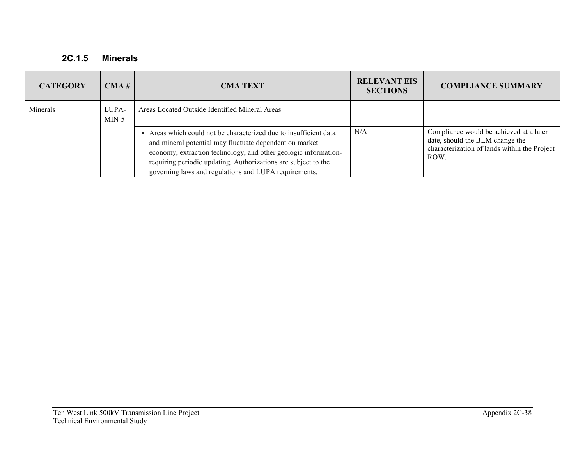### **2C.1.5 Minerals**

<span id="page-40-0"></span>

| <b>CATEGORY</b> | CMA#             | <b>CMA TEXT</b>                                                                                                                                                                                                                                                                                                            | <b>RELEVANT EIS</b><br><b>SECTIONS</b> | <b>COMPLIANCE SUMMARY</b>                                                                                                          |
|-----------------|------------------|----------------------------------------------------------------------------------------------------------------------------------------------------------------------------------------------------------------------------------------------------------------------------------------------------------------------------|----------------------------------------|------------------------------------------------------------------------------------------------------------------------------------|
| Minerals        | LUPA-<br>$MIN-5$ | Areas Located Outside Identified Mineral Areas                                                                                                                                                                                                                                                                             |                                        |                                                                                                                                    |
|                 |                  | • Areas which could not be characterized due to insufficient data<br>and mineral potential may fluctuate dependent on market<br>economy, extraction technology, and other geologic information-<br>requiring periodic updating. Authorizations are subject to the<br>governing laws and regulations and LUPA requirements. | N/A                                    | Compliance would be achieved at a later<br>date, should the BLM change the<br>characterization of lands within the Project<br>ROW. |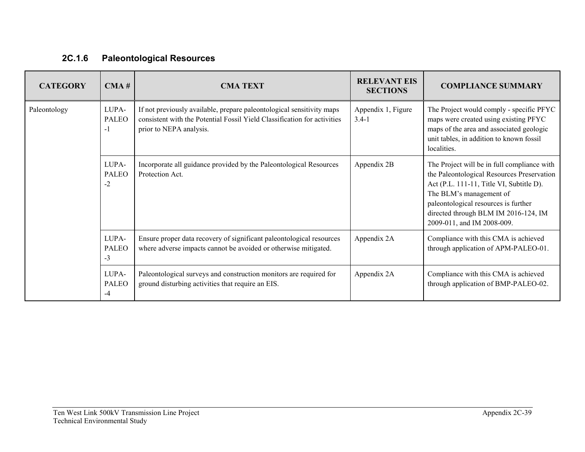## **2C.1.6 Paleontological Resources**

<span id="page-41-0"></span>

| <b>CATEGORY</b> | CMA#                          | <b>CMA TEXT</b>                                                                                                                                                              | <b>RELEVANT EIS</b><br><b>SECTIONS</b> | <b>COMPLIANCE SUMMARY</b>                                                                                                                                                                                                                                                      |
|-----------------|-------------------------------|------------------------------------------------------------------------------------------------------------------------------------------------------------------------------|----------------------------------------|--------------------------------------------------------------------------------------------------------------------------------------------------------------------------------------------------------------------------------------------------------------------------------|
| Paleontology    | LUPA-<br><b>PALEO</b><br>$-1$ | If not previously available, prepare paleontological sensitivity maps<br>consistent with the Potential Fossil Yield Classification for activities<br>prior to NEPA analysis. | Appendix 1, Figure<br>$3.4 - 1$        | The Project would comply - specific PFYC<br>maps were created using existing PFYC<br>maps of the area and associated geologic<br>unit tables, in addition to known fossil<br>localities.                                                                                       |
|                 | LUPA-<br><b>PALEO</b><br>$-2$ | Incorporate all guidance provided by the Paleontological Resources<br>Protection Act.                                                                                        | Appendix 2B                            | The Project will be in full compliance with<br>the Paleontological Resources Preservation<br>Act (P.L. 111-11, Title VI, Subtitle D).<br>The BLM's management of<br>paleontological resources is further<br>directed through BLM IM 2016-124, IM<br>2009-011, and IM 2008-009. |
|                 | LUPA-<br>PALEO<br>$-3$        | Ensure proper data recovery of significant paleontological resources<br>where adverse impacts cannot be avoided or otherwise mitigated.                                      | Appendix 2A                            | Compliance with this CMA is achieved<br>through application of APM-PALEO-01.                                                                                                                                                                                                   |
|                 | LUPA-<br><b>PALEO</b><br>-4   | Paleontological surveys and construction monitors are required for<br>ground disturbing activities that require an EIS.                                                      | Appendix 2A                            | Compliance with this CMA is achieved<br>through application of BMP-PALEO-02.                                                                                                                                                                                                   |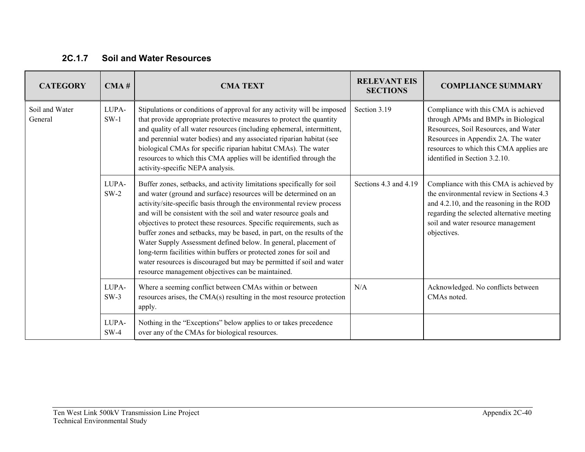### **2C.1.7 Soil and Water Resources**

<span id="page-42-0"></span>

| <b>CATEGORY</b>           | CMA#            | <b>CMA TEXT</b>                                                                                                                                                                                                                                                                                                                                                                                                                                                                                                                                                                                                                                                                                                       | <b>RELEVANT EIS</b><br><b>SECTIONS</b> | <b>COMPLIANCE SUMMARY</b>                                                                                                                                                                                                              |
|---------------------------|-----------------|-----------------------------------------------------------------------------------------------------------------------------------------------------------------------------------------------------------------------------------------------------------------------------------------------------------------------------------------------------------------------------------------------------------------------------------------------------------------------------------------------------------------------------------------------------------------------------------------------------------------------------------------------------------------------------------------------------------------------|----------------------------------------|----------------------------------------------------------------------------------------------------------------------------------------------------------------------------------------------------------------------------------------|
| Soil and Water<br>General | LUPA-<br>$SW-1$ | Stipulations or conditions of approval for any activity will be imposed<br>that provide appropriate protective measures to protect the quantity<br>and quality of all water resources (including ephemeral, intermittent,<br>and perennial water bodies) and any associated riparian habitat (see<br>biological CMAs for specific riparian habitat CMAs). The water<br>resources to which this CMA applies will be identified through the<br>activity-specific NEPA analysis.                                                                                                                                                                                                                                         | Section 3.19                           | Compliance with this CMA is achieved<br>through APMs and BMPs in Biological<br>Resources, Soil Resources, and Water<br>Resources in Appendix 2A. The water<br>resources to which this CMA applies are<br>identified in Section 3.2.10. |
|                           | LUPA-<br>$SW-2$ | Buffer zones, setbacks, and activity limitations specifically for soil<br>and water (ground and surface) resources will be determined on an<br>activity/site-specific basis through the environmental review process<br>and will be consistent with the soil and water resource goals and<br>objectives to protect these resources. Specific requirements, such as<br>buffer zones and setbacks, may be based, in part, on the results of the<br>Water Supply Assessment defined below. In general, placement of<br>long-term facilities within buffers or protected zones for soil and<br>water resources is discouraged but may be permitted if soil and water<br>resource management objectives can be maintained. | Sections 4.3 and 4.19                  | Compliance with this CMA is achieved by<br>the environmental review in Sections 4.3<br>and 4.2.10, and the reasoning in the ROD<br>regarding the selected alternative meeting<br>soil and water resource management<br>objectives.     |
|                           | LUPA-<br>$SW-3$ | Where a seeming conflict between CMAs within or between<br>resources arises, the CMA(s) resulting in the most resource protection<br>apply.                                                                                                                                                                                                                                                                                                                                                                                                                                                                                                                                                                           | N/A                                    | Acknowledged. No conflicts between<br>CMAs noted.                                                                                                                                                                                      |
|                           | LUPA-<br>$SW-4$ | Nothing in the "Exceptions" below applies to or takes precedence<br>over any of the CMAs for biological resources.                                                                                                                                                                                                                                                                                                                                                                                                                                                                                                                                                                                                    |                                        |                                                                                                                                                                                                                                        |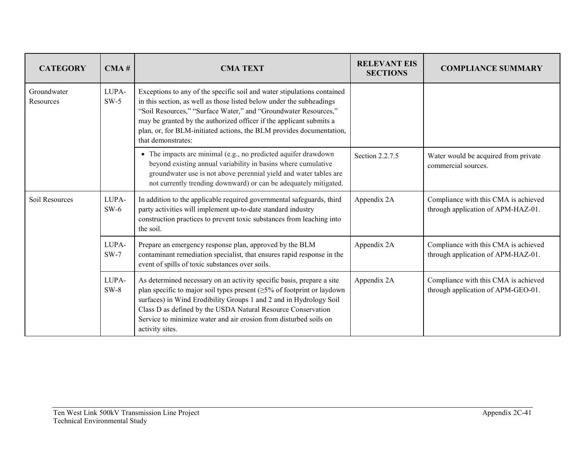| <b>CATEGORY</b>          | CMA#            | <b>CMA TEXT</b>                                                                                                                                                                                                                                                                                                                                                                         | <b>RELEVANT EIS</b><br><b>SECTIONS</b> | <b>COMPLIANCE SUMMARY</b>                                                  |
|--------------------------|-----------------|-----------------------------------------------------------------------------------------------------------------------------------------------------------------------------------------------------------------------------------------------------------------------------------------------------------------------------------------------------------------------------------------|----------------------------------------|----------------------------------------------------------------------------|
| Groundwater<br>Resources | LUPA-<br>$SW-5$ | Exceptions to any of the specific soil and water stipulations contained<br>in this section, as well as those listed below under the subheadings<br>"Soil Resources," "Surface Water," and "Groundwater Resources,"<br>may be granted by the authorized officer if the applicant submits a<br>plan, or, for BLM-initiated actions, the BLM provides documentation,<br>that demonstrates: |                                        |                                                                            |
|                          |                 | • The impacts are minimal (e.g., no predicted aquifer drawdown<br>beyond existing annual variability in basins where cumulative<br>groundwater use is not above perennial yield and water tables are<br>not currently trending downward) or can be adequately mitigated.                                                                                                                | Section 2.2.7.5                        | Water would be acquired from private<br>commercial sources.                |
| Soil Resources           | LUPA-<br>$SW-6$ | In addition to the applicable required governmental safeguards, third<br>party activities will implement up-to-date standard industry<br>construction practices to prevent toxic substances from leaching into<br>the soil.                                                                                                                                                             | Appendix 2A                            | Compliance with this CMA is achieved<br>through application of APM-HAZ-01. |
|                          | LUPA-<br>$SW-7$ | Prepare an emergency response plan, approved by the BLM<br>contaminant remediation specialist, that ensures rapid response in the<br>event of spills of toxic substances over soils.                                                                                                                                                                                                    | Appendix 2A                            | Compliance with this CMA is achieved<br>through application of APM-HAZ-01. |
|                          | LUPA-<br>$SW-8$ | As determined necessary on an activity specific basis, prepare a site<br>plan specific to major soil types present $(\geq 5\%$ of footprint or laydown<br>surfaces) in Wind Erodibility Groups 1 and 2 and in Hydrology Soil<br>Class D as defined by the USDA Natural Resource Conservation<br>Service to minimize water and air erosion from disturbed soils on<br>activity sites.    | Appendix 2A                            | Compliance with this CMA is achieved<br>through application of APM-GEO-01. |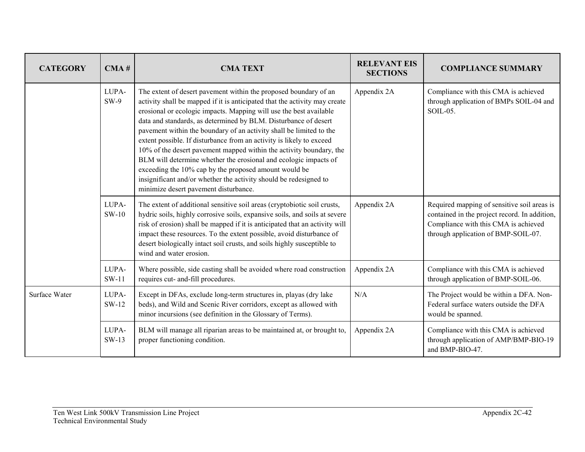| <b>CATEGORY</b> | CMA#             | <b>CMA TEXT</b>                                                                                                                                                                                                                                                                                                                                                                                                                                                                                                                                                                                                                                                                                                                                          | <b>RELEVANT EIS</b><br><b>SECTIONS</b> | <b>COMPLIANCE SUMMARY</b>                                                                                                                                                   |
|-----------------|------------------|----------------------------------------------------------------------------------------------------------------------------------------------------------------------------------------------------------------------------------------------------------------------------------------------------------------------------------------------------------------------------------------------------------------------------------------------------------------------------------------------------------------------------------------------------------------------------------------------------------------------------------------------------------------------------------------------------------------------------------------------------------|----------------------------------------|-----------------------------------------------------------------------------------------------------------------------------------------------------------------------------|
|                 | LUPA-<br>$SW-9$  | The extent of desert pavement within the proposed boundary of an<br>activity shall be mapped if it is anticipated that the activity may create<br>erosional or ecologic impacts. Mapping will use the best available<br>data and standards, as determined by BLM. Disturbance of desert<br>pavement within the boundary of an activity shall be limited to the<br>extent possible. If disturbance from an activity is likely to exceed<br>10% of the desert pavement mapped within the activity boundary, the<br>BLM will determine whether the erosional and ecologic impacts of<br>exceeding the 10% cap by the proposed amount would be<br>insignificant and/or whether the activity should be redesigned to<br>minimize desert pavement disturbance. | Appendix 2A                            | Compliance with this CMA is achieved<br>through application of BMPs SOIL-04 and<br>SOIL-05.                                                                                 |
|                 | LUPA-<br>$SW-10$ | The extent of additional sensitive soil areas (cryptobiotic soil crusts,<br>hydric soils, highly corrosive soils, expansive soils, and soils at severe<br>risk of erosion) shall be mapped if it is anticipated that an activity will<br>impact these resources. To the extent possible, avoid disturbance of<br>desert biologically intact soil crusts, and soils highly susceptible to<br>wind and water erosion.                                                                                                                                                                                                                                                                                                                                      | Appendix 2A                            | Required mapping of sensitive soil areas is<br>contained in the project record. In addition,<br>Compliance with this CMA is achieved<br>through application of BMP-SOIL-07. |
|                 | LUPA-<br>SW-11   | Where possible, side casting shall be avoided where road construction<br>requires cut- and-fill procedures.                                                                                                                                                                                                                                                                                                                                                                                                                                                                                                                                                                                                                                              | Appendix 2A                            | Compliance with this CMA is achieved<br>through application of BMP-SOIL-06.                                                                                                 |
| Surface Water   | LUPA-<br>SW-12   | Except in DFAs, exclude long-term structures in, playas (dry lake<br>beds), and Wild and Scenic River corridors, except as allowed with<br>minor incursions (see definition in the Glossary of Terms).                                                                                                                                                                                                                                                                                                                                                                                                                                                                                                                                                   | N/A                                    | The Project would be within a DFA. Non-<br>Federal surface waters outside the DFA<br>would be spanned.                                                                      |
|                 | LUPA-<br>$SW-13$ | BLM will manage all riparian areas to be maintained at, or brought to,<br>proper functioning condition.                                                                                                                                                                                                                                                                                                                                                                                                                                                                                                                                                                                                                                                  | Appendix 2A                            | Compliance with this CMA is achieved<br>through application of AMP/BMP-BIO-19<br>and BMP-BIO-47.                                                                            |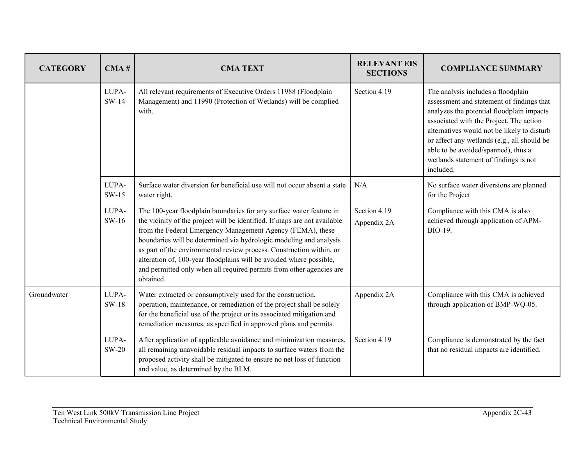| <b>CATEGORY</b> | CMA#             | <b>CMA TEXT</b>                                                                                                                                                                                                                                                                                                                                                                                                                                                                                                          | <b>RELEVANT EIS</b><br><b>SECTIONS</b> | <b>COMPLIANCE SUMMARY</b>                                                                                                                                                                                                                                                                                                                                          |
|-----------------|------------------|--------------------------------------------------------------------------------------------------------------------------------------------------------------------------------------------------------------------------------------------------------------------------------------------------------------------------------------------------------------------------------------------------------------------------------------------------------------------------------------------------------------------------|----------------------------------------|--------------------------------------------------------------------------------------------------------------------------------------------------------------------------------------------------------------------------------------------------------------------------------------------------------------------------------------------------------------------|
|                 | LUPA-<br>$SW-14$ | All relevant requirements of Executive Orders 11988 (Floodplain<br>Management) and 11990 (Protection of Wetlands) will be complied<br>with.                                                                                                                                                                                                                                                                                                                                                                              | Section 4.19                           | The analysis includes a floodplain<br>assessment and statement of findings that<br>analyzes the potential floodplain impacts<br>associated with the Project. The action<br>alternatives would not be likely to disturb<br>or affect any wetlands (e.g., all should be<br>able to be avoided/spanned), thus a<br>wetlands statement of findings is not<br>included. |
|                 | LUPA-<br>$SW-15$ | Surface water diversion for beneficial use will not occur absent a state<br>water right.                                                                                                                                                                                                                                                                                                                                                                                                                                 | N/A                                    | No surface water diversions are planned<br>for the Project                                                                                                                                                                                                                                                                                                         |
|                 | LUPA-<br>$SW-16$ | The 100-year floodplain boundaries for any surface water feature in<br>the vicinity of the project will be identified. If maps are not available<br>from the Federal Emergency Management Agency (FEMA), these<br>boundaries will be determined via hydrologic modeling and analysis<br>as part of the environmental review process. Construction within, or<br>alteration of, 100-year floodplains will be avoided where possible,<br>and permitted only when all required permits from other agencies are<br>obtained. | Section 4.19<br>Appendix 2A            | Compliance with this CMA is also<br>achieved through application of APM-<br>BIO-19.                                                                                                                                                                                                                                                                                |
| Groundwater     | LUPA-<br>SW-18   | Water extracted or consumptively used for the construction,<br>operation, maintenance, or remediation of the project shall be solely<br>for the beneficial use of the project or its associated mitigation and<br>remediation measures, as specified in approved plans and permits.                                                                                                                                                                                                                                      | Appendix 2A                            | Compliance with this CMA is achieved<br>through application of BMP-WQ-05.                                                                                                                                                                                                                                                                                          |
|                 | LUPA-<br>$SW-20$ | After application of applicable avoidance and minimization measures,<br>all remaining unavoidable residual impacts to surface waters from the<br>proposed activity shall be mitigated to ensure no net loss of function<br>and value, as determined by the BLM.                                                                                                                                                                                                                                                          | Section 4.19                           | Compliance is demonstrated by the fact<br>that no residual impacts are identified.                                                                                                                                                                                                                                                                                 |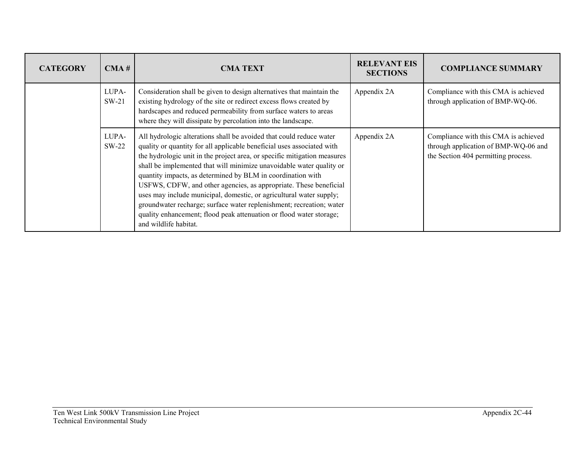<span id="page-46-0"></span>

| <b>CATEGORY</b> | CMA#             | <b>CMA TEXT</b>                                                                                                                                                                                                                                                                                                                                                                                                                                                                                                                                                                                                                                                                      | <b>RELEVANT EIS</b><br><b>SECTIONS</b> | <b>COMPLIANCE SUMMARY</b>                                                                                           |
|-----------------|------------------|--------------------------------------------------------------------------------------------------------------------------------------------------------------------------------------------------------------------------------------------------------------------------------------------------------------------------------------------------------------------------------------------------------------------------------------------------------------------------------------------------------------------------------------------------------------------------------------------------------------------------------------------------------------------------------------|----------------------------------------|---------------------------------------------------------------------------------------------------------------------|
|                 | LUPA-<br>$SW-21$ | Consideration shall be given to design alternatives that maintain the<br>existing hydrology of the site or redirect excess flows created by<br>hardscapes and reduced permeability from surface waters to areas<br>where they will dissipate by percolation into the landscape.                                                                                                                                                                                                                                                                                                                                                                                                      | Appendix 2A                            | Compliance with this CMA is achieved<br>through application of BMP-WQ-06.                                           |
|                 | LUPA-<br>SW-22   | All hydrologic alterations shall be avoided that could reduce water<br>quality or quantity for all applicable beneficial uses associated with<br>the hydrologic unit in the project area, or specific mitigation measures<br>shall be implemented that will minimize unavoidable water quality or<br>quantity impacts, as determined by BLM in coordination with<br>USFWS, CDFW, and other agencies, as appropriate. These beneficial<br>uses may include municipal, domestic, or agricultural water supply;<br>groundwater recharge; surface water replenishment; recreation; water<br>quality enhancement; flood peak attenuation or flood water storage;<br>and wildlife habitat. | Appendix 2A                            | Compliance with this CMA is achieved<br>through application of BMP-WQ-06 and<br>the Section 404 permitting process. |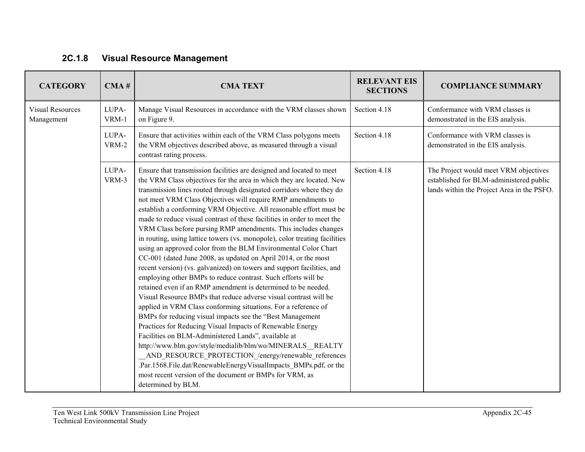| <b>CATEGORY</b>                       | CMA#           | <b>CMA TEXT</b>                                                                                                                                                                                                                                                                                                                                                                                                                                                                                                                                                                                                                                                                                                                                                                                                                                                                                                                                                                                                                                                                                                                                                                                                                                                                                                                                                                                                                                                                                                                        | <b>RELEVANT EIS</b><br><b>SECTIONS</b> | <b>COMPLIANCE SUMMARY</b>                                                                                                      |
|---------------------------------------|----------------|----------------------------------------------------------------------------------------------------------------------------------------------------------------------------------------------------------------------------------------------------------------------------------------------------------------------------------------------------------------------------------------------------------------------------------------------------------------------------------------------------------------------------------------------------------------------------------------------------------------------------------------------------------------------------------------------------------------------------------------------------------------------------------------------------------------------------------------------------------------------------------------------------------------------------------------------------------------------------------------------------------------------------------------------------------------------------------------------------------------------------------------------------------------------------------------------------------------------------------------------------------------------------------------------------------------------------------------------------------------------------------------------------------------------------------------------------------------------------------------------------------------------------------------|----------------------------------------|--------------------------------------------------------------------------------------------------------------------------------|
| <b>Visual Resources</b><br>Management | LUPA-<br>VRM-1 | Manage Visual Resources in accordance with the VRM classes shown<br>on Figure 9.                                                                                                                                                                                                                                                                                                                                                                                                                                                                                                                                                                                                                                                                                                                                                                                                                                                                                                                                                                                                                                                                                                                                                                                                                                                                                                                                                                                                                                                       | Section 4.18                           | Conformance with VRM classes is<br>demonstrated in the EIS analysis.                                                           |
|                                       | LUPA-<br>VRM-2 | Ensure that activities within each of the VRM Class polygons meets<br>the VRM objectives described above, as measured through a visual<br>contrast rating process.                                                                                                                                                                                                                                                                                                                                                                                                                                                                                                                                                                                                                                                                                                                                                                                                                                                                                                                                                                                                                                                                                                                                                                                                                                                                                                                                                                     | Section 4.18                           | Conformance with VRM classes is<br>demonstrated in the EIS analysis.                                                           |
|                                       | LUPA-<br>VRM-3 | Ensure that transmission facilities are designed and located to meet<br>the VRM Class objectives for the area in which they are located. New<br>transmission lines routed through designated corridors where they do<br>not meet VRM Class Objectives will require RMP amendments to<br>establish a conforming VRM Objective. All reasonable effort must be<br>made to reduce visual contrast of these facilities in order to meet the<br>VRM Class before pursing RMP amendments. This includes changes<br>in routing, using lattice towers (vs. monopole), color treating facilities<br>using an approved color from the BLM Environmental Color Chart<br>CC-001 (dated June 2008, as updated on April 2014, or the most<br>recent version) (vs. galvanized) on towers and support facilities, and<br>employing other BMPs to reduce contrast. Such efforts will be<br>retained even if an RMP amendment is determined to be needed.<br>Visual Resource BMPs that reduce adverse visual contrast will be<br>applied in VRM Class conforming situations. For a reference of<br>BMPs for reducing visual impacts see the "Best Management<br>Practices for Reducing Visual Impacts of Renewable Energy<br>Facilities on BLM-Administered Lands", available at<br>http://www.blm.gov/style/medialib/blm/wo/MINERALS REALTY<br>AND RESOURCE PROTECTION /energy/renewable_references<br>.Par.1568.File.dat/RenewableEnergyVisualImpacts BMPs.pdf, or the<br>most recent version of the document or BMPs for VRM, as<br>determined by BLM. | Section 4.18                           | The Project would meet VRM objectives<br>established for BLM-administered public<br>lands within the Project Area in the PSFO. |

## **2C.1.8 Visual Resource Management**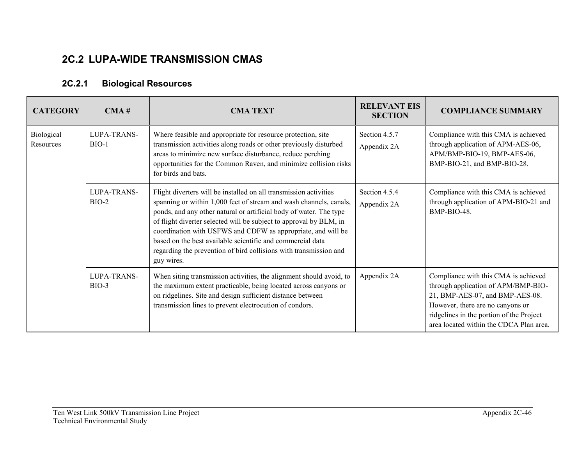## **2C.2 LUPA-WIDE TRANSMISSION CMAS**

#### **2C.2.1 Biological Resources**

<span id="page-48-1"></span><span id="page-48-0"></span>

| <b>CATEGORY</b>         | CMA#                   | <b>CMA TEXT</b>                                                                                                                                                                                                                                                                                                                                                                                                                                                                                      | <b>RELEVANT EIS</b><br><b>SECTION</b> | <b>COMPLIANCE SUMMARY</b>                                                                                                                                                                                                                 |
|-------------------------|------------------------|------------------------------------------------------------------------------------------------------------------------------------------------------------------------------------------------------------------------------------------------------------------------------------------------------------------------------------------------------------------------------------------------------------------------------------------------------------------------------------------------------|---------------------------------------|-------------------------------------------------------------------------------------------------------------------------------------------------------------------------------------------------------------------------------------------|
| Biological<br>Resources | LUPA-TRANS-<br>$BIO-1$ | Where feasible and appropriate for resource protection, site<br>transmission activities along roads or other previously disturbed<br>areas to minimize new surface disturbance, reduce perching<br>opportunities for the Common Raven, and minimize collision risks<br>for birds and bats.                                                                                                                                                                                                           | Section 4.5.7<br>Appendix 2A          | Compliance with this CMA is achieved<br>through application of APM-AES-06,<br>APM/BMP-BIO-19, BMP-AES-06,<br>BMP-BIO-21, and BMP-BIO-28.                                                                                                  |
|                         | LUPA-TRANS-<br>$BIO-2$ | Flight diverters will be installed on all transmission activities<br>spanning or within 1,000 feet of stream and wash channels, canals,<br>ponds, and any other natural or artificial body of water. The type<br>of flight diverter selected will be subject to approval by BLM, in<br>coordination with USFWS and CDFW as appropriate, and will be<br>based on the best available scientific and commercial data<br>regarding the prevention of bird collisions with transmission and<br>guy wires. | Section 4.5.4<br>Appendix 2A          | Compliance with this CMA is achieved<br>through application of APM-BIO-21 and<br>BMP-BIO-48.                                                                                                                                              |
|                         | LUPA-TRANS-<br>$BIO-3$ | When siting transmission activities, the alignment should avoid, to<br>the maximum extent practicable, being located across canyons or<br>on ridgelines. Site and design sufficient distance between<br>transmission lines to prevent electrocution of condors.                                                                                                                                                                                                                                      | Appendix 2A                           | Compliance with this CMA is achieved<br>through application of APM/BMP-BIO-<br>21, BMP-AES-07, and BMP-AES-08.<br>However, there are no canyons or<br>ridgelines in the portion of the Project<br>area located within the CDCA Plan area. |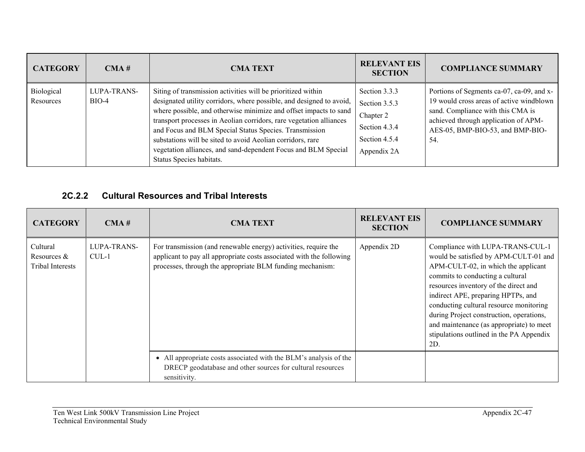| <b>CATEGORY</b>         | CMA#                   | <b>CMA TEXT</b>                                                                                                                                                                                                                                                                                                                                                                                                                                                                                        | <b>RELEVANT EIS</b><br><b>SECTION</b>                                                        | <b>COMPLIANCE SUMMARY</b>                                                                                                                                                                                     |
|-------------------------|------------------------|--------------------------------------------------------------------------------------------------------------------------------------------------------------------------------------------------------------------------------------------------------------------------------------------------------------------------------------------------------------------------------------------------------------------------------------------------------------------------------------------------------|----------------------------------------------------------------------------------------------|---------------------------------------------------------------------------------------------------------------------------------------------------------------------------------------------------------------|
| Biological<br>Resources | LUPA-TRANS-<br>$BIO-4$ | Siting of transmission activities will be prioritized within<br>designated utility corridors, where possible, and designed to avoid,<br>where possible, and otherwise minimize and offset impacts to sand<br>transport processes in Aeolian corridors, rare vegetation alliances<br>and Focus and BLM Special Status Species. Transmission<br>substations will be sited to avoid Aeolian corridors, rare<br>vegetation alliances, and sand-dependent Focus and BLM Special<br>Status Species habitats. | Section 3.3.3<br>Section 3.5.3<br>Chapter 2<br>Section 4.3.4<br>Section 4.5.4<br>Appendix 2A | Portions of Segments ca-07, ca-09, and x-<br>19 would cross areas of active windblown<br>sand. Compliance with this CMA is<br>achieved through application of APM-<br>AES-05, BMP-BIO-53, and BMP-BIO-<br>54. |

### **2C.2.2 Cultural Resources and Tribal Interests**

<span id="page-49-0"></span>

| <b>CATEGORY</b>                             | CMA#                   | <b>CMA TEXT</b>                                                                                                                                                                                      | <b>RELEVANT EIS</b><br><b>SECTION</b> | <b>COMPLIANCE SUMMARY</b>                                                                                                                                                                                                                                                                                                                                                                                                 |
|---------------------------------------------|------------------------|------------------------------------------------------------------------------------------------------------------------------------------------------------------------------------------------------|---------------------------------------|---------------------------------------------------------------------------------------------------------------------------------------------------------------------------------------------------------------------------------------------------------------------------------------------------------------------------------------------------------------------------------------------------------------------------|
| Cultural<br>Resources &<br>Tribal Interests | LUPA-TRANS-<br>$CUL-1$ | For transmission (and renewable energy) activities, require the<br>applicant to pay all appropriate costs associated with the following<br>processes, through the appropriate BLM funding mechanism: | Appendix 2D                           | Compliance with LUPA-TRANS-CUL-1<br>would be satisfied by APM-CULT-01 and<br>APM-CULT-02, in which the applicant<br>commits to conducting a cultural<br>resources inventory of the direct and<br>indirect APE, preparing HPTPs, and<br>conducting cultural resource monitoring<br>during Project construction, operations,<br>and maintenance (as appropriate) to meet<br>stipulations outlined in the PA Appendix<br>2D. |
|                                             |                        | • All appropriate costs associated with the BLM's analysis of the<br>DRECP geodatabase and other sources for cultural resources<br>sensitivity.                                                      |                                       |                                                                                                                                                                                                                                                                                                                                                                                                                           |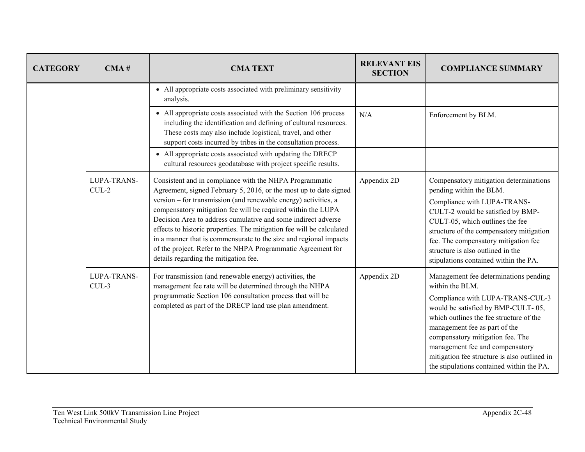| <b>CATEGORY</b>    | CMA#        | <b>CMA TEXT</b>                                                                                                                                                                                                                                                                                                                                                                                                                                                                                                                                                                         | <b>RELEVANT EIS</b><br><b>SECTION</b> | <b>COMPLIANCE SUMMARY</b>                                                                                                                                                                                                                                                                                                                                                          |
|--------------------|-------------|-----------------------------------------------------------------------------------------------------------------------------------------------------------------------------------------------------------------------------------------------------------------------------------------------------------------------------------------------------------------------------------------------------------------------------------------------------------------------------------------------------------------------------------------------------------------------------------------|---------------------------------------|------------------------------------------------------------------------------------------------------------------------------------------------------------------------------------------------------------------------------------------------------------------------------------------------------------------------------------------------------------------------------------|
|                    |             | • All appropriate costs associated with preliminary sensitivity<br>analysis.                                                                                                                                                                                                                                                                                                                                                                                                                                                                                                            |                                       |                                                                                                                                                                                                                                                                                                                                                                                    |
|                    |             | • All appropriate costs associated with the Section 106 process<br>including the identification and defining of cultural resources.<br>These costs may also include logistical, travel, and other<br>support costs incurred by tribes in the consultation process.                                                                                                                                                                                                                                                                                                                      | N/A                                   | Enforcement by BLM.                                                                                                                                                                                                                                                                                                                                                                |
|                    |             | • All appropriate costs associated with updating the DRECP<br>cultural resources geodatabase with project specific results.                                                                                                                                                                                                                                                                                                                                                                                                                                                             |                                       |                                                                                                                                                                                                                                                                                                                                                                                    |
| $CUL-2$<br>$CUL-3$ | LUPA-TRANS- | Consistent and in compliance with the NHPA Programmatic<br>Agreement, signed February 5, 2016, or the most up to date signed<br>version - for transmission (and renewable energy) activities, a<br>compensatory mitigation fee will be required within the LUPA<br>Decision Area to address cumulative and some indirect adverse<br>effects to historic properties. The mitigation fee will be calculated<br>in a manner that is commensurate to the size and regional impacts<br>of the project. Refer to the NHPA Programmatic Agreement for<br>details regarding the mitigation fee. | Appendix 2D                           | Compensatory mitigation determinations<br>pending within the BLM.<br>Compliance with LUPA-TRANS-<br>CULT-2 would be satisfied by BMP-<br>CULT-05, which outlines the fee<br>structure of the compensatory mitigation<br>fee. The compensatory mitigation fee<br>structure is also outlined in the<br>stipulations contained within the PA.                                         |
|                    | LUPA-TRANS- | For transmission (and renewable energy) activities, the<br>management fee rate will be determined through the NHPA<br>programmatic Section 106 consultation process that will be<br>completed as part of the DRECP land use plan amendment.                                                                                                                                                                                                                                                                                                                                             | Appendix 2D                           | Management fee determinations pending<br>within the BLM.<br>Compliance with LUPA-TRANS-CUL-3<br>would be satisfied by BMP-CULT-05,<br>which outlines the fee structure of the<br>management fee as part of the<br>compensatory mitigation fee. The<br>management fee and compensatory<br>mitigation fee structure is also outlined in<br>the stipulations contained within the PA. |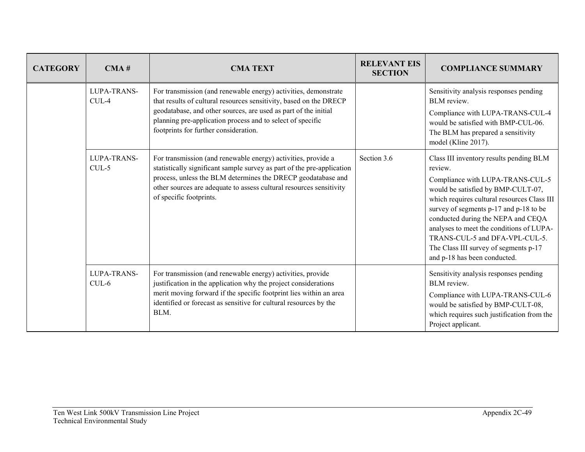| <b>CATEGORY</b> | CMA#                   | <b>CMA TEXT</b>                                                                                                                                                                                                                                                                                                 | <b>RELEVANT EIS</b><br><b>SECTION</b> | <b>COMPLIANCE SUMMARY</b>                                                                                                                                                                                                                                                                                                                                                                                          |
|-----------------|------------------------|-----------------------------------------------------------------------------------------------------------------------------------------------------------------------------------------------------------------------------------------------------------------------------------------------------------------|---------------------------------------|--------------------------------------------------------------------------------------------------------------------------------------------------------------------------------------------------------------------------------------------------------------------------------------------------------------------------------------------------------------------------------------------------------------------|
|                 | LUPA-TRANS-<br>$CUL-4$ | For transmission (and renewable energy) activities, demonstrate<br>that results of cultural resources sensitivity, based on the DRECP<br>geodatabase, and other sources, are used as part of the initial<br>planning pre-application process and to select of specific<br>footprints for further consideration. |                                       | Sensitivity analysis responses pending<br>BLM review.<br>Compliance with LUPA-TRANS-CUL-4<br>would be satisfied with BMP-CUL-06.<br>The BLM has prepared a sensitivity<br>model (Kline 2017).                                                                                                                                                                                                                      |
|                 | LUPA-TRANS-<br>$CUL-5$ | For transmission (and renewable energy) activities, provide a<br>statistically significant sample survey as part of the pre-application<br>process, unless the BLM determines the DRECP geodatabase and<br>other sources are adequate to assess cultural resources sensitivity<br>of specific footprints.       | Section 3.6                           | Class III inventory results pending BLM<br>review.<br>Compliance with LUPA-TRANS-CUL-5<br>would be satisfied by BMP-CULT-07,<br>which requires cultural resources Class III<br>survey of segments p-17 and p-18 to be<br>conducted during the NEPA and CEQA<br>analyses to meet the conditions of LUPA-<br>TRANS-CUL-5 and DFA-VPL-CUL-5.<br>The Class III survey of segments p-17<br>and p-18 has been conducted. |
|                 | LUPA-TRANS-<br>$CUL-6$ | For transmission (and renewable energy) activities, provide<br>justification in the application why the project considerations<br>merit moving forward if the specific footprint lies within an area<br>identified or forecast as sensitive for cultural resources by the<br>BLM.                               |                                       | Sensitivity analysis responses pending<br>BLM review.<br>Compliance with LUPA-TRANS-CUL-6<br>would be satisfied by BMP-CULT-08,<br>which requires such justification from the<br>Project applicant.                                                                                                                                                                                                                |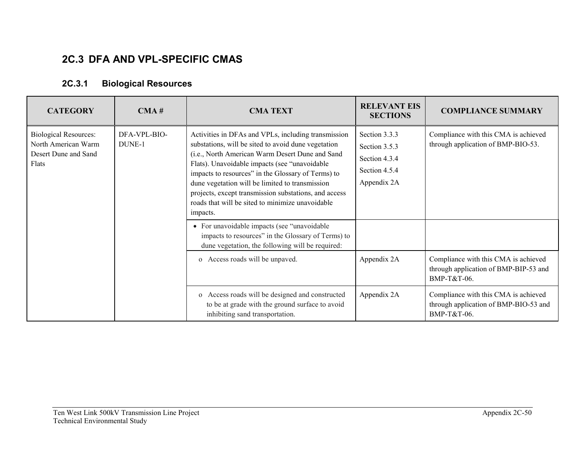## **2C.3 DFA AND VPL-SPECIFIC CMAS**

#### **2C.3.1 Biological Resources**

<span id="page-52-1"></span><span id="page-52-0"></span>

| <b>CATEGORY</b>                                                                      | CMA#                   | <b>CMA TEXT</b>                                                                                                                                                                                                                                                                                                                                                                                                                                  | <b>RELEVANT EIS</b><br><b>SECTIONS</b>                                          | <b>COMPLIANCE SUMMARY</b>                                                                    |
|--------------------------------------------------------------------------------------|------------------------|--------------------------------------------------------------------------------------------------------------------------------------------------------------------------------------------------------------------------------------------------------------------------------------------------------------------------------------------------------------------------------------------------------------------------------------------------|---------------------------------------------------------------------------------|----------------------------------------------------------------------------------------------|
| <b>Biological Resources:</b><br>North American Warm<br>Desert Dune and Sand<br>Flats | DFA-VPL-BIO-<br>DUNE-1 | Activities in DFAs and VPLs, including transmission<br>substations, will be sited to avoid dune vegetation<br>(i.e., North American Warm Desert Dune and Sand<br>Flats). Unavoidable impacts (see "unavoidable<br>impacts to resources" in the Glossary of Terms) to<br>dune vegetation will be limited to transmission<br>projects, except transmission substations, and access<br>roads that will be sited to minimize unavoidable<br>impacts. | Section 3.3.3<br>Section 3.5.3<br>Section 4.3.4<br>Section 4.5.4<br>Appendix 2A | Compliance with this CMA is achieved<br>through application of BMP-BIO-53.                   |
|                                                                                      |                        | • For unavoidable impacts (see "unavoidable"<br>impacts to resources" in the Glossary of Terms) to<br>dune vegetation, the following will be required:                                                                                                                                                                                                                                                                                           |                                                                                 |                                                                                              |
|                                                                                      |                        | o Access roads will be unpaved.                                                                                                                                                                                                                                                                                                                                                                                                                  | Appendix 2A                                                                     | Compliance with this CMA is achieved<br>through application of BMP-BIP-53 and<br>BMP-T&T-06. |
|                                                                                      |                        | o Access roads will be designed and constructed<br>to be at grade with the ground surface to avoid<br>inhibiting sand transportation.                                                                                                                                                                                                                                                                                                            | Appendix 2A                                                                     | Compliance with this CMA is achieved<br>through application of BMP-BIO-53 and<br>BMP-T&T-06. |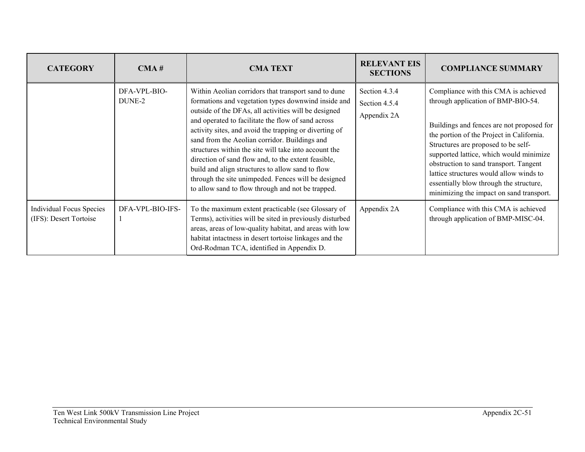| <b>CATEGORY</b>                                           | $CMA$ #                | <b>CMA TEXT</b>                                                                                                                                                                                                                                                                                                                                                                                                                                                                                                                                                                                                      | <b>RELEVANT EIS</b><br><b>SECTIONS</b>        | <b>COMPLIANCE SUMMARY</b>                                                                                                                                                                                                                                                                                                                                                                                                          |
|-----------------------------------------------------------|------------------------|----------------------------------------------------------------------------------------------------------------------------------------------------------------------------------------------------------------------------------------------------------------------------------------------------------------------------------------------------------------------------------------------------------------------------------------------------------------------------------------------------------------------------------------------------------------------------------------------------------------------|-----------------------------------------------|------------------------------------------------------------------------------------------------------------------------------------------------------------------------------------------------------------------------------------------------------------------------------------------------------------------------------------------------------------------------------------------------------------------------------------|
|                                                           | DFA-VPL-BIO-<br>DUNE-2 | Within Aeolian corridors that transport sand to dune<br>formations and vegetation types downwind inside and<br>outside of the DFAs, all activities will be designed<br>and operated to facilitate the flow of sand across<br>activity sites, and avoid the trapping or diverting of<br>sand from the Aeolian corridor. Buildings and<br>structures within the site will take into account the<br>direction of sand flow and, to the extent feasible,<br>build and align structures to allow sand to flow<br>through the site unimpeded. Fences will be designed<br>to allow sand to flow through and not be trapped. | Section 4.3.4<br>Section 4.5.4<br>Appendix 2A | Compliance with this CMA is achieved<br>through application of BMP-BIO-54.<br>Buildings and fences are not proposed for<br>the portion of the Project in California.<br>Structures are proposed to be self-<br>supported lattice, which would minimize<br>obstruction to sand transport. Tangent<br>lattice structures would allow winds to<br>essentially blow through the structure,<br>minimizing the impact on sand transport. |
| <b>Individual Focus Species</b><br>(IFS): Desert Tortoise | DFA-VPL-BIO-IFS-       | To the maximum extent practicable (see Glossary of<br>Terms), activities will be sited in previously disturbed<br>areas, areas of low-quality habitat, and areas with low<br>habitat intactness in desert tortoise linkages and the<br>Ord-Rodman TCA, identified in Appendix D.                                                                                                                                                                                                                                                                                                                                     | Appendix 2A                                   | Compliance with this CMA is achieved<br>through application of BMP-MISC-04.                                                                                                                                                                                                                                                                                                                                                        |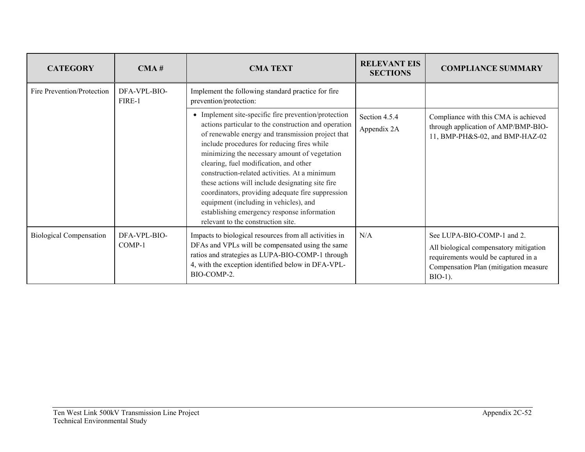| <b>CATEGORY</b>                | CMA#                     | <b>CMA TEXT</b>                                                                                                                                                                                                                                                                                                                                                                                                                                                                                                                                                                                      | <b>RELEVANT EIS</b><br><b>SECTIONS</b> | <b>COMPLIANCE SUMMARY</b>                                                                                                                                          |
|--------------------------------|--------------------------|------------------------------------------------------------------------------------------------------------------------------------------------------------------------------------------------------------------------------------------------------------------------------------------------------------------------------------------------------------------------------------------------------------------------------------------------------------------------------------------------------------------------------------------------------------------------------------------------------|----------------------------------------|--------------------------------------------------------------------------------------------------------------------------------------------------------------------|
| Fire Prevention/Protection     | DFA-VPL-BIO-<br>FIRE-1   | Implement the following standard practice for fire<br>prevention/protection:                                                                                                                                                                                                                                                                                                                                                                                                                                                                                                                         |                                        |                                                                                                                                                                    |
|                                |                          | • Implement site-specific fire prevention/protection<br>actions particular to the construction and operation<br>of renewable energy and transmission project that<br>include procedures for reducing fires while<br>minimizing the necessary amount of vegetation<br>clearing, fuel modification, and other<br>construction-related activities. At a minimum<br>these actions will include designating site fire<br>coordinators, providing adequate fire suppression<br>equipment (including in vehicles), and<br>establishing emergency response information<br>relevant to the construction site. | Section 4.5.4<br>Appendix 2A           | Compliance with this CMA is achieved<br>through application of AMP/BMP-BIO-<br>11, BMP-PH&S-02, and BMP-HAZ-02                                                     |
| <b>Biological Compensation</b> | DFA-VPL-BIO-<br>$COMP-1$ | Impacts to biological resources from all activities in<br>DFAs and VPLs will be compensated using the same<br>ratios and strategies as LUPA-BIO-COMP-1 through<br>4, with the exception identified below in DFA-VPL-<br>BIO-COMP-2.                                                                                                                                                                                                                                                                                                                                                                  | N/A                                    | See LUPA-BIO-COMP-1 and 2.<br>All biological compensatory mitigation<br>requirements would be captured in a<br>Compensation Plan (mitigation measure<br>$BIO-1$ ). |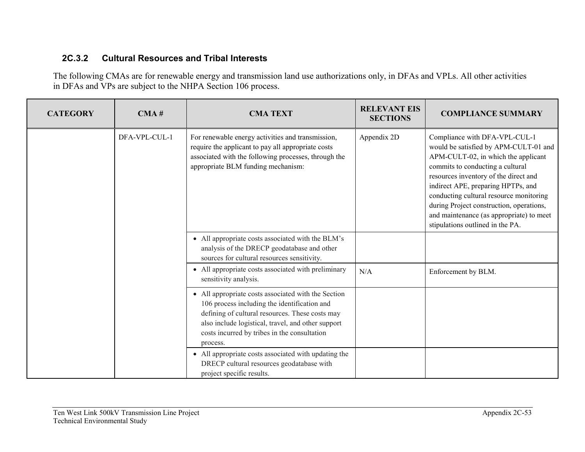### **2C.3.2 Cultural Resources and Tribal Interests**

The following CMAs are for renewable energy and transmission land use authorizations only, in DFAs and VPLs. All other activities in DFAs and VPs are subject to the NHPA Section 106 process.

<span id="page-55-0"></span>

| <b>CATEGORY</b> | CMA#          | <b>CMA TEXT</b>                                                                                                                                                                                                                                                          | <b>RELEVANT EIS</b><br><b>SECTIONS</b> | <b>COMPLIANCE SUMMARY</b>                                                                                                                                                                                                                                                                                                                                                                               |
|-----------------|---------------|--------------------------------------------------------------------------------------------------------------------------------------------------------------------------------------------------------------------------------------------------------------------------|----------------------------------------|---------------------------------------------------------------------------------------------------------------------------------------------------------------------------------------------------------------------------------------------------------------------------------------------------------------------------------------------------------------------------------------------------------|
|                 | DFA-VPL-CUL-1 | For renewable energy activities and transmission,<br>require the applicant to pay all appropriate costs<br>associated with the following processes, through the<br>appropriate BLM funding mechanism:                                                                    | Appendix 2D                            | Compliance with DFA-VPL-CUL-1<br>would be satisfied by APM-CULT-01 and<br>APM-CULT-02, in which the applicant<br>commits to conducting a cultural<br>resources inventory of the direct and<br>indirect APE, preparing HPTPs, and<br>conducting cultural resource monitoring<br>during Project construction, operations,<br>and maintenance (as appropriate) to meet<br>stipulations outlined in the PA. |
|                 |               | • All appropriate costs associated with the BLM's<br>analysis of the DRECP geodatabase and other<br>sources for cultural resources sensitivity.                                                                                                                          |                                        |                                                                                                                                                                                                                                                                                                                                                                                                         |
|                 |               | • All appropriate costs associated with preliminary<br>sensitivity analysis.                                                                                                                                                                                             | N/A                                    | Enforcement by BLM.                                                                                                                                                                                                                                                                                                                                                                                     |
|                 |               | • All appropriate costs associated with the Section<br>106 process including the identification and<br>defining of cultural resources. These costs may<br>also include logistical, travel, and other support<br>costs incurred by tribes in the consultation<br>process. |                                        |                                                                                                                                                                                                                                                                                                                                                                                                         |
|                 |               | • All appropriate costs associated with updating the<br>DRECP cultural resources geodatabase with<br>project specific results.                                                                                                                                           |                                        |                                                                                                                                                                                                                                                                                                                                                                                                         |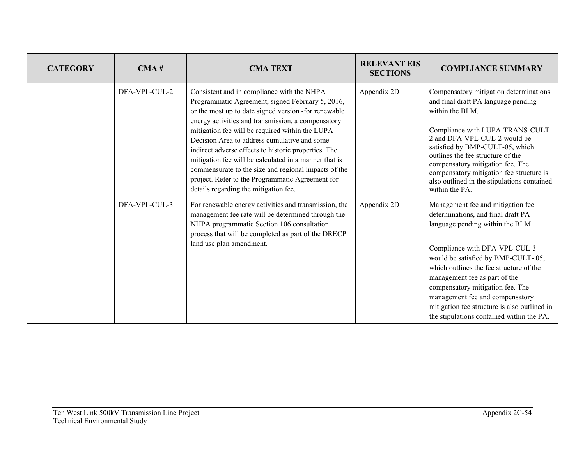| <b>CATEGORY</b> | CMA#          | <b>CMA TEXT</b>                                                                                                                                                                                                                                                                                                                                                                                                                                                                                                                                                                       | <b>RELEVANT EIS</b><br><b>SECTIONS</b> | <b>COMPLIANCE SUMMARY</b>                                                                                                                                                                                                                                                                                                                                                                                                          |
|-----------------|---------------|---------------------------------------------------------------------------------------------------------------------------------------------------------------------------------------------------------------------------------------------------------------------------------------------------------------------------------------------------------------------------------------------------------------------------------------------------------------------------------------------------------------------------------------------------------------------------------------|----------------------------------------|------------------------------------------------------------------------------------------------------------------------------------------------------------------------------------------------------------------------------------------------------------------------------------------------------------------------------------------------------------------------------------------------------------------------------------|
|                 | DFA-VPL-CUL-2 | Consistent and in compliance with the NHPA<br>Programmatic Agreement, signed February 5, 2016,<br>or the most up to date signed version -for renewable<br>energy activities and transmission, a compensatory<br>mitigation fee will be required within the LUPA<br>Decision Area to address cumulative and some<br>indirect adverse effects to historic properties. The<br>mitigation fee will be calculated in a manner that is<br>commensurate to the size and regional impacts of the<br>project. Refer to the Programmatic Agreement for<br>details regarding the mitigation fee. | Appendix 2D                            | Compensatory mitigation determinations<br>and final draft PA language pending<br>within the BLM.<br>Compliance with LUPA-TRANS-CULT-<br>2 and DFA-VPL-CUL-2 would be<br>satisfied by BMP-CULT-05, which<br>outlines the fee structure of the<br>compensatory mitigation fee. The<br>compensatory mitigation fee structure is<br>also outlined in the stipulations contained<br>within the PA.                                      |
|                 | DFA-VPL-CUL-3 | For renewable energy activities and transmission, the<br>management fee rate will be determined through the<br>NHPA programmatic Section 106 consultation<br>process that will be completed as part of the DRECP<br>land use plan amendment.                                                                                                                                                                                                                                                                                                                                          | Appendix 2D                            | Management fee and mitigation fee<br>determinations, and final draft PA<br>language pending within the BLM.<br>Compliance with DFA-VPL-CUL-3<br>would be satisfied by BMP-CULT-05,<br>which outlines the fee structure of the<br>management fee as part of the<br>compensatory mitigation fee. The<br>management fee and compensatory<br>mitigation fee structure is also outlined in<br>the stipulations contained within the PA. |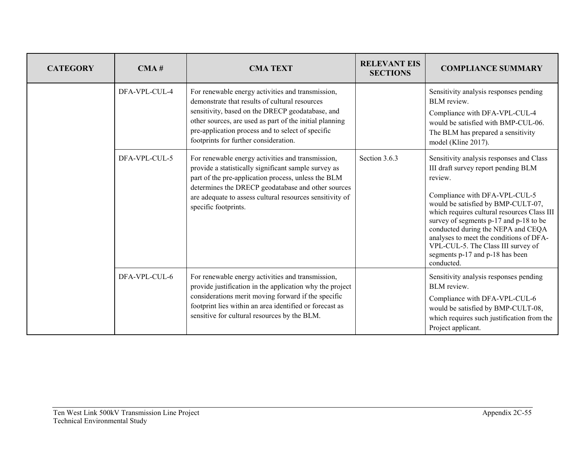| <b>CATEGORY</b> | CMA#          | <b>CMA TEXT</b>                                                                                                                                                                                                                                                                                                  | <b>RELEVANT EIS</b><br><b>SECTIONS</b> | <b>COMPLIANCE SUMMARY</b>                                                                                                                                                                                                                                                                                                                                                                                                          |
|-----------------|---------------|------------------------------------------------------------------------------------------------------------------------------------------------------------------------------------------------------------------------------------------------------------------------------------------------------------------|----------------------------------------|------------------------------------------------------------------------------------------------------------------------------------------------------------------------------------------------------------------------------------------------------------------------------------------------------------------------------------------------------------------------------------------------------------------------------------|
|                 | DFA-VPL-CUL-4 | For renewable energy activities and transmission,<br>demonstrate that results of cultural resources<br>sensitivity, based on the DRECP geodatabase, and<br>other sources, are used as part of the initial planning<br>pre-application process and to select of specific<br>footprints for further consideration. |                                        | Sensitivity analysis responses pending<br>BLM review.<br>Compliance with DFA-VPL-CUL-4<br>would be satisfied with BMP-CUL-06.<br>The BLM has prepared a sensitivity<br>model (Kline 2017).                                                                                                                                                                                                                                         |
|                 | DFA-VPL-CUL-5 | For renewable energy activities and transmission,<br>provide a statistically significant sample survey as<br>part of the pre-application process, unless the BLM<br>determines the DRECP geodatabase and other sources<br>are adequate to assess cultural resources sensitivity of<br>specific footprints.       | Section 3.6.3                          | Sensitivity analysis responses and Class<br>III draft survey report pending BLM<br>review.<br>Compliance with DFA-VPL-CUL-5<br>would be satisfied by BMP-CULT-07,<br>which requires cultural resources Class III<br>survey of segments p-17 and p-18 to be<br>conducted during the NEPA and CEQA<br>analyses to meet the conditions of DFA-<br>VPL-CUL-5. The Class III survey of<br>segments p-17 and p-18 has been<br>conducted. |
|                 | DFA-VPL-CUL-6 | For renewable energy activities and transmission,<br>provide justification in the application why the project<br>considerations merit moving forward if the specific<br>footprint lies within an area identified or forecast as<br>sensitive for cultural resources by the BLM.                                  |                                        | Sensitivity analysis responses pending<br>BLM review.<br>Compliance with DFA-VPL-CUL-6<br>would be satisfied by BMP-CULT-08,<br>which requires such justification from the<br>Project applicant.                                                                                                                                                                                                                                   |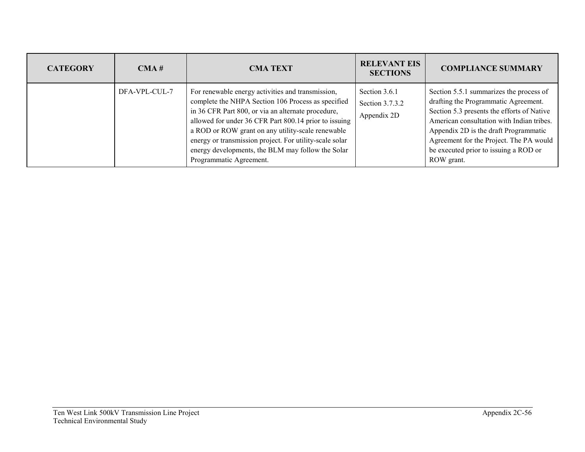<span id="page-58-0"></span>

| <b>CATEGORY</b> | CMA#          | <b>CMA TEXT</b>                                                                                                                                                                                                                                                                                                                                                                                                        | <b>RELEVANT EIS</b><br><b>SECTIONS</b>          | <b>COMPLIANCE SUMMARY</b>                                                                                                                                                                                                                                                                                             |
|-----------------|---------------|------------------------------------------------------------------------------------------------------------------------------------------------------------------------------------------------------------------------------------------------------------------------------------------------------------------------------------------------------------------------------------------------------------------------|-------------------------------------------------|-----------------------------------------------------------------------------------------------------------------------------------------------------------------------------------------------------------------------------------------------------------------------------------------------------------------------|
|                 | DFA-VPL-CUL-7 | For renewable energy activities and transmission,<br>complete the NHPA Section 106 Process as specified<br>in 36 CFR Part 800, or via an alternate procedure,<br>allowed for under 36 CFR Part 800.14 prior to issuing<br>a ROD or ROW grant on any utility-scale renewable<br>energy or transmission project. For utility-scale solar<br>energy developments, the BLM may follow the Solar<br>Programmatic Agreement. | Section 3.6.1<br>Section 3.7.3.2<br>Appendix 2D | Section 5.5.1 summarizes the process of<br>drafting the Programmatic Agreement.<br>Section 5.3 presents the efforts of Native<br>American consultation with Indian tribes.<br>Appendix 2D is the draft Programmatic<br>Agreement for the Project. The PA would<br>be executed prior to issuing a ROD or<br>ROW grant. |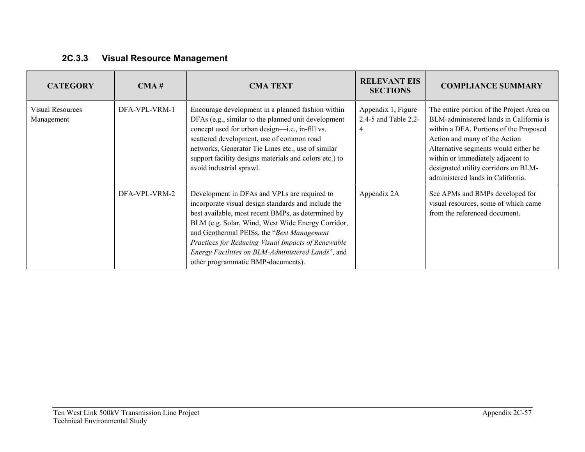## **2C.3.3 Visual Resource Management**

| <b>CATEGORY</b>                | CMA#          | <b>CMA TEXT</b>                                                                                                                                                                                                                                                                                                                                                                                                | <b>RELEVANT EIS</b><br><b>SECTIONS</b>          | <b>COMPLIANCE SUMMARY</b>                                                                                                                                                                                                                                                                                                 |
|--------------------------------|---------------|----------------------------------------------------------------------------------------------------------------------------------------------------------------------------------------------------------------------------------------------------------------------------------------------------------------------------------------------------------------------------------------------------------------|-------------------------------------------------|---------------------------------------------------------------------------------------------------------------------------------------------------------------------------------------------------------------------------------------------------------------------------------------------------------------------------|
| Visual Resources<br>Management | DFA-VPL-VRM-1 | Encourage development in a planned fashion within<br>DFAs (e.g., similar to the planned unit development<br>concept used for urban design-i.e., in-fill vs.<br>scattered development, use of common road<br>networks, Generator Tie Lines etc., use of similar<br>support facility designs materials and colors etc.) to<br>avoid industrial sprawl.                                                           | Appendix 1, Figure<br>2.4-5 and Table 2.2-<br>4 | The entire portion of the Project Area on<br>BLM-administered lands in California is<br>within a DFA. Portions of the Proposed<br>Action and many of the Action<br>Alternative segments would either be<br>within or immediately adjacent to<br>designated utility corridors on BLM-<br>administered lands in California. |
|                                | DFA-VPL-VRM-2 | Development in DFAs and VPLs are required to<br>incorporate visual design standards and include the<br>best available, most recent BMPs, as determined by<br>BLM (e.g. Solar, Wind, West Wide Energy Corridor,<br>and Geothermal PEISs, the "Best Management"<br>Practices for Reducing Visual Impacts of Renewable<br>Energy Facilities on BLM-Administered Lands", and<br>other programmatic BMP-documents). | Appendix 2A                                     | See APMs and BMPs developed for<br>visual resources, some of which came<br>from the referenced document.                                                                                                                                                                                                                  |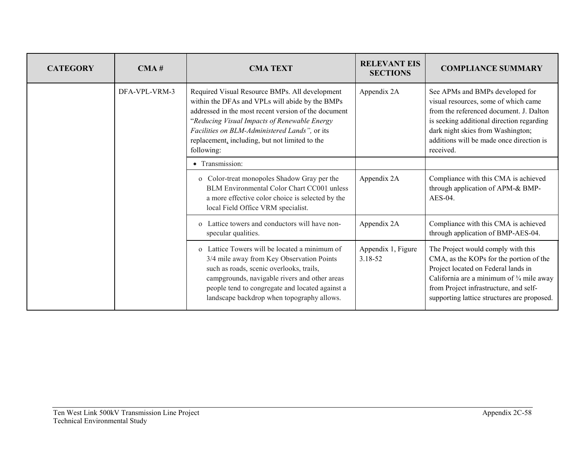| <b>CATEGORY</b> | CMA#          | <b>CMA TEXT</b>                                                                                                                                                                                                                                                                                                            | <b>RELEVANT EIS</b><br><b>SECTIONS</b> | <b>COMPLIANCE SUMMARY</b>                                                                                                                                                                                                                                     |
|-----------------|---------------|----------------------------------------------------------------------------------------------------------------------------------------------------------------------------------------------------------------------------------------------------------------------------------------------------------------------------|----------------------------------------|---------------------------------------------------------------------------------------------------------------------------------------------------------------------------------------------------------------------------------------------------------------|
|                 | DFA-VPL-VRM-3 | Required Visual Resource BMPs. All development<br>within the DFAs and VPLs will abide by the BMPs<br>addressed in the most recent version of the document<br>"Reducing Visual Impacts of Renewable Energy<br>Facilities on BLM-Administered Lands", or its<br>replacement, including, but not limited to the<br>following: | Appendix 2A                            | See APMs and BMPs developed for<br>visual resources, some of which came<br>from the referenced document. J. Dalton<br>is seeking additional direction regarding<br>dark night skies from Washington;<br>additions will be made once direction is<br>received. |
|                 |               | • Transmission:                                                                                                                                                                                                                                                                                                            |                                        |                                                                                                                                                                                                                                                               |
|                 |               | o Color-treat monopoles Shadow Gray per the<br>BLM Environmental Color Chart CC001 unless<br>a more effective color choice is selected by the<br>local Field Office VRM specialist.                                                                                                                                        | Appendix 2A                            | Compliance with this CMA is achieved<br>through application of APM-& BMP-<br>$AES-04$ .                                                                                                                                                                       |
|                 |               | o Lattice towers and conductors will have non-<br>specular qualities.                                                                                                                                                                                                                                                      | Appendix 2A                            | Compliance with this CMA is achieved<br>through application of BMP-AES-04.                                                                                                                                                                                    |
|                 |               | o Lattice Towers will be located a minimum of<br>3/4 mile away from Key Observation Points<br>such as roads, scenic overlooks, trails,<br>campgrounds, navigable rivers and other areas<br>people tend to congregate and located against a<br>landscape backdrop when topography allows.                                   | Appendix 1, Figure<br>3.18-52          | The Project would comply with this<br>CMA, as the KOPs for the portion of the<br>Project located on Federal lands in<br>California are a minimum of 3/4 mile away<br>from Project infrastructure, and self-<br>supporting lattice structures are proposed.    |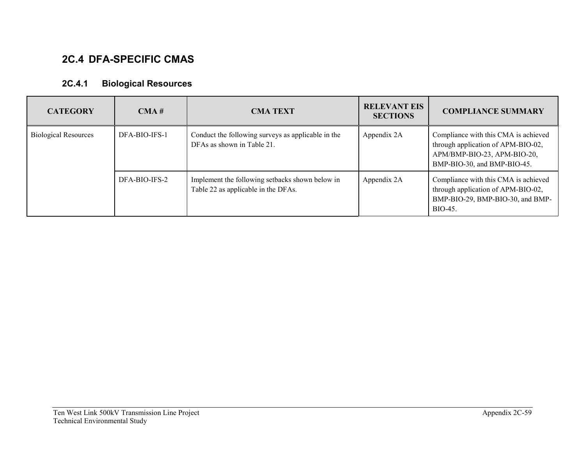## **2C.4 DFA-SPECIFIC CMAS**

#### **2C.4.1 Biological Resources**

<span id="page-61-2"></span><span id="page-61-1"></span><span id="page-61-0"></span>

| <b>CATEGORY</b>             | CMA#          | <b>CMA TEXT</b>                                                                        | <b>RELEVANT EIS</b><br><b>SECTIONS</b> | <b>COMPLIANCE SUMMARY</b>                                                                                                                |
|-----------------------------|---------------|----------------------------------------------------------------------------------------|----------------------------------------|------------------------------------------------------------------------------------------------------------------------------------------|
| <b>Biological Resources</b> | DFA-BIO-IFS-1 | Conduct the following surveys as applicable in the<br>DFAs as shown in Table 21.       | Appendix 2A                            | Compliance with this CMA is achieved<br>through application of APM-BIO-02,<br>APM/BMP-BIO-23, APM-BIO-20,<br>BMP-BIO-30, and BMP-BIO-45. |
|                             | DFA-BIO-IFS-2 | Implement the following setbacks shown below in<br>Table 22 as applicable in the DFAs. | Appendix 2A                            | Compliance with this CMA is achieved<br>through application of APM-BIO-02,<br>BMP-BIO-29, BMP-BIO-30, and BMP-<br>BIO-45.                |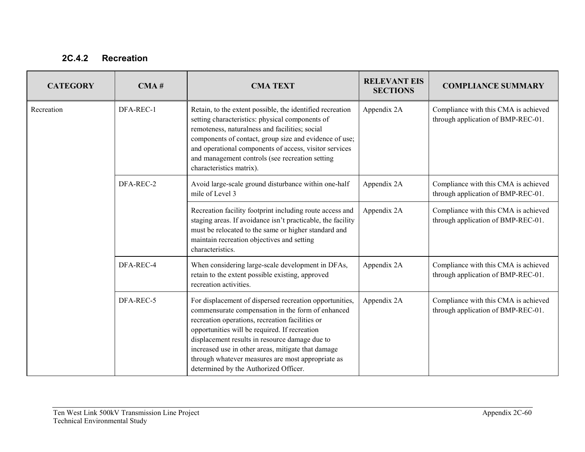### **2C.4.2 Recreation**

| <b>CATEGORY</b> | CMA#      | <b>CMA TEXT</b>                                                                                                                                                                                                                                                                                                                                                                                                        | <b>RELEVANT EIS</b><br><b>SECTIONS</b> | <b>COMPLIANCE SUMMARY</b>                                                  |
|-----------------|-----------|------------------------------------------------------------------------------------------------------------------------------------------------------------------------------------------------------------------------------------------------------------------------------------------------------------------------------------------------------------------------------------------------------------------------|----------------------------------------|----------------------------------------------------------------------------|
| Recreation      | DFA-REC-1 | Retain, to the extent possible, the identified recreation<br>setting characteristics: physical components of<br>remoteness, naturalness and facilities; social<br>components of contact, group size and evidence of use;<br>and operational components of access, visitor services<br>and management controls (see recreation setting<br>characteristics matrix).                                                      | Appendix 2A                            | Compliance with this CMA is achieved<br>through application of BMP-REC-01. |
|                 | DFA-REC-2 | Avoid large-scale ground disturbance within one-half<br>mile of Level 3                                                                                                                                                                                                                                                                                                                                                | Appendix 2A                            | Compliance with this CMA is achieved<br>through application of BMP-REC-01. |
|                 |           | Recreation facility footprint including route access and<br>staging areas. If avoidance isn't practicable, the facility<br>must be relocated to the same or higher standard and<br>maintain recreation objectives and setting<br>characteristics.                                                                                                                                                                      | Appendix 2A                            | Compliance with this CMA is achieved<br>through application of BMP-REC-01. |
|                 | DFA-REC-4 | When considering large-scale development in DFAs,<br>retain to the extent possible existing, approved<br>recreation activities.                                                                                                                                                                                                                                                                                        | Appendix 2A                            | Compliance with this CMA is achieved<br>through application of BMP-REC-01. |
|                 | DFA-REC-5 | For displacement of dispersed recreation opportunities,<br>commensurate compensation in the form of enhanced<br>recreation operations, recreation facilities or<br>opportunities will be required. If recreation<br>displacement results in resource damage due to<br>increased use in other areas, mitigate that damage<br>through whatever measures are most appropriate as<br>determined by the Authorized Officer. | Appendix 2A                            | Compliance with this CMA is achieved<br>through application of BMP-REC-01. |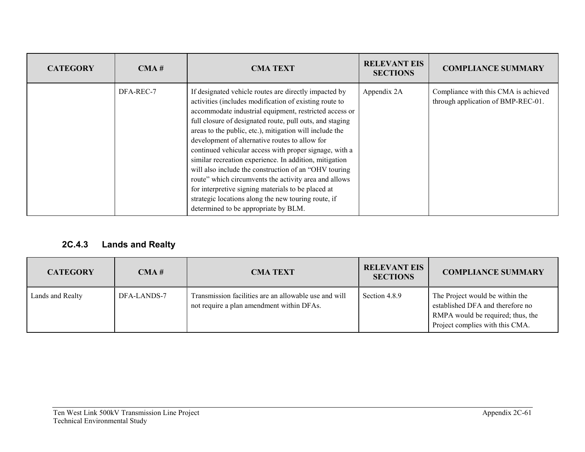| <b>CATEGORY</b> | CMA#      | <b>CMA TEXT</b>                                                                                                                                                                                                                                                                                                                                                                                                                                                                                                                                                                                                                                                                                                                               | <b>RELEVANT EIS</b><br><b>SECTIONS</b> | <b>COMPLIANCE SUMMARY</b>                                                  |
|-----------------|-----------|-----------------------------------------------------------------------------------------------------------------------------------------------------------------------------------------------------------------------------------------------------------------------------------------------------------------------------------------------------------------------------------------------------------------------------------------------------------------------------------------------------------------------------------------------------------------------------------------------------------------------------------------------------------------------------------------------------------------------------------------------|----------------------------------------|----------------------------------------------------------------------------|
|                 | DFA-REC-7 | If designated vehicle routes are directly impacted by<br>activities (includes modification of existing route to<br>accommodate industrial equipment, restricted access or<br>full closure of designated route, pull outs, and staging<br>areas to the public, etc.), mitigation will include the<br>development of alternative routes to allow for<br>continued vehicular access with proper signage, with a<br>similar recreation experience. In addition, mitigation<br>will also include the construction of an "OHV touring<br>route" which circumvents the activity area and allows<br>for interpretive signing materials to be placed at<br>strategic locations along the new touring route, if<br>determined to be appropriate by BLM. | Appendix 2A                            | Compliance with this CMA is achieved<br>through application of BMP-REC-01. |

## **2C.4.3 Lands and Realty**

<span id="page-63-1"></span><span id="page-63-0"></span>

| <b>CATEGORY</b>  | CMA#        | <b>CMA TEXT</b>                                                                                    | <b>RELEVANT EIS</b><br><b>SECTIONS</b> | <b>COMPLIANCE SUMMARY</b>                                                                                                                   |
|------------------|-------------|----------------------------------------------------------------------------------------------------|----------------------------------------|---------------------------------------------------------------------------------------------------------------------------------------------|
| Lands and Realty | DFA-LANDS-7 | Transmission facilities are an allowable use and will<br>not require a plan amendment within DFAs. | Section 4.8.9                          | The Project would be within the<br>established DFA and therefore no<br>RMPA would be required; thus, the<br>Project complies with this CMA. |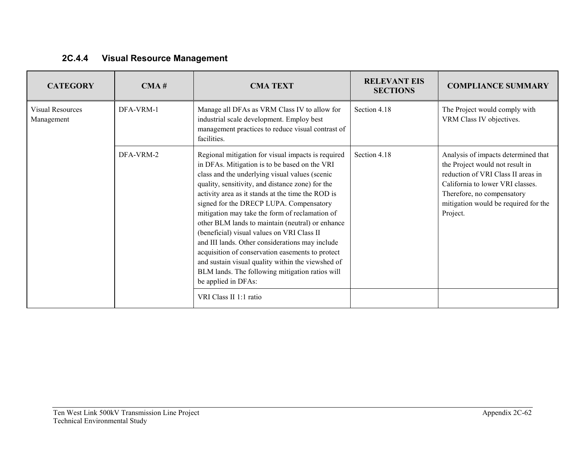### **2C.4.4 Visual Resource Management**

<span id="page-64-0"></span>

| <b>CATEGORY</b>                       | CMA#      | <b>CMA TEXT</b>                                                                                                                                                                                                                                                                                                                                                                                                                                                                                                                                                                                                                                                                                                               | <b>RELEVANT EIS</b><br><b>SECTIONS</b> | <b>COMPLIANCE SUMMARY</b>                                                                                                                                                                                                          |
|---------------------------------------|-----------|-------------------------------------------------------------------------------------------------------------------------------------------------------------------------------------------------------------------------------------------------------------------------------------------------------------------------------------------------------------------------------------------------------------------------------------------------------------------------------------------------------------------------------------------------------------------------------------------------------------------------------------------------------------------------------------------------------------------------------|----------------------------------------|------------------------------------------------------------------------------------------------------------------------------------------------------------------------------------------------------------------------------------|
| <b>Visual Resources</b><br>Management | DFA-VRM-1 | Manage all DFAs as VRM Class IV to allow for<br>industrial scale development. Employ best<br>management practices to reduce visual contrast of<br>facilities.                                                                                                                                                                                                                                                                                                                                                                                                                                                                                                                                                                 | Section 4.18                           | The Project would comply with<br>VRM Class IV objectives.                                                                                                                                                                          |
|                                       | DFA-VRM-2 | Regional mitigation for visual impacts is required<br>in DFAs. Mitigation is to be based on the VRI<br>class and the underlying visual values (scenic<br>quality, sensitivity, and distance zone) for the<br>activity area as it stands at the time the ROD is<br>signed for the DRECP LUPA. Compensatory<br>mitigation may take the form of reclamation of<br>other BLM lands to maintain (neutral) or enhance<br>(beneficial) visual values on VRI Class II<br>and III lands. Other considerations may include<br>acquisition of conservation easements to protect<br>and sustain visual quality within the viewshed of<br>BLM lands. The following mitigation ratios will<br>be applied in DFAs:<br>VRI Class II 1:1 ratio | Section 4.18                           | Analysis of impacts determined that<br>the Project would not result in<br>reduction of VRI Class II areas in<br>California to lower VRI classes.<br>Therefore, no compensatory<br>mitigation would be required for the<br>Project. |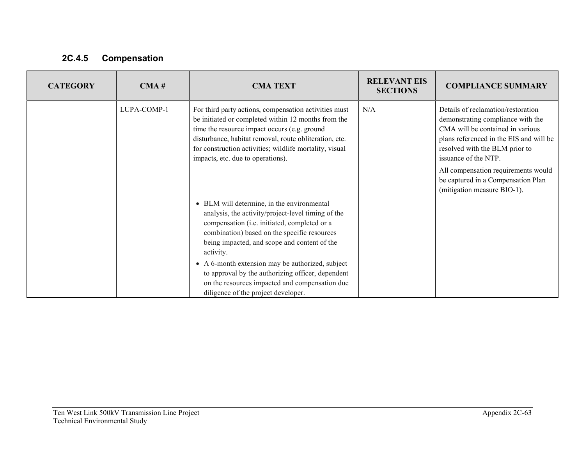### **2C.4.5 Compensation**

| <b>CATEGORY</b> | CMA#        | <b>CMA TEXT</b>                                                                                                                                                                                                                                                                                                        | <b>RELEVANT EIS</b><br><b>SECTIONS</b> | <b>COMPLIANCE SUMMARY</b>                                                                                                                                                                                                                                                                                                    |
|-----------------|-------------|------------------------------------------------------------------------------------------------------------------------------------------------------------------------------------------------------------------------------------------------------------------------------------------------------------------------|----------------------------------------|------------------------------------------------------------------------------------------------------------------------------------------------------------------------------------------------------------------------------------------------------------------------------------------------------------------------------|
|                 | LUPA-COMP-1 | For third party actions, compensation activities must<br>be initiated or completed within 12 months from the<br>time the resource impact occurs (e.g. ground<br>disturbance, habitat removal, route obliteration, etc.<br>for construction activities; wildlife mortality, visual<br>impacts, etc. due to operations). | N/A                                    | Details of reclamation/restoration<br>demonstrating compliance with the<br>CMA will be contained in various<br>plans referenced in the EIS and will be<br>resolved with the BLM prior to<br>issuance of the NTP.<br>All compensation requirements would<br>be captured in a Compensation Plan<br>(mitigation measure BIO-1). |
|                 |             | • BLM will determine, in the environmental<br>analysis, the activity/project-level timing of the<br>compensation (i.e. initiated, completed or a<br>combination) based on the specific resources<br>being impacted, and scope and content of the<br>activity.                                                          |                                        |                                                                                                                                                                                                                                                                                                                              |
|                 |             | • A 6-month extension may be authorized, subject<br>to approval by the authorizing officer, dependent<br>on the resources impacted and compensation due<br>diligence of the project developer.                                                                                                                         |                                        |                                                                                                                                                                                                                                                                                                                              |